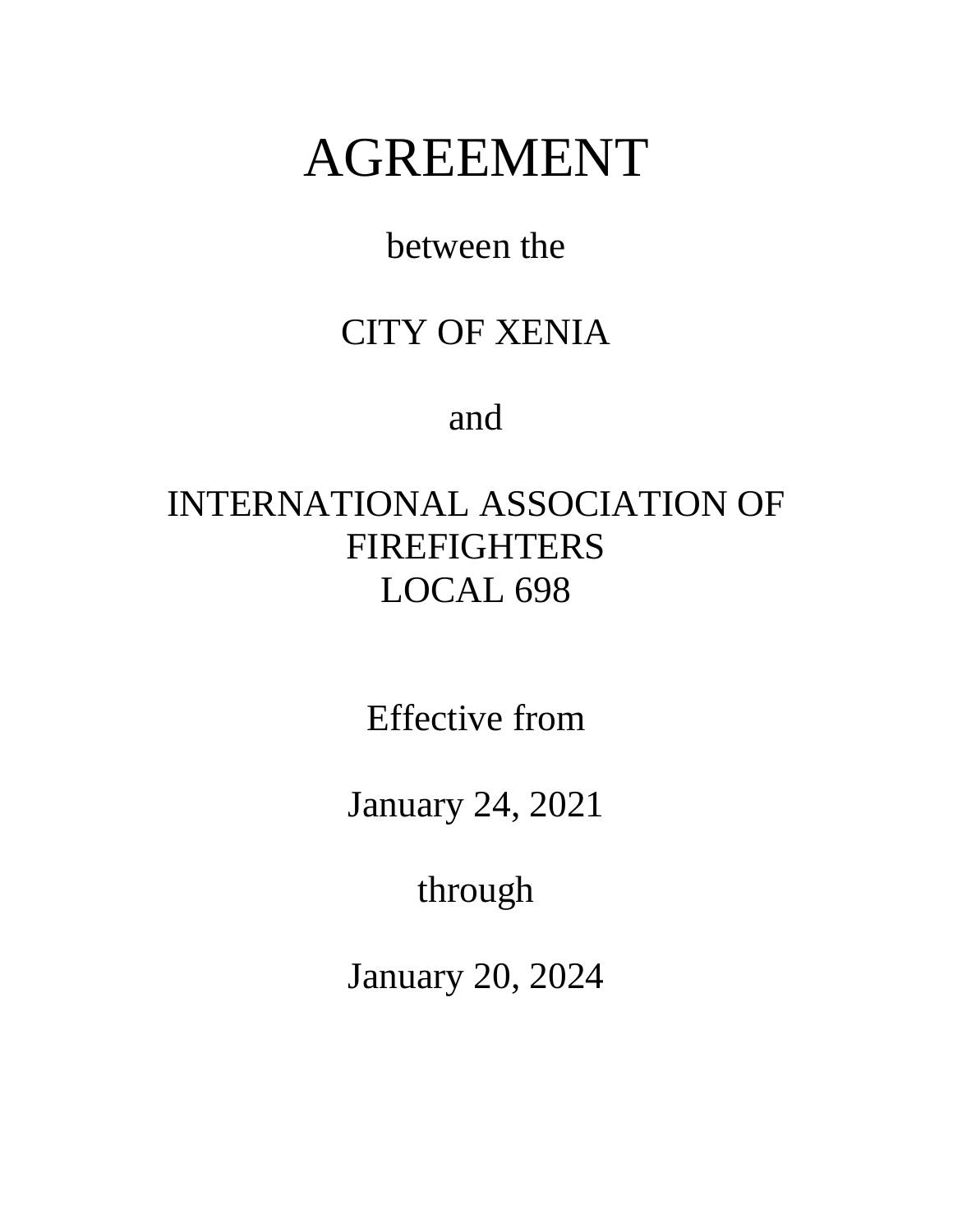# AGREEMENT

between the

# CITY OF XENIA

and

# INTERNATIONAL ASSOCIATION OF FIREFIGHTERS LOCAL 698

Effective from

January 24, 2021

through

January 20, 2024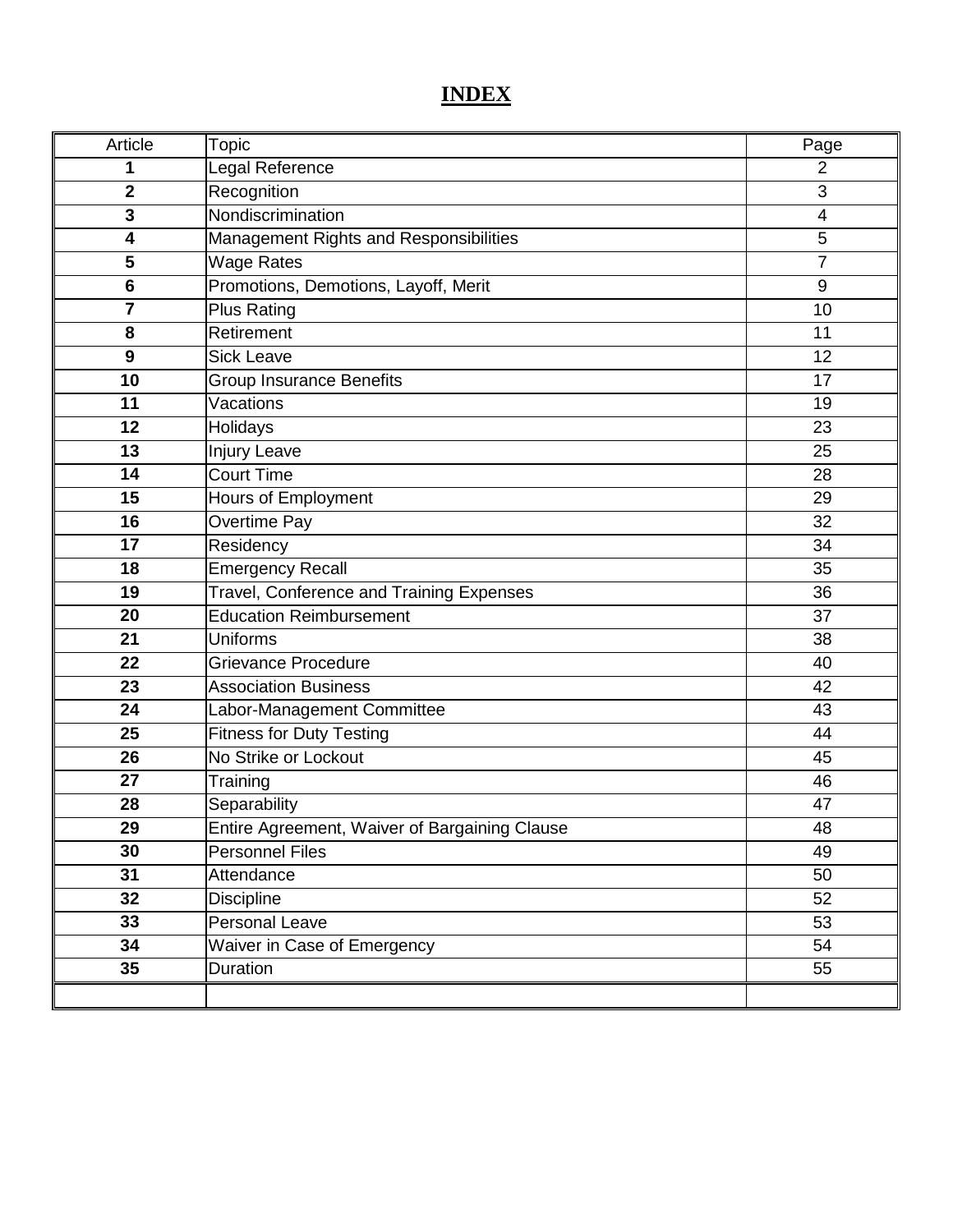# **INDEX**

| Article         | Topic                                         | Page           |
|-----------------|-----------------------------------------------|----------------|
| 1               | Legal Reference                               | $\overline{2}$ |
| $\mathbf 2$     | Recognition                                   | 3              |
| 3               | Nondiscrimination                             | $\overline{4}$ |
| 4               | Management Rights and Responsibilities        | 5              |
| 5               | <b>Wage Rates</b>                             | $\overline{7}$ |
| $6\phantom{1}6$ | Promotions, Demotions, Layoff, Merit          | 9              |
| $\overline{7}$  | Plus Rating                                   | 10             |
| 8               | Retirement                                    | 11             |
| 9               | Sick Leave                                    | 12             |
| 10              | <b>Group Insurance Benefits</b>               | 17             |
| 11              | Vacations                                     | 19             |
| 12              | Holidays                                      | 23             |
| 13              | Injury Leave                                  | 25             |
| 14              | <b>Court Time</b>                             | 28             |
| 15              | Hours of Employment                           | 29             |
| 16              | Overtime Pay                                  | 32             |
| 17              | Residency                                     | 34             |
| 18              | Emergency Recall                              | 35             |
| 19              | Travel, Conference and Training Expenses      | 36             |
| 20              | <b>Education Reimbursement</b>                | 37             |
| 21              | <b>Uniforms</b>                               | 38             |
| 22              | <b>Grievance Procedure</b>                    | 40             |
| 23              | <b>Association Business</b>                   | 42             |
| 24              | Labor-Management Committee                    | 43             |
| 25              | <b>Fitness for Duty Testing</b>               | 44             |
| 26              | No Strike or Lockout                          | 45             |
| 27              | Training                                      | 46             |
| 28              | Separability                                  | 47             |
| 29              | Entire Agreement, Waiver of Bargaining Clause | 48             |
| 30              | <b>Personnel Files</b>                        | 49             |
| 31              | Attendance                                    | 50             |
| 32              | <b>Discipline</b>                             | 52             |
| 33              | Personal Leave                                | 53             |
| 34              | Waiver in Case of Emergency                   | 54             |
| 35              | Duration                                      | 55             |
|                 |                                               |                |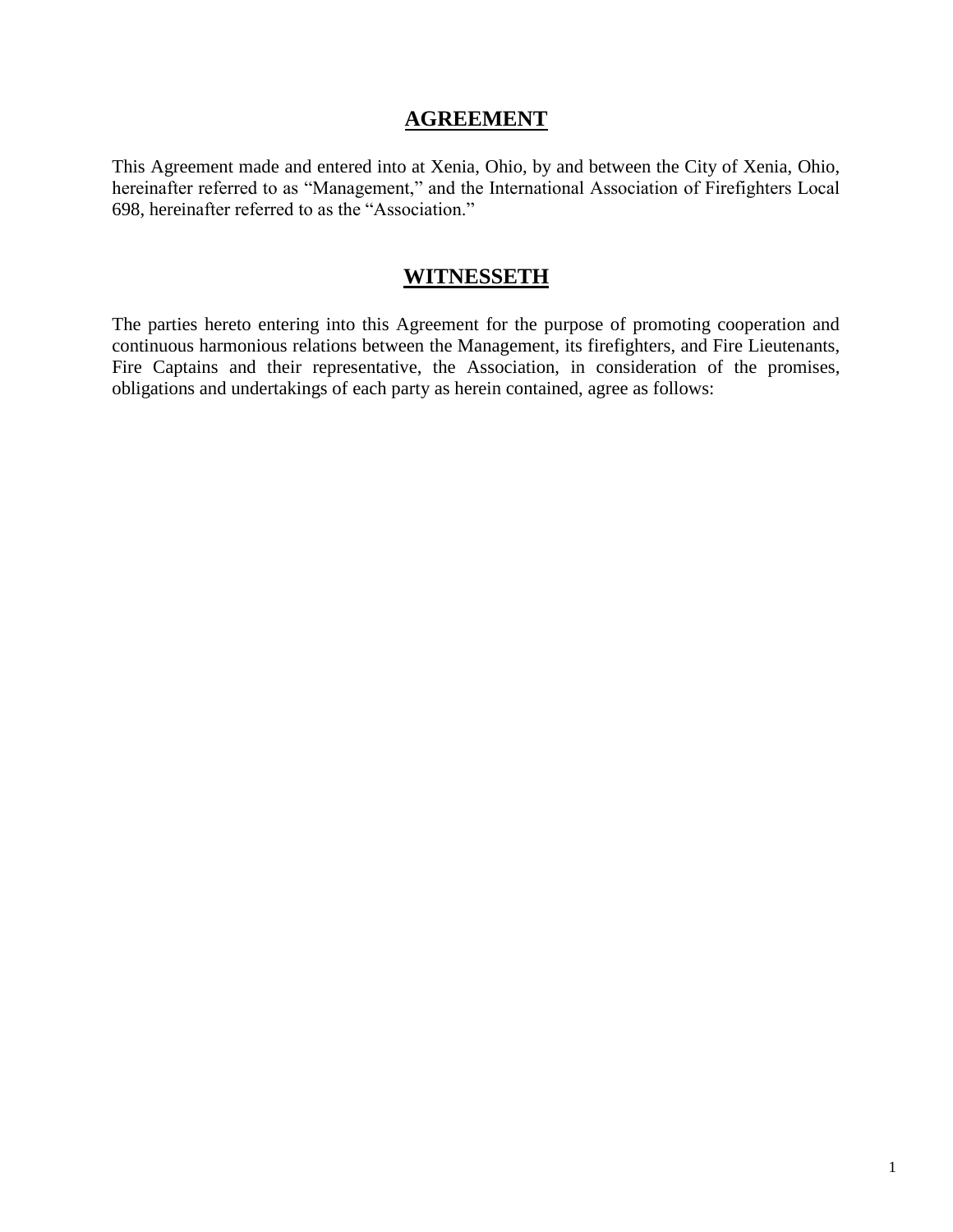#### **AGREEMENT**

This Agreement made and entered into at Xenia, Ohio, by and between the City of Xenia, Ohio, hereinafter referred to as "Management," and the International Association of Firefighters Local 698, hereinafter referred to as the "Association."

# **WITNESSETH**

The parties hereto entering into this Agreement for the purpose of promoting cooperation and continuous harmonious relations between the Management, its firefighters, and Fire Lieutenants, Fire Captains and their representative, the Association, in consideration of the promises, obligations and undertakings of each party as herein contained, agree as follows: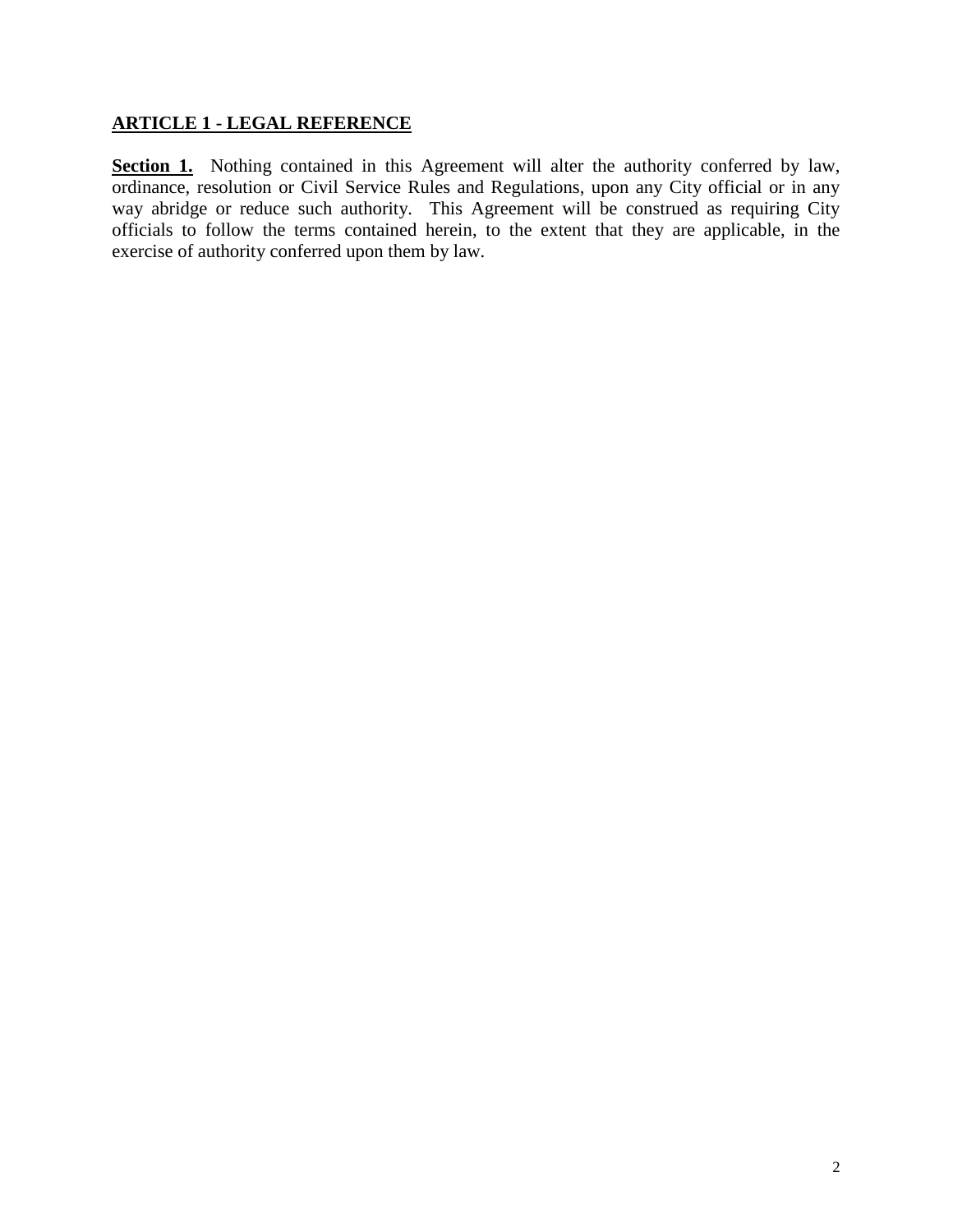#### **ARTICLE 1 - LEGAL REFERENCE**

**Section 1.** Nothing contained in this Agreement will alter the authority conferred by law, ordinance, resolution or Civil Service Rules and Regulations, upon any City official or in any way abridge or reduce such authority. This Agreement will be construed as requiring City officials to follow the terms contained herein, to the extent that they are applicable, in the exercise of authority conferred upon them by law.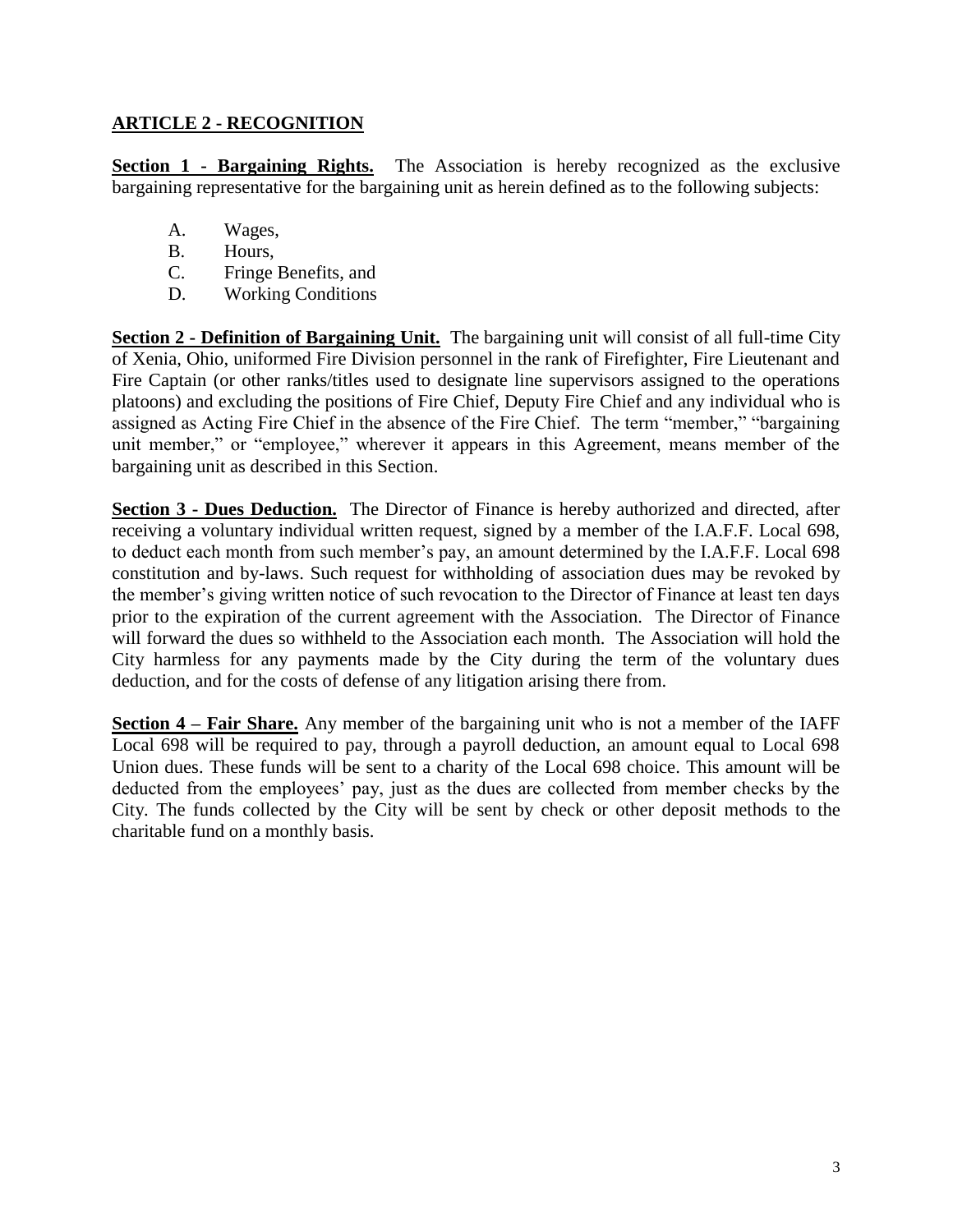#### **ARTICLE 2 - RECOGNITION**

**Section 1 - Bargaining Rights.** The Association is hereby recognized as the exclusive bargaining representative for the bargaining unit as herein defined as to the following subjects:

- A. Wages,
- B. Hours,
- C. Fringe Benefits, and
- D. Working Conditions

**Section 2 - Definition of Bargaining Unit.** The bargaining unit will consist of all full-time City of Xenia, Ohio, uniformed Fire Division personnel in the rank of Firefighter, Fire Lieutenant and Fire Captain (or other ranks/titles used to designate line supervisors assigned to the operations platoons) and excluding the positions of Fire Chief, Deputy Fire Chief and any individual who is assigned as Acting Fire Chief in the absence of the Fire Chief. The term "member," "bargaining unit member," or "employee," wherever it appears in this Agreement, means member of the bargaining unit as described in this Section.

**Section 3 - Dues Deduction.** The Director of Finance is hereby authorized and directed, after receiving a voluntary individual written request, signed by a member of the I.A.F.F. Local 698, to deduct each month from such member's pay, an amount determined by the I.A.F.F. Local 698 constitution and by-laws. Such request for withholding of association dues may be revoked by the member's giving written notice of such revocation to the Director of Finance at least ten days prior to the expiration of the current agreement with the Association. The Director of Finance will forward the dues so withheld to the Association each month. The Association will hold the City harmless for any payments made by the City during the term of the voluntary dues deduction, and for the costs of defense of any litigation arising there from.

**Section 4 – Fair Share.** Any member of the bargaining unit who is not a member of the IAFF Local 698 will be required to pay, through a payroll deduction, an amount equal to Local 698 Union dues. These funds will be sent to a charity of the Local 698 choice. This amount will be deducted from the employees' pay, just as the dues are collected from member checks by the City. The funds collected by the City will be sent by check or other deposit methods to the charitable fund on a monthly basis.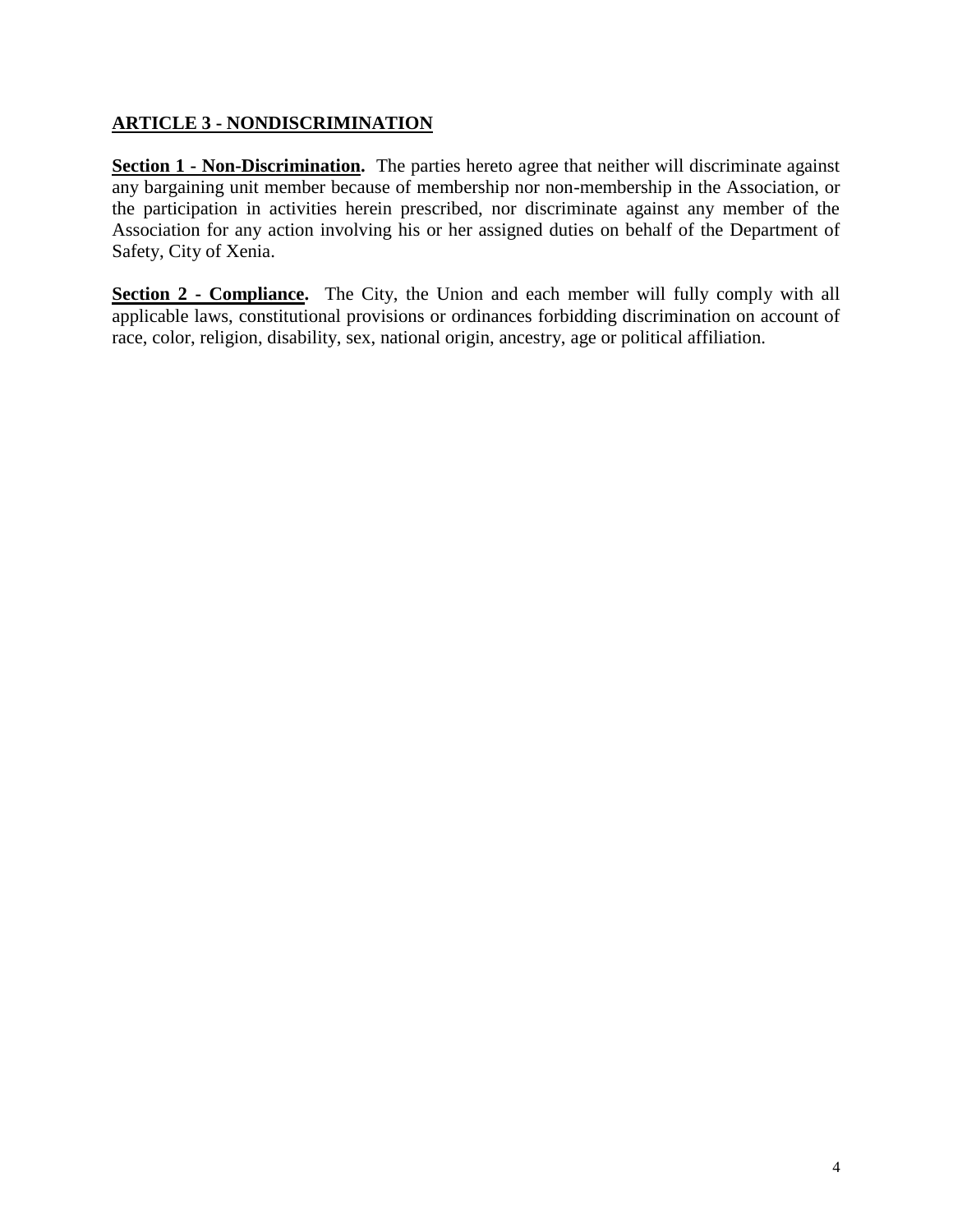#### **ARTICLE 3 - NONDISCRIMINATION**

**Section 1 - Non-Discrimination.** The parties hereto agree that neither will discriminate against any bargaining unit member because of membership nor non-membership in the Association, or the participation in activities herein prescribed, nor discriminate against any member of the Association for any action involving his or her assigned duties on behalf of the Department of Safety, City of Xenia.

**Section 2 - Compliance.** The City, the Union and each member will fully comply with all applicable laws, constitutional provisions or ordinances forbidding discrimination on account of race, color, religion, disability, sex, national origin, ancestry, age or political affiliation.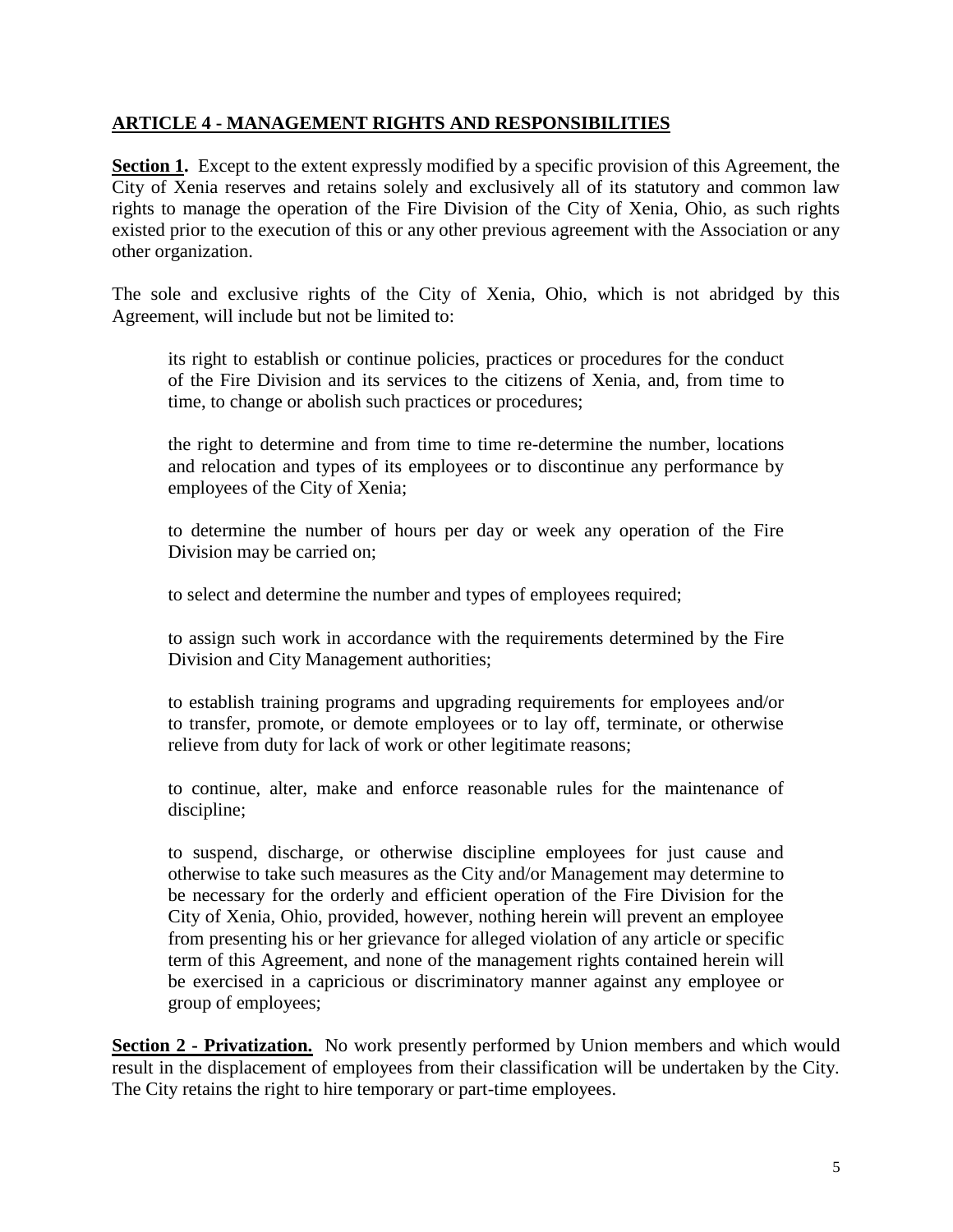#### **ARTICLE 4 - MANAGEMENT RIGHTS AND RESPONSIBILITIES**

**Section 1.** Except to the extent expressly modified by a specific provision of this Agreement, the City of Xenia reserves and retains solely and exclusively all of its statutory and common law rights to manage the operation of the Fire Division of the City of Xenia, Ohio, as such rights existed prior to the execution of this or any other previous agreement with the Association or any other organization.

The sole and exclusive rights of the City of Xenia, Ohio, which is not abridged by this Agreement, will include but not be limited to:

its right to establish or continue policies, practices or procedures for the conduct of the Fire Division and its services to the citizens of Xenia, and, from time to time, to change or abolish such practices or procedures;

the right to determine and from time to time re-determine the number, locations and relocation and types of its employees or to discontinue any performance by employees of the City of Xenia;

to determine the number of hours per day or week any operation of the Fire Division may be carried on;

to select and determine the number and types of employees required;

to assign such work in accordance with the requirements determined by the Fire Division and City Management authorities;

to establish training programs and upgrading requirements for employees and/or to transfer, promote, or demote employees or to lay off, terminate, or otherwise relieve from duty for lack of work or other legitimate reasons;

to continue, alter, make and enforce reasonable rules for the maintenance of discipline;

to suspend, discharge, or otherwise discipline employees for just cause and otherwise to take such measures as the City and/or Management may determine to be necessary for the orderly and efficient operation of the Fire Division for the City of Xenia, Ohio, provided, however, nothing herein will prevent an employee from presenting his or her grievance for alleged violation of any article or specific term of this Agreement, and none of the management rights contained herein will be exercised in a capricious or discriminatory manner against any employee or group of employees;

**Section 2 - Privatization.** No work presently performed by Union members and which would result in the displacement of employees from their classification will be undertaken by the City. The City retains the right to hire temporary or part-time employees.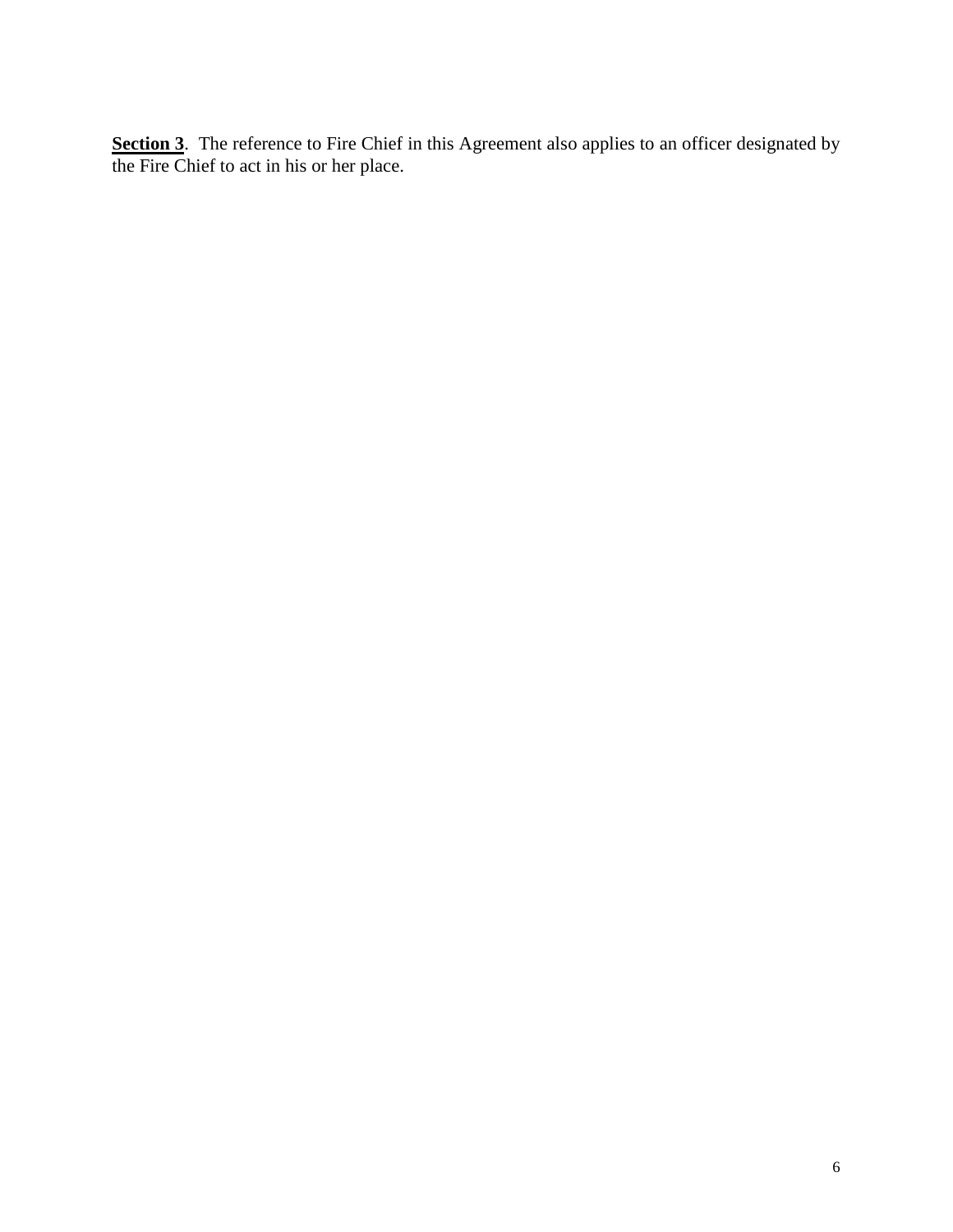Section 3. The reference to Fire Chief in this Agreement also applies to an officer designated by the Fire Chief to act in his or her place.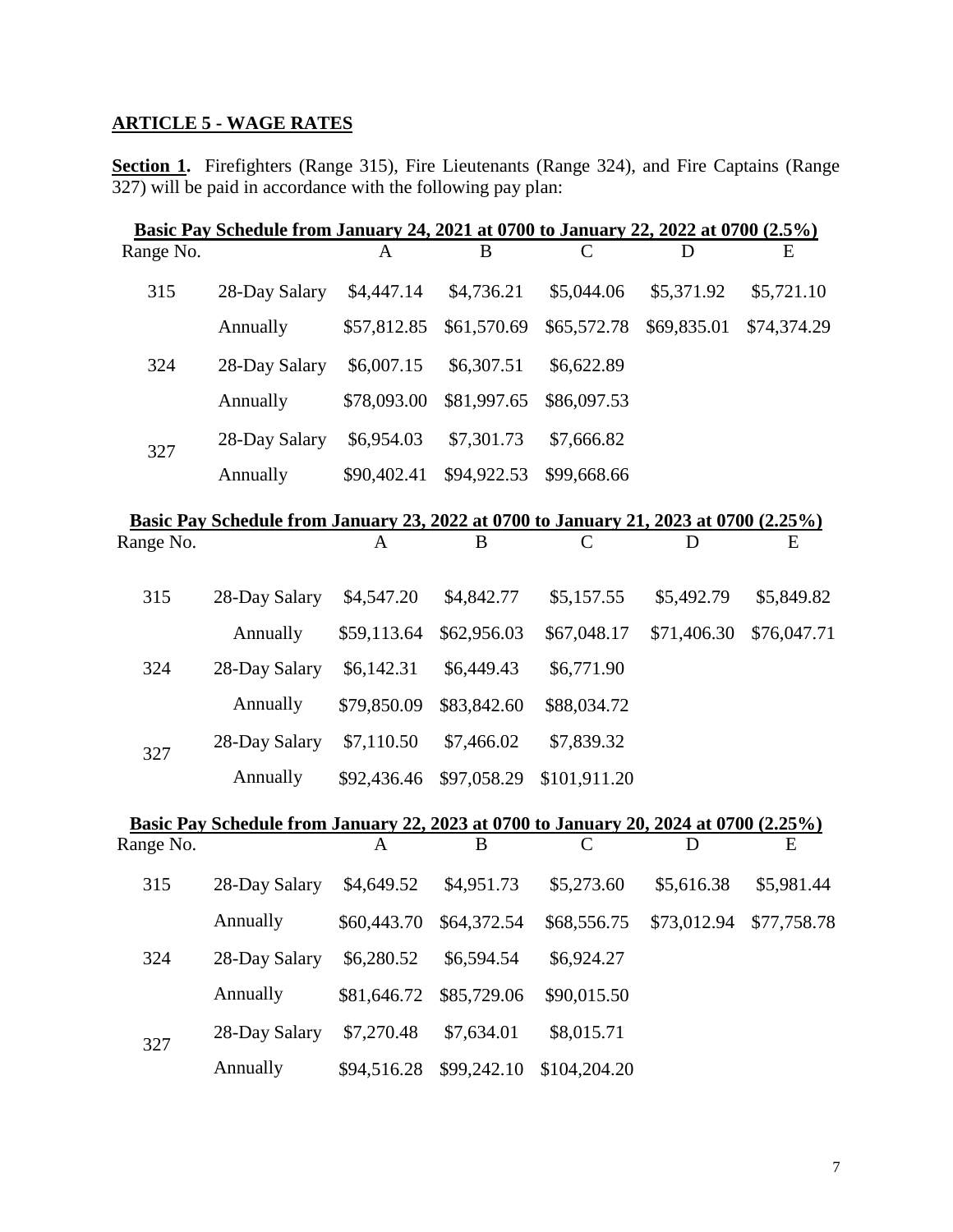# **ARTICLE 5 - WAGE RATES**

Section 1. Firefighters (Range 315), Fire Lieutenants (Range 324), and Fire Captains (Range 327) will be paid in accordance with the following pay plan:

|           | Basic Pay Schedule from January 24, 2021 at 0700 to January 22, 2022 at 0700 (2.5%) |             |             |             |             |             |
|-----------|-------------------------------------------------------------------------------------|-------------|-------------|-------------|-------------|-------------|
| Range No. |                                                                                     | A           | B           | C           | D           | Ε           |
| 315       | 28-Day Salary                                                                       | \$4,447.14  | \$4,736.21  | \$5,044.06  | \$5,371.92  | \$5,721.10  |
|           | Annually                                                                            | \$57,812.85 | \$61,570.69 | \$65,572.78 | \$69,835.01 | \$74,374.29 |
| 324       | 28-Day Salary                                                                       | \$6,007.15  | \$6,307.51  | \$6,622.89  |             |             |
|           | Annually                                                                            | \$78,093.00 | \$81,997.65 | \$86,097.53 |             |             |
| 327       | 28-Day Salary                                                                       | \$6,954.03  | \$7,301.73  | \$7,666.82  |             |             |
|           | Annually                                                                            | \$90,402.41 | \$94,922.53 | \$99,668.66 |             |             |
|           |                                                                                     |             |             |             |             |             |

|           | Basic Pay Schedule from January 23, 2022 at 0700 to January 21, 2023 at 0700 (2.25%) |             |             |              |             |             |
|-----------|--------------------------------------------------------------------------------------|-------------|-------------|--------------|-------------|-------------|
| Range No. |                                                                                      | A           | B           | C            | D           | E           |
| 315       | 28-Day Salary                                                                        | \$4,547.20  | \$4,842.77  | \$5,157.55   | \$5,492.79  | \$5,849.82  |
|           | Annually                                                                             | \$59,113.64 | \$62,956.03 | \$67,048.17  | \$71,406.30 | \$76,047.71 |
| 324       | 28-Day Salary                                                                        | \$6,142.31  | \$6,449.43  | \$6,771.90   |             |             |
|           | Annually                                                                             | \$79,850.09 | \$83,842.60 | \$88,034.72  |             |             |
| 327       | 28-Day Salary                                                                        | \$7,110.50  | \$7,466.02  | \$7,839.32   |             |             |
|           | Annually                                                                             | \$92,436.46 | \$97,058.29 | \$101,911.20 |             |             |

|           | Basic Pay Schedule from January 22, 2023 at 0700 to January 20, 2024 at 0700 (2.25%) |             |             |              |             |             |
|-----------|--------------------------------------------------------------------------------------|-------------|-------------|--------------|-------------|-------------|
| Range No. |                                                                                      | A           | B           | C            | D           | E           |
| 315       | 28-Day Salary                                                                        | \$4,649.52  | \$4,951.73  | \$5,273.60   | \$5,616.38  | \$5,981.44  |
|           | Annually                                                                             | \$60,443.70 | \$64,372.54 | \$68,556.75  | \$73,012.94 | \$77,758.78 |
| 324       | 28-Day Salary                                                                        | \$6,280.52  | \$6,594.54  | \$6,924.27   |             |             |
|           | Annually                                                                             | \$81,646.72 | \$85,729.06 | \$90,015.50  |             |             |
| 327       | 28-Day Salary                                                                        | \$7,270.48  | \$7,634.01  | \$8,015.71   |             |             |
|           | Annually                                                                             | \$94,516.28 | \$99,242.10 | \$104,204.20 |             |             |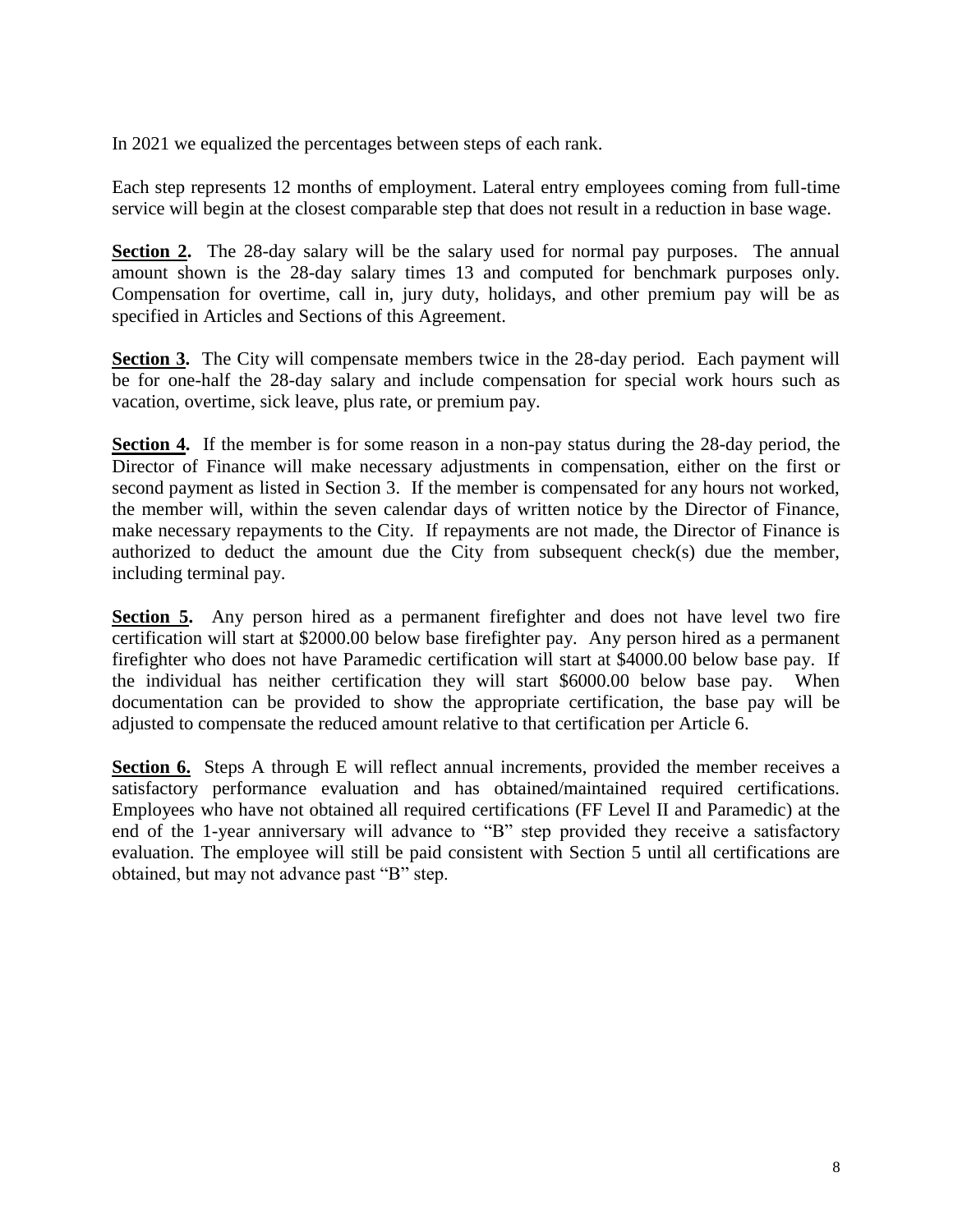In 2021 we equalized the percentages between steps of each rank.

Each step represents 12 months of employment. Lateral entry employees coming from full-time service will begin at the closest comparable step that does not result in a reduction in base wage.

**Section 2.** The 28-day salary will be the salary used for normal pay purposes. The annual amount shown is the 28-day salary times 13 and computed for benchmark purposes only. Compensation for overtime, call in, jury duty, holidays, and other premium pay will be as specified in Articles and Sections of this Agreement.

**Section 3.** The City will compensate members twice in the 28-day period. Each payment will be for one-half the 28-day salary and include compensation for special work hours such as vacation, overtime, sick leave, plus rate, or premium pay.

**Section 4.** If the member is for some reason in a non-pay status during the 28-day period, the Director of Finance will make necessary adjustments in compensation, either on the first or second payment as listed in Section 3. If the member is compensated for any hours not worked, the member will, within the seven calendar days of written notice by the Director of Finance, make necessary repayments to the City. If repayments are not made, the Director of Finance is authorized to deduct the amount due the City from subsequent check(s) due the member, including terminal pay.

**Section 5.** Any person hired as a permanent firefighter and does not have level two fire certification will start at \$2000.00 below base firefighter pay. Any person hired as a permanent firefighter who does not have Paramedic certification will start at \$4000.00 below base pay. If the individual has neither certification they will start \$6000.00 below base pay. When documentation can be provided to show the appropriate certification, the base pay will be adjusted to compensate the reduced amount relative to that certification per Article 6.

**Section 6.** Steps A through E will reflect annual increments, provided the member receives a satisfactory performance evaluation and has obtained/maintained required certifications. Employees who have not obtained all required certifications (FF Level II and Paramedic) at the end of the 1-year anniversary will advance to "B" step provided they receive a satisfactory evaluation. The employee will still be paid consistent with Section 5 until all certifications are obtained, but may not advance past "B" step.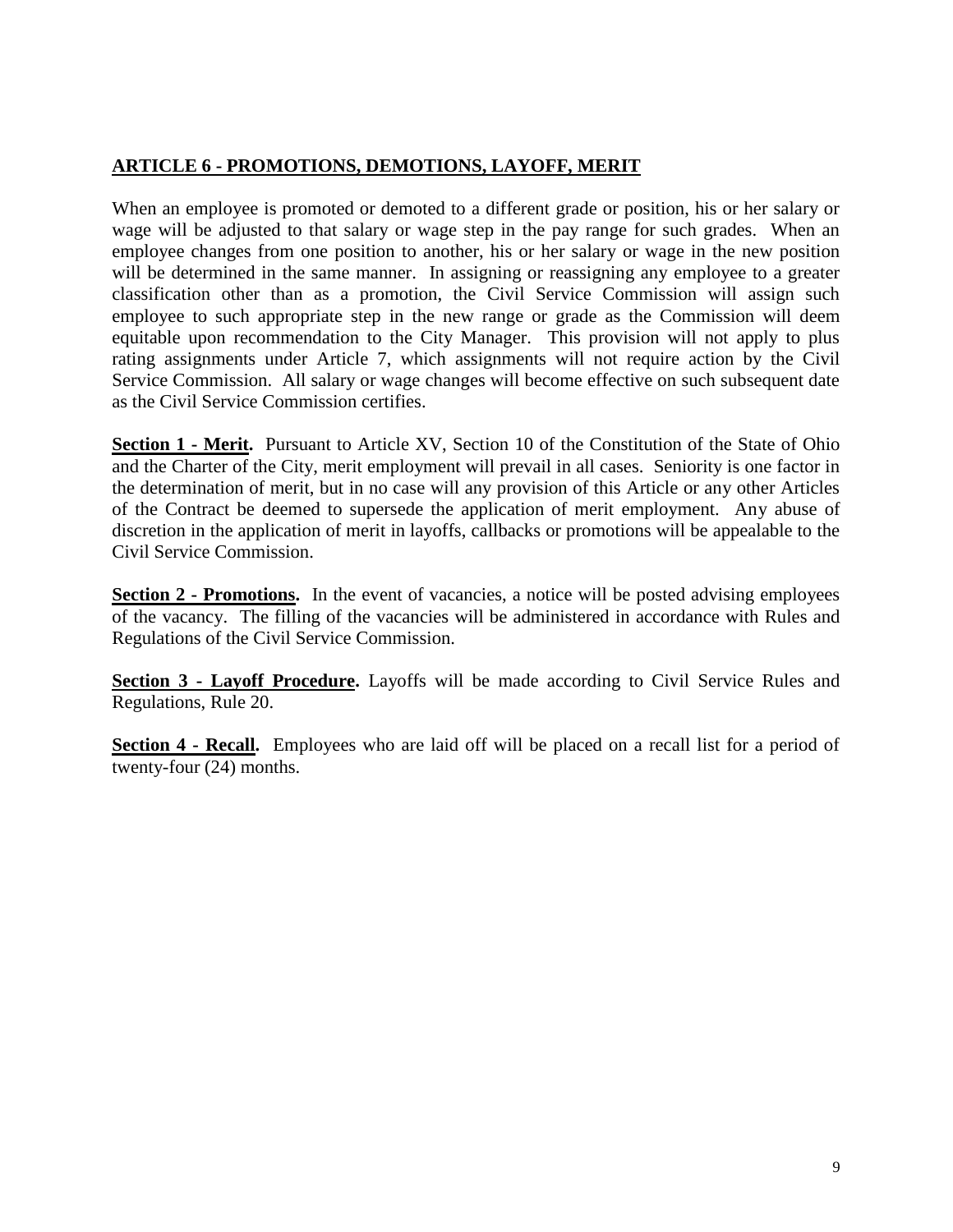#### **ARTICLE 6 - PROMOTIONS, DEMOTIONS, LAYOFF, MERIT**

When an employee is promoted or demoted to a different grade or position, his or her salary or wage will be adjusted to that salary or wage step in the pay range for such grades. When an employee changes from one position to another, his or her salary or wage in the new position will be determined in the same manner. In assigning or reassigning any employee to a greater classification other than as a promotion, the Civil Service Commission will assign such employee to such appropriate step in the new range or grade as the Commission will deem equitable upon recommendation to the City Manager. This provision will not apply to plus rating assignments under Article 7, which assignments will not require action by the Civil Service Commission. All salary or wage changes will become effective on such subsequent date as the Civil Service Commission certifies.

**Section 1 - Merit.** Pursuant to Article XV, Section 10 of the Constitution of the State of Ohio and the Charter of the City, merit employment will prevail in all cases. Seniority is one factor in the determination of merit, but in no case will any provision of this Article or any other Articles of the Contract be deemed to supersede the application of merit employment. Any abuse of discretion in the application of merit in layoffs, callbacks or promotions will be appealable to the Civil Service Commission.

**Section 2 - Promotions.** In the event of vacancies, a notice will be posted advising employees of the vacancy. The filling of the vacancies will be administered in accordance with Rules and Regulations of the Civil Service Commission.

**Section 3 - Layoff Procedure.** Layoffs will be made according to Civil Service Rules and Regulations, Rule 20.

**Section 4 - Recall.** Employees who are laid off will be placed on a recall list for a period of twenty-four (24) months.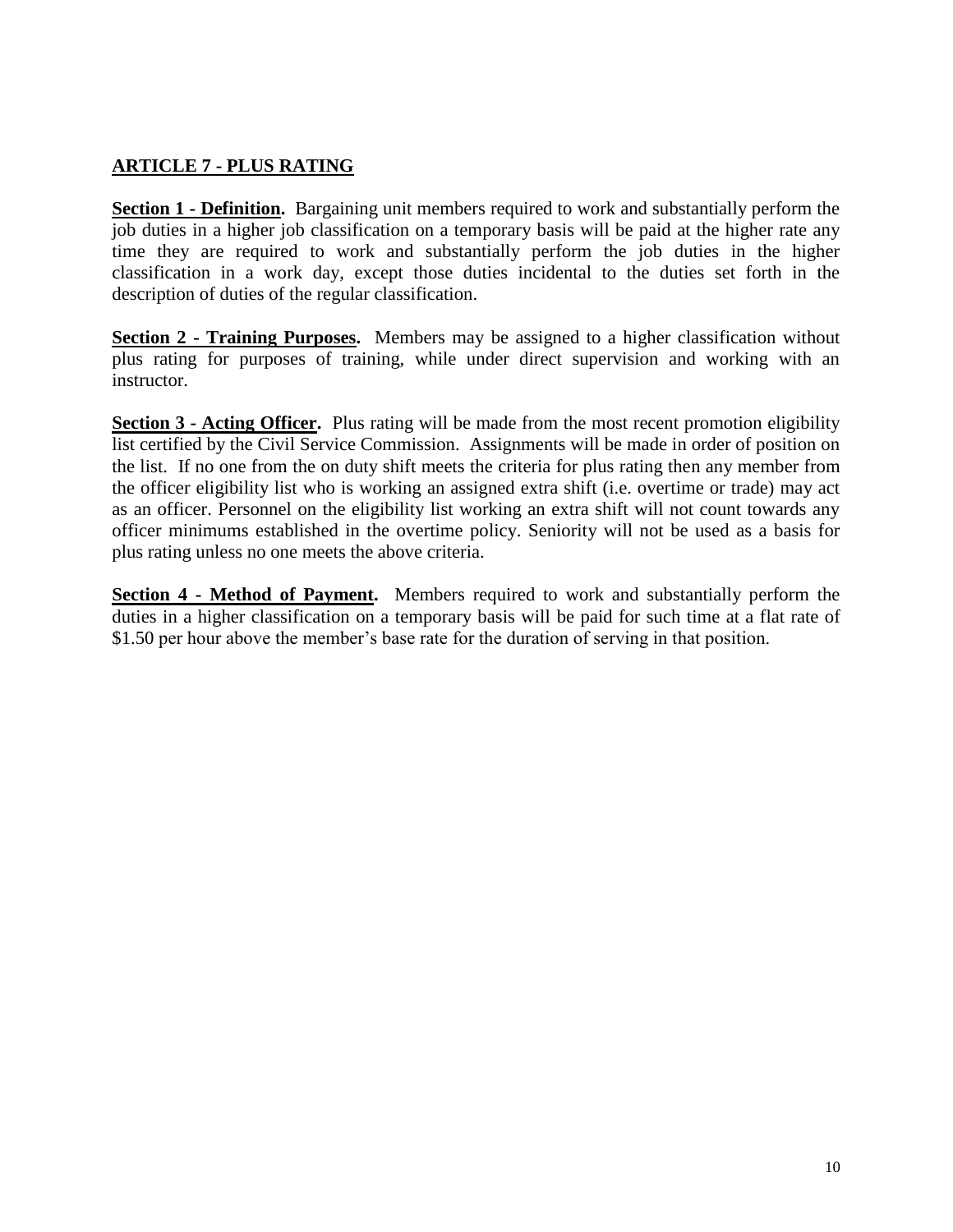#### **ARTICLE 7 - PLUS RATING**

**Section 1 - Definition.** Bargaining unit members required to work and substantially perform the job duties in a higher job classification on a temporary basis will be paid at the higher rate any time they are required to work and substantially perform the job duties in the higher classification in a work day, except those duties incidental to the duties set forth in the description of duties of the regular classification.

**Section 2 - Training Purposes.** Members may be assigned to a higher classification without plus rating for purposes of training, while under direct supervision and working with an instructor.

**Section 3 - Acting Officer.** Plus rating will be made from the most recent promotion eligibility list certified by the Civil Service Commission. Assignments will be made in order of position on the list. If no one from the on duty shift meets the criteria for plus rating then any member from the officer eligibility list who is working an assigned extra shift (i.e. overtime or trade) may act as an officer. Personnel on the eligibility list working an extra shift will not count towards any officer minimums established in the overtime policy. Seniority will not be used as a basis for plus rating unless no one meets the above criteria.

**Section 4 - Method of Payment.** Members required to work and substantially perform the duties in a higher classification on a temporary basis will be paid for such time at a flat rate of \$1.50 per hour above the member's base rate for the duration of serving in that position.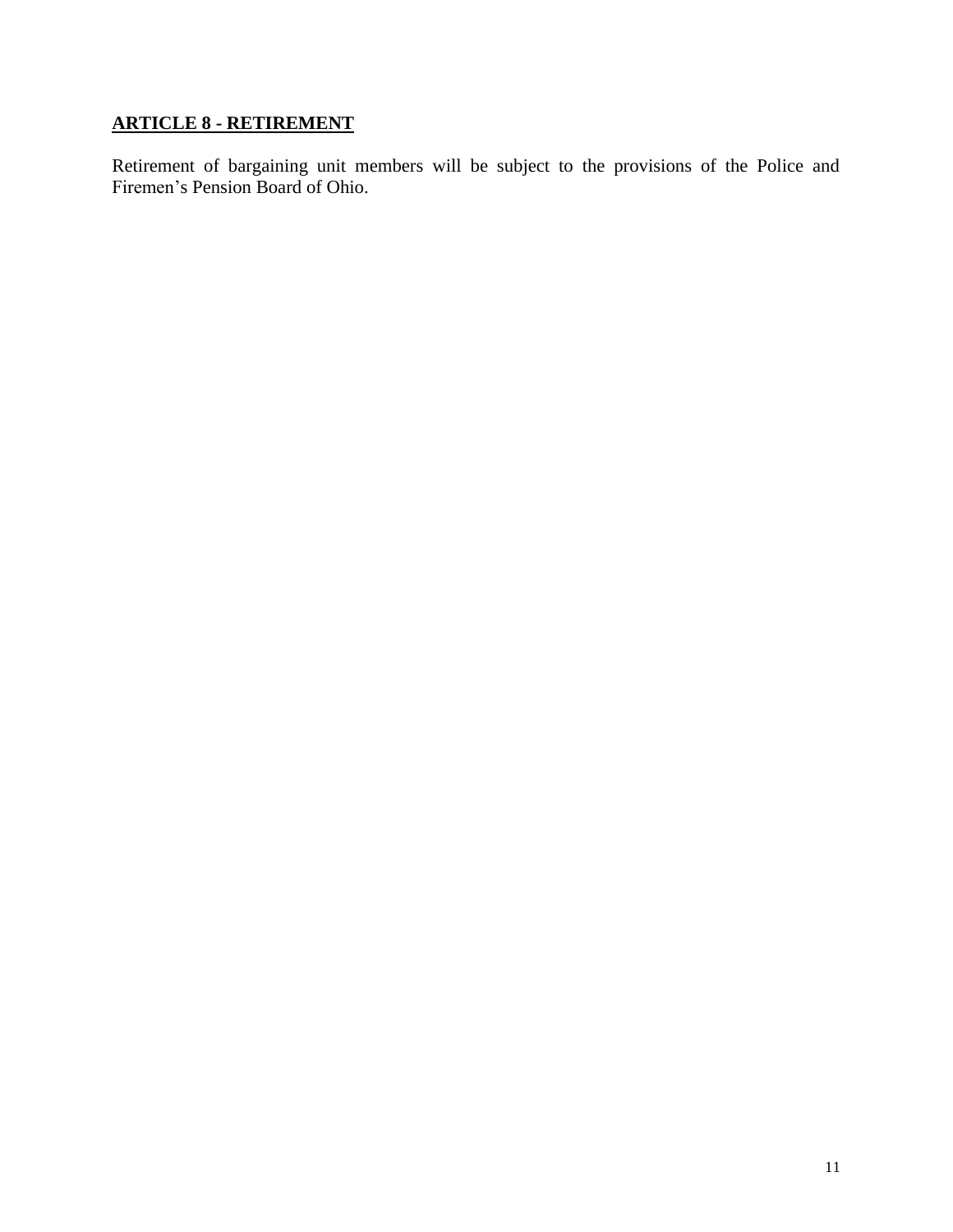# **ARTICLE 8 - RETIREMENT**

Retirement of bargaining unit members will be subject to the provisions of the Police and Firemen's Pension Board of Ohio.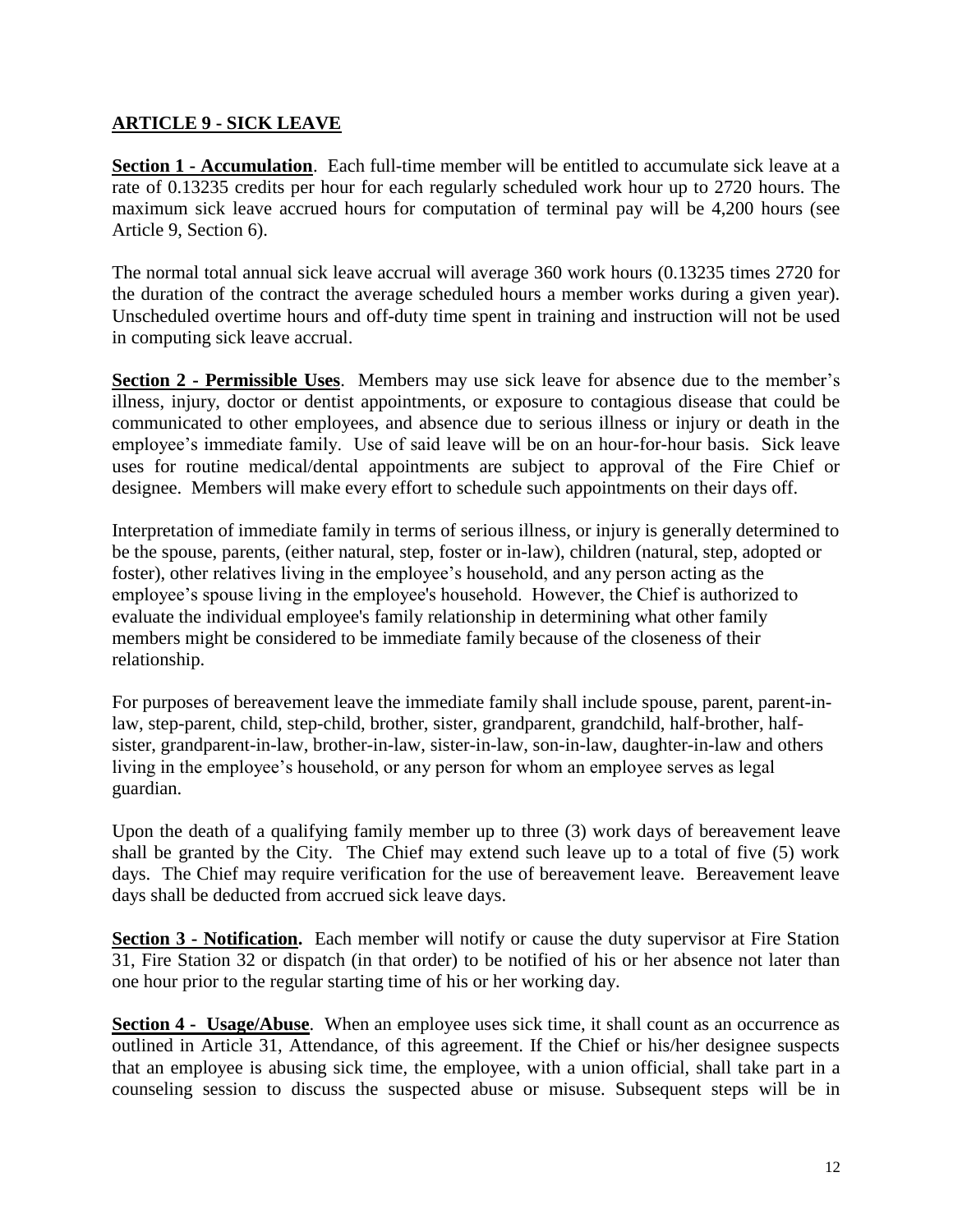#### **ARTICLE 9 - SICK LEAVE**

**Section 1 - Accumulation**. Each full-time member will be entitled to accumulate sick leave at a rate of 0.13235 credits per hour for each regularly scheduled work hour up to 2720 hours. The maximum sick leave accrued hours for computation of terminal pay will be 4,200 hours (see Article 9, Section 6).

The normal total annual sick leave accrual will average 360 work hours (0.13235 times 2720 for the duration of the contract the average scheduled hours a member works during a given year). Unscheduled overtime hours and off-duty time spent in training and instruction will not be used in computing sick leave accrual.

**Section 2 - Permissible Uses**. Members may use sick leave for absence due to the member's illness, injury, doctor or dentist appointments, or exposure to contagious disease that could be communicated to other employees, and absence due to serious illness or injury or death in the employee's immediate family. Use of said leave will be on an hour-for-hour basis. Sick leave uses for routine medical/dental appointments are subject to approval of the Fire Chief or designee. Members will make every effort to schedule such appointments on their days off.

Interpretation of immediate family in terms of serious illness, or injury is generally determined to be the spouse, parents, (either natural, step, foster or in-law), children (natural, step, adopted or foster), other relatives living in the employee's household, and any person acting as the employee's spouse living in the employee's household. However, the Chief is authorized to evaluate the individual employee's family relationship in determining what other family members might be considered to be immediate family because of the closeness of their relationship.

For purposes of bereavement leave the immediate family shall include spouse, parent, parent-inlaw, step-parent, child, step-child, brother, sister, grandparent, grandchild, half-brother, halfsister, grandparent-in-law, brother-in-law, sister-in-law, son-in-law, daughter-in-law and others living in the employee's household, or any person for whom an employee serves as legal guardian.

Upon the death of a qualifying family member up to three (3) work days of bereavement leave shall be granted by the City. The Chief may extend such leave up to a total of five (5) work days. The Chief may require verification for the use of bereavement leave. Bereavement leave days shall be deducted from accrued sick leave days.

**Section 3 - Notification.** Each member will notify or cause the duty supervisor at Fire Station 31, Fire Station 32 or dispatch (in that order) to be notified of his or her absence not later than one hour prior to the regular starting time of his or her working day.

**Section 4 - Usage/Abuse**. When an employee uses sick time, it shall count as an occurrence as outlined in Article 31, Attendance, of this agreement. If the Chief or his/her designee suspects that an employee is abusing sick time, the employee, with a union official, shall take part in a counseling session to discuss the suspected abuse or misuse. Subsequent steps will be in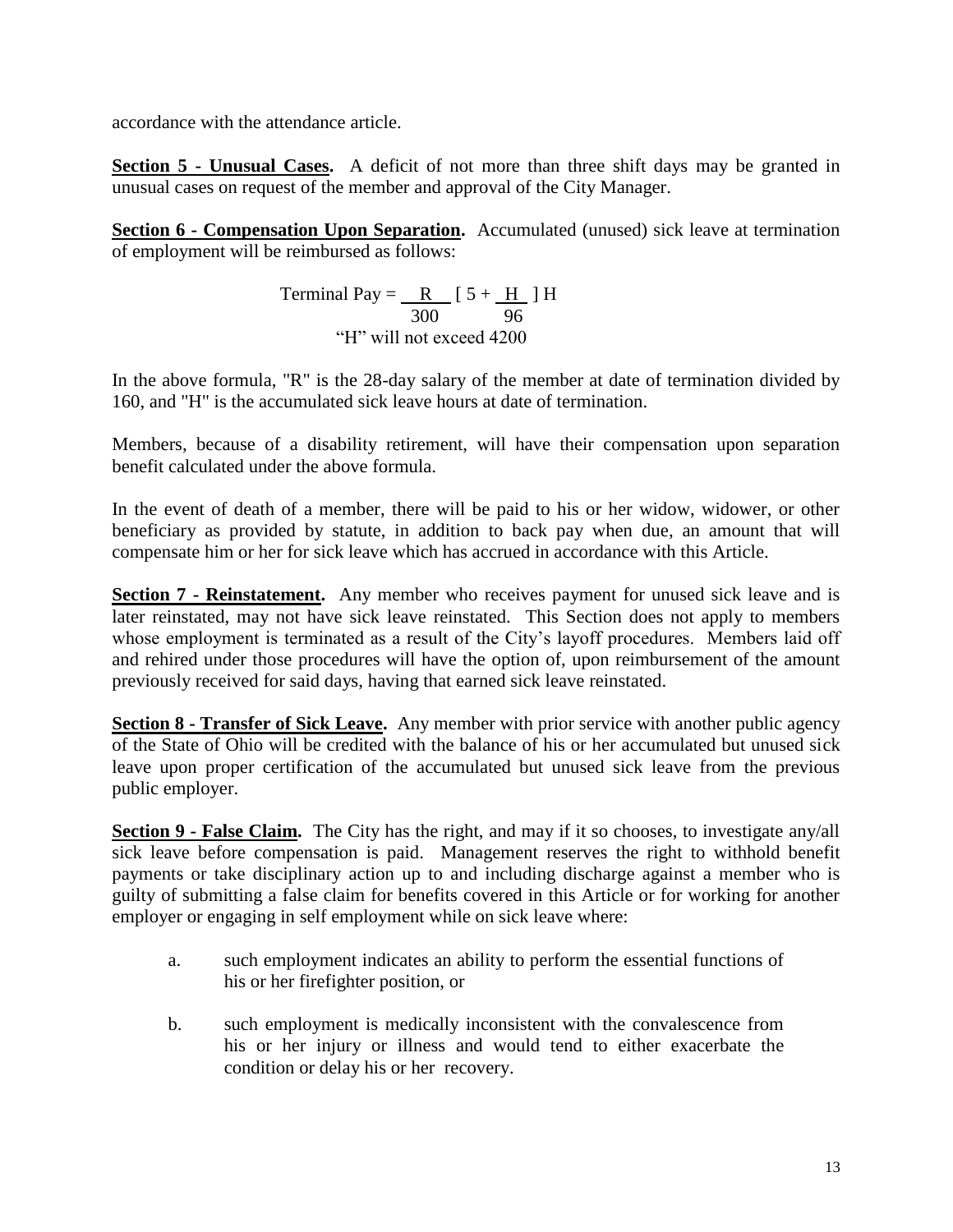accordance with the attendance article.

**Section 5 - Unusual Cases.** A deficit of not more than three shift days may be granted in unusual cases on request of the member and approval of the City Manager.

**Section 6 - Compensation Upon Separation.** Accumulated (unused) sick leave at termination of employment will be reimbursed as follows:

> Terminal Pay =  $\underline{R}$  [ 5 +  $\underline{H}$  ] H 300 96 "H" will not exceed 4200

In the above formula, "R" is the 28-day salary of the member at date of termination divided by 160, and "H" is the accumulated sick leave hours at date of termination.

Members, because of a disability retirement, will have their compensation upon separation benefit calculated under the above formula.

In the event of death of a member, there will be paid to his or her widow, widower, or other beneficiary as provided by statute, in addition to back pay when due, an amount that will compensate him or her for sick leave which has accrued in accordance with this Article.

**Section 7 - Reinstatement.** Any member who receives payment for unused sick leave and is later reinstated, may not have sick leave reinstated. This Section does not apply to members whose employment is terminated as a result of the City's layoff procedures. Members laid off and rehired under those procedures will have the option of, upon reimbursement of the amount previously received for said days, having that earned sick leave reinstated.

**Section 8 - Transfer of Sick Leave.** Any member with prior service with another public agency of the State of Ohio will be credited with the balance of his or her accumulated but unused sick leave upon proper certification of the accumulated but unused sick leave from the previous public employer.

**Section 9 - False Claim.** The City has the right, and may if it so chooses, to investigate any/all sick leave before compensation is paid. Management reserves the right to withhold benefit payments or take disciplinary action up to and including discharge against a member who is guilty of submitting a false claim for benefits covered in this Article or for working for another employer or engaging in self employment while on sick leave where:

- a. such employment indicates an ability to perform the essential functions of his or her firefighter position, or
- b. such employment is medically inconsistent with the convalescence from his or her injury or illness and would tend to either exacerbate the condition or delay his or her recovery.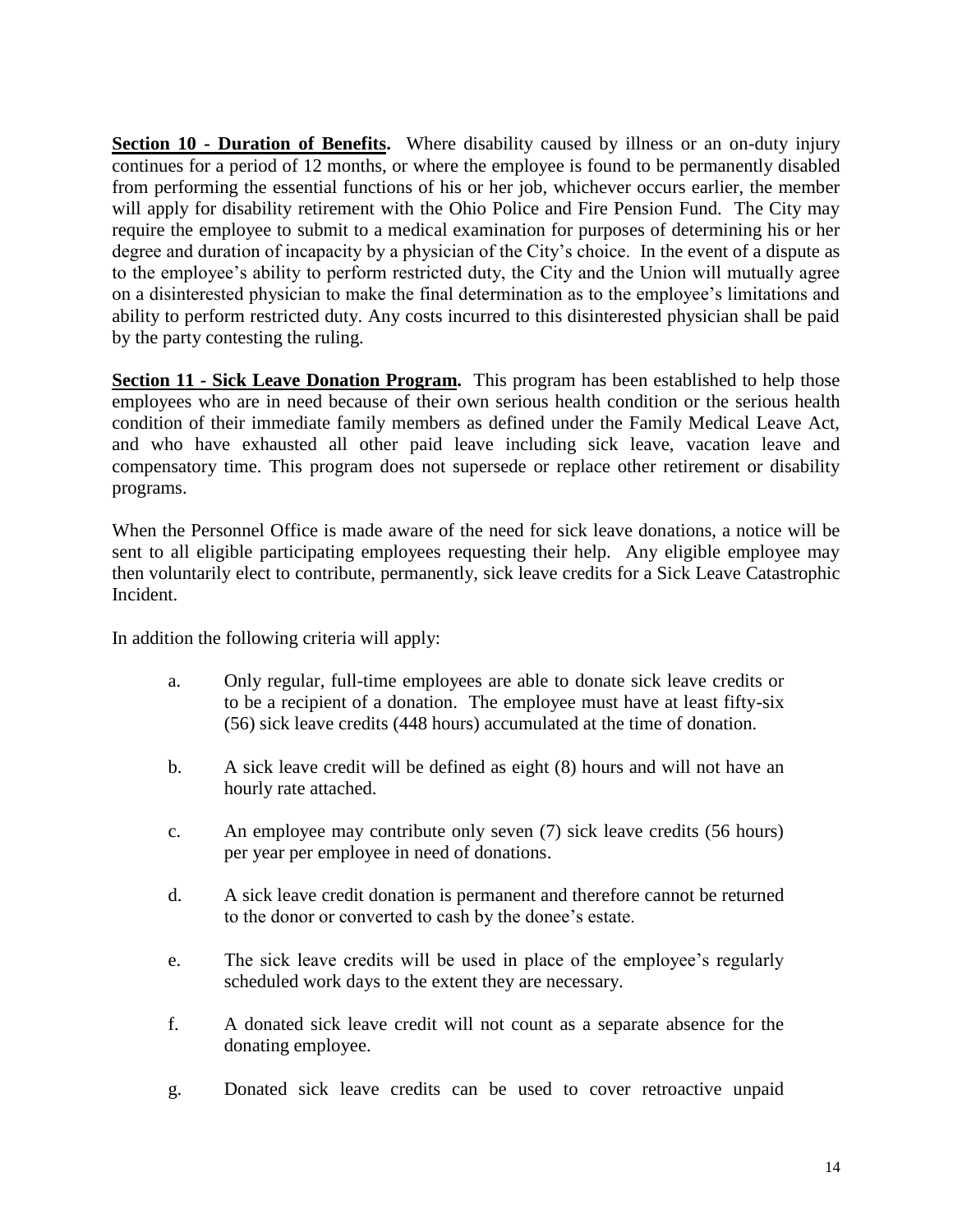**Section 10 - Duration of Benefits.** Where disability caused by illness or an on-duty injury continues for a period of 12 months, or where the employee is found to be permanently disabled from performing the essential functions of his or her job, whichever occurs earlier, the member will apply for disability retirement with the Ohio Police and Fire Pension Fund. The City may require the employee to submit to a medical examination for purposes of determining his or her degree and duration of incapacity by a physician of the City's choice. In the event of a dispute as to the employee's ability to perform restricted duty, the City and the Union will mutually agree on a disinterested physician to make the final determination as to the employee's limitations and ability to perform restricted duty. Any costs incurred to this disinterested physician shall be paid by the party contesting the ruling.

**Section 11 - Sick Leave Donation Program.** This program has been established to help those employees who are in need because of their own serious health condition or the serious health condition of their immediate family members as defined under the Family Medical Leave Act, and who have exhausted all other paid leave including sick leave, vacation leave and compensatory time. This program does not supersede or replace other retirement or disability programs.

When the Personnel Office is made aware of the need for sick leave donations, a notice will be sent to all eligible participating employees requesting their help. Any eligible employee may then voluntarily elect to contribute, permanently, sick leave credits for a Sick Leave Catastrophic Incident.

In addition the following criteria will apply:

- a. Only regular, full-time employees are able to donate sick leave credits or to be a recipient of a donation. The employee must have at least fifty-six (56) sick leave credits (448 hours) accumulated at the time of donation.
- b. A sick leave credit will be defined as eight (8) hours and will not have an hourly rate attached.
- c. An employee may contribute only seven (7) sick leave credits (56 hours) per year per employee in need of donations.
- d. A sick leave credit donation is permanent and therefore cannot be returned to the donor or converted to cash by the donee's estate.
- e. The sick leave credits will be used in place of the employee's regularly scheduled work days to the extent they are necessary.
- f. A donated sick leave credit will not count as a separate absence for the donating employee.
- g. Donated sick leave credits can be used to cover retroactive unpaid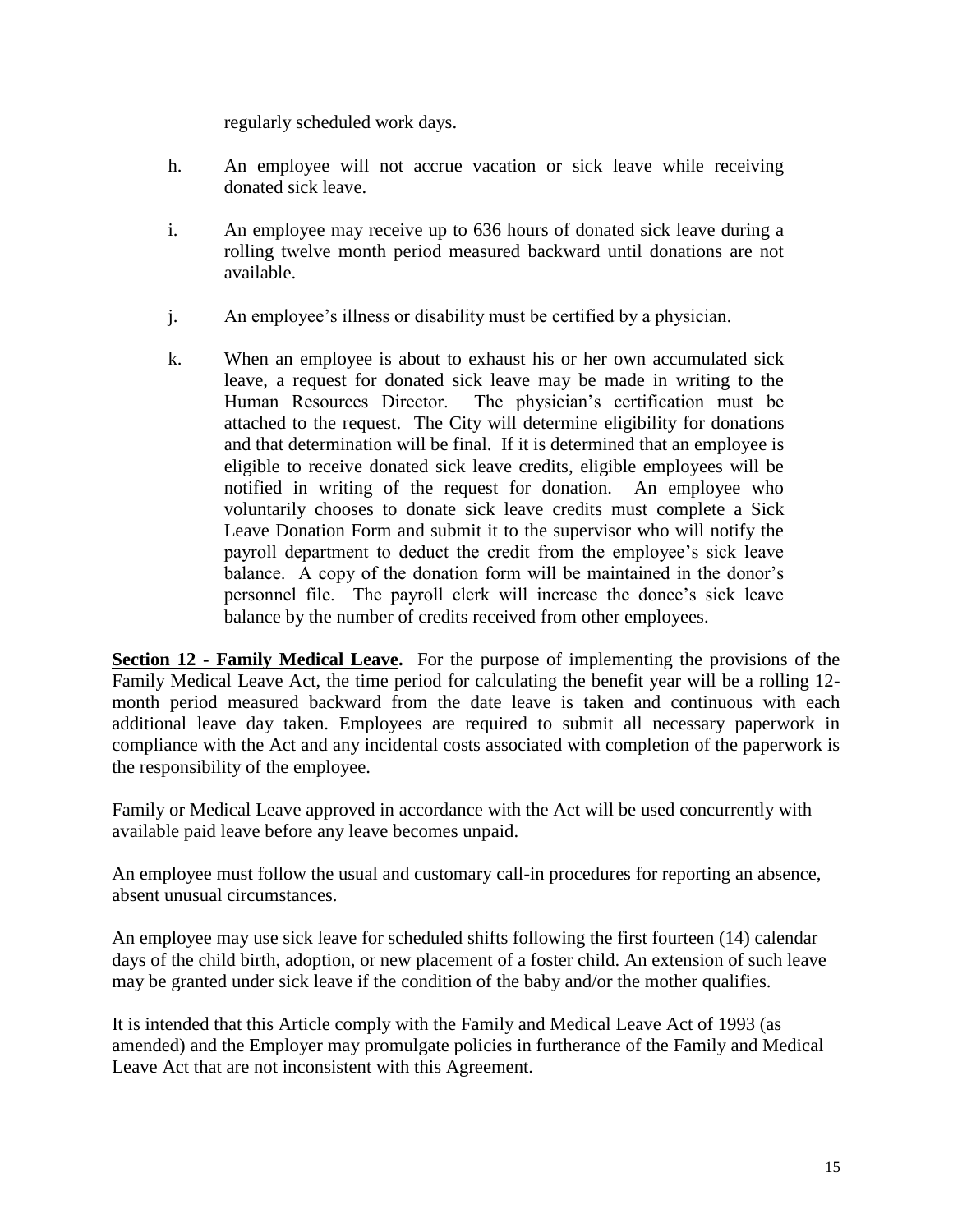regularly scheduled work days.

- h. An employee will not accrue vacation or sick leave while receiving donated sick leave.
- i. An employee may receive up to 636 hours of donated sick leave during a rolling twelve month period measured backward until donations are not available.
- j. An employee's illness or disability must be certified by a physician.
- k. When an employee is about to exhaust his or her own accumulated sick leave, a request for donated sick leave may be made in writing to the Human Resources Director. The physician's certification must be attached to the request. The City will determine eligibility for donations and that determination will be final. If it is determined that an employee is eligible to receive donated sick leave credits, eligible employees will be notified in writing of the request for donation. An employee who voluntarily chooses to donate sick leave credits must complete a Sick Leave Donation Form and submit it to the supervisor who will notify the payroll department to deduct the credit from the employee's sick leave balance. A copy of the donation form will be maintained in the donor's personnel file. The payroll clerk will increase the donee's sick leave balance by the number of credits received from other employees.

**Section 12 - Family Medical Leave.** For the purpose of implementing the provisions of the Family Medical Leave Act, the time period for calculating the benefit year will be a rolling 12 month period measured backward from the date leave is taken and continuous with each additional leave day taken. Employees are required to submit all necessary paperwork in compliance with the Act and any incidental costs associated with completion of the paperwork is the responsibility of the employee.

Family or Medical Leave approved in accordance with the Act will be used concurrently with available paid leave before any leave becomes unpaid.

An employee must follow the usual and customary call-in procedures for reporting an absence, absent unusual circumstances.

An employee may use sick leave for scheduled shifts following the first fourteen (14) calendar days of the child birth, adoption, or new placement of a foster child. An extension of such leave may be granted under sick leave if the condition of the baby and/or the mother qualifies.

It is intended that this Article comply with the Family and Medical Leave Act of 1993 (as amended) and the Employer may promulgate policies in furtherance of the Family and Medical Leave Act that are not inconsistent with this Agreement.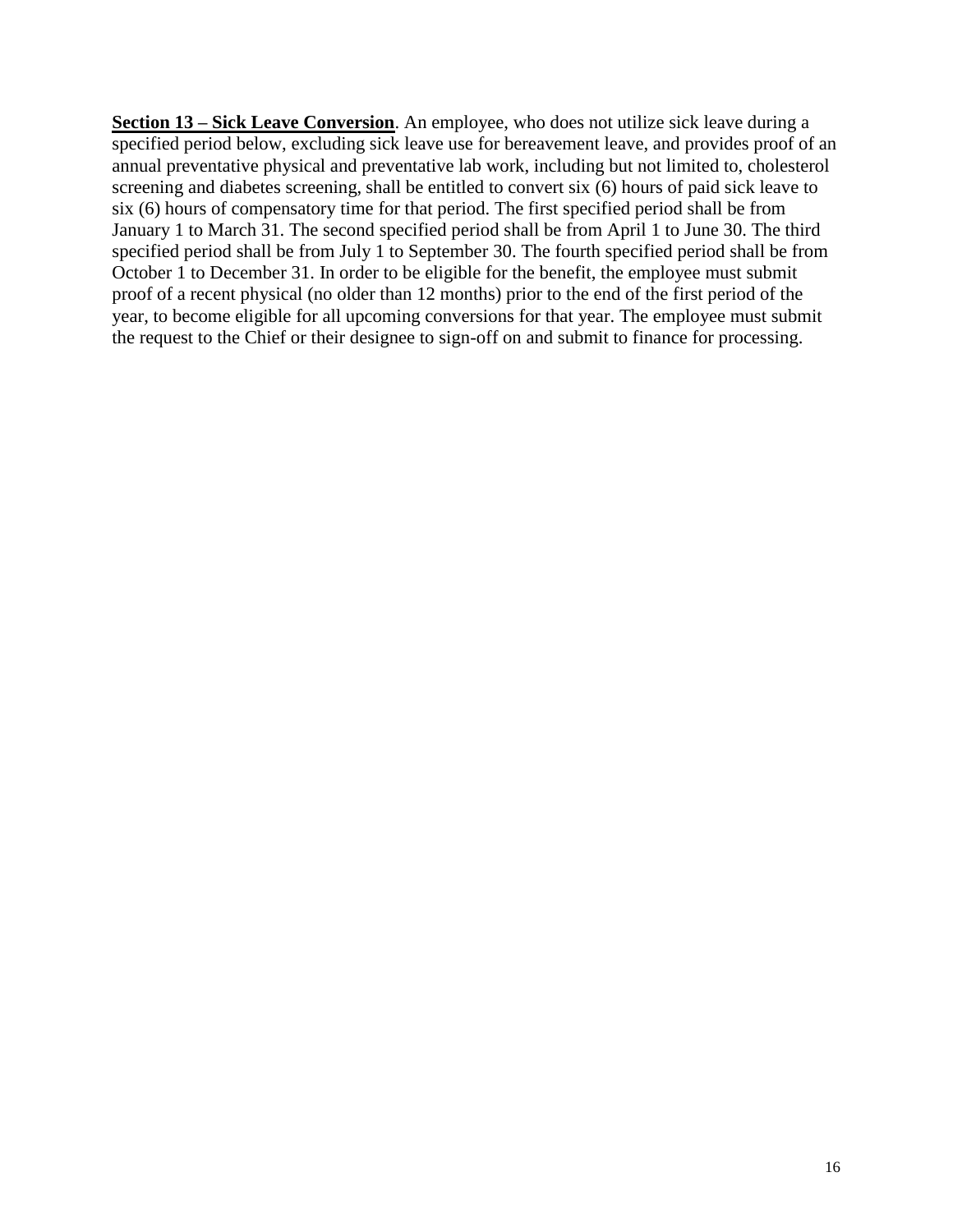**Section 13 – Sick Leave Conversion**. An employee, who does not utilize sick leave during a specified period below, excluding sick leave use for bereavement leave, and provides proof of an annual preventative physical and preventative lab work, including but not limited to, cholesterol screening and diabetes screening, shall be entitled to convert six (6) hours of paid sick leave to six (6) hours of compensatory time for that period. The first specified period shall be from January 1 to March 31. The second specified period shall be from April 1 to June 30. The third specified period shall be from July 1 to September 30. The fourth specified period shall be from October 1 to December 31. In order to be eligible for the benefit, the employee must submit proof of a recent physical (no older than 12 months) prior to the end of the first period of the year, to become eligible for all upcoming conversions for that year. The employee must submit the request to the Chief or their designee to sign-off on and submit to finance for processing.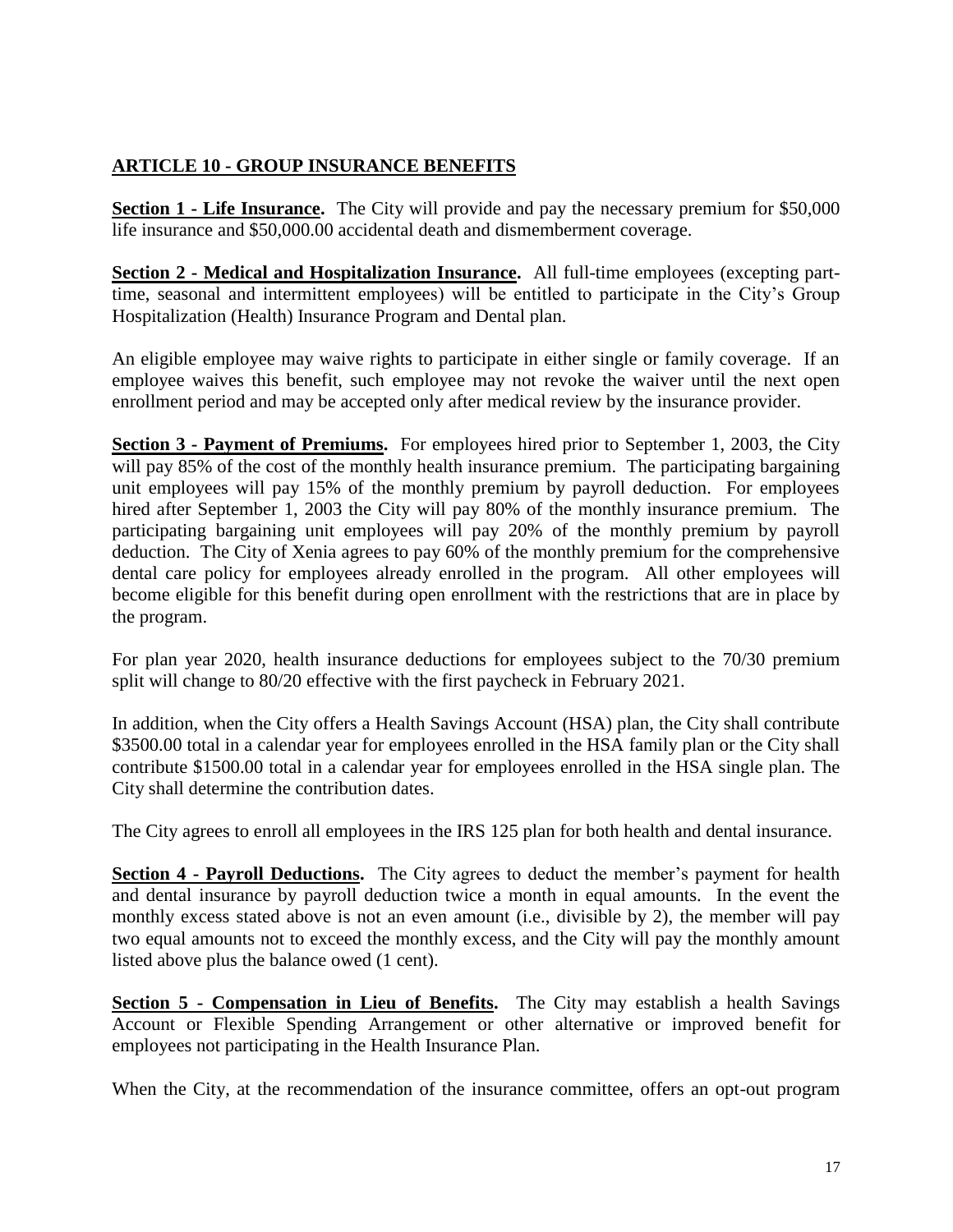#### **ARTICLE 10 - GROUP INSURANCE BENEFITS**

**Section 1 - Life Insurance.** The City will provide and pay the necessary premium for \$50,000 life insurance and \$50,000.00 accidental death and dismemberment coverage.

**Section 2 - Medical and Hospitalization Insurance.** All full-time employees (excepting parttime, seasonal and intermittent employees) will be entitled to participate in the City's Group Hospitalization (Health) Insurance Program and Dental plan.

An eligible employee may waive rights to participate in either single or family coverage. If an employee waives this benefit, such employee may not revoke the waiver until the next open enrollment period and may be accepted only after medical review by the insurance provider.

**Section 3 - Payment of Premiums.** For employees hired prior to September 1, 2003, the City will pay 85% of the cost of the monthly health insurance premium. The participating bargaining unit employees will pay 15% of the monthly premium by payroll deduction. For employees hired after September 1, 2003 the City will pay 80% of the monthly insurance premium. The participating bargaining unit employees will pay 20% of the monthly premium by payroll deduction. The City of Xenia agrees to pay 60% of the monthly premium for the comprehensive dental care policy for employees already enrolled in the program. All other employees will become eligible for this benefit during open enrollment with the restrictions that are in place by the program.

For plan year 2020, health insurance deductions for employees subject to the 70/30 premium split will change to 80/20 effective with the first paycheck in February 2021.

In addition, when the City offers a Health Savings Account (HSA) plan, the City shall contribute \$3500.00 total in a calendar year for employees enrolled in the HSA family plan or the City shall contribute \$1500.00 total in a calendar year for employees enrolled in the HSA single plan. The City shall determine the contribution dates.

The City agrees to enroll all employees in the IRS 125 plan for both health and dental insurance.

**Section 4 - Payroll Deductions.** The City agrees to deduct the member's payment for health and dental insurance by payroll deduction twice a month in equal amounts. In the event the monthly excess stated above is not an even amount (i.e., divisible by 2), the member will pay two equal amounts not to exceed the monthly excess, and the City will pay the monthly amount listed above plus the balance owed (1 cent).

**Section 5 - Compensation in Lieu of Benefits.** The City may establish a health Savings Account or Flexible Spending Arrangement or other alternative or improved benefit for employees not participating in the Health Insurance Plan.

When the City, at the recommendation of the insurance committee, offers an opt-out program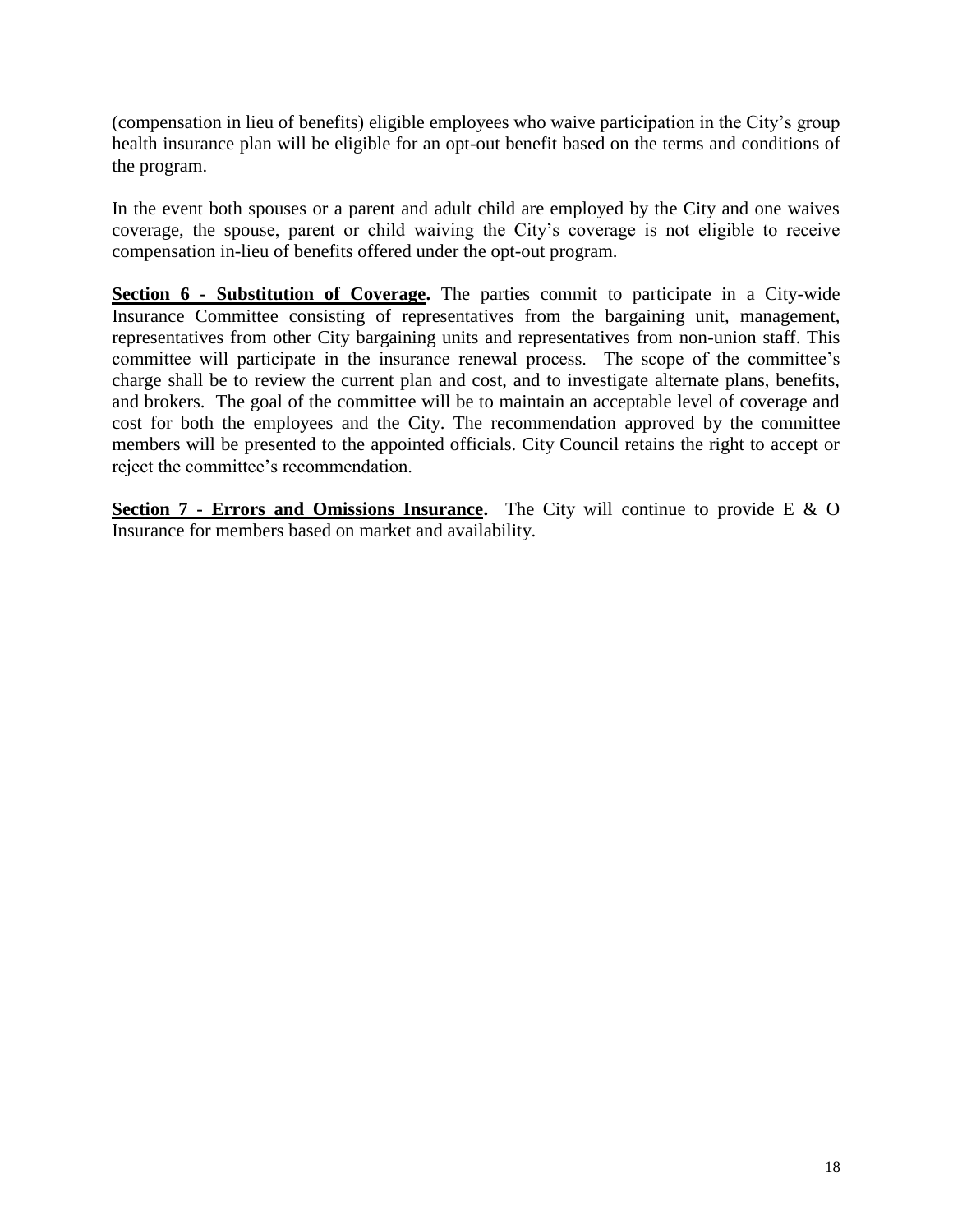(compensation in lieu of benefits) eligible employees who waive participation in the City's group health insurance plan will be eligible for an opt-out benefit based on the terms and conditions of the program.

In the event both spouses or a parent and adult child are employed by the City and one waives coverage, the spouse, parent or child waiving the City's coverage is not eligible to receive compensation in-lieu of benefits offered under the opt-out program.

**Section 6 - Substitution of Coverage.** The parties commit to participate in a City-wide Insurance Committee consisting of representatives from the bargaining unit, management, representatives from other City bargaining units and representatives from non-union staff. This committee will participate in the insurance renewal process. The scope of the committee's charge shall be to review the current plan and cost, and to investigate alternate plans, benefits, and brokers. The goal of the committee will be to maintain an acceptable level of coverage and cost for both the employees and the City. The recommendation approved by the committee members will be presented to the appointed officials. City Council retains the right to accept or reject the committee's recommendation.

**Section 7 - Errors and Omissions Insurance.** The City will continue to provide E & O Insurance for members based on market and availability.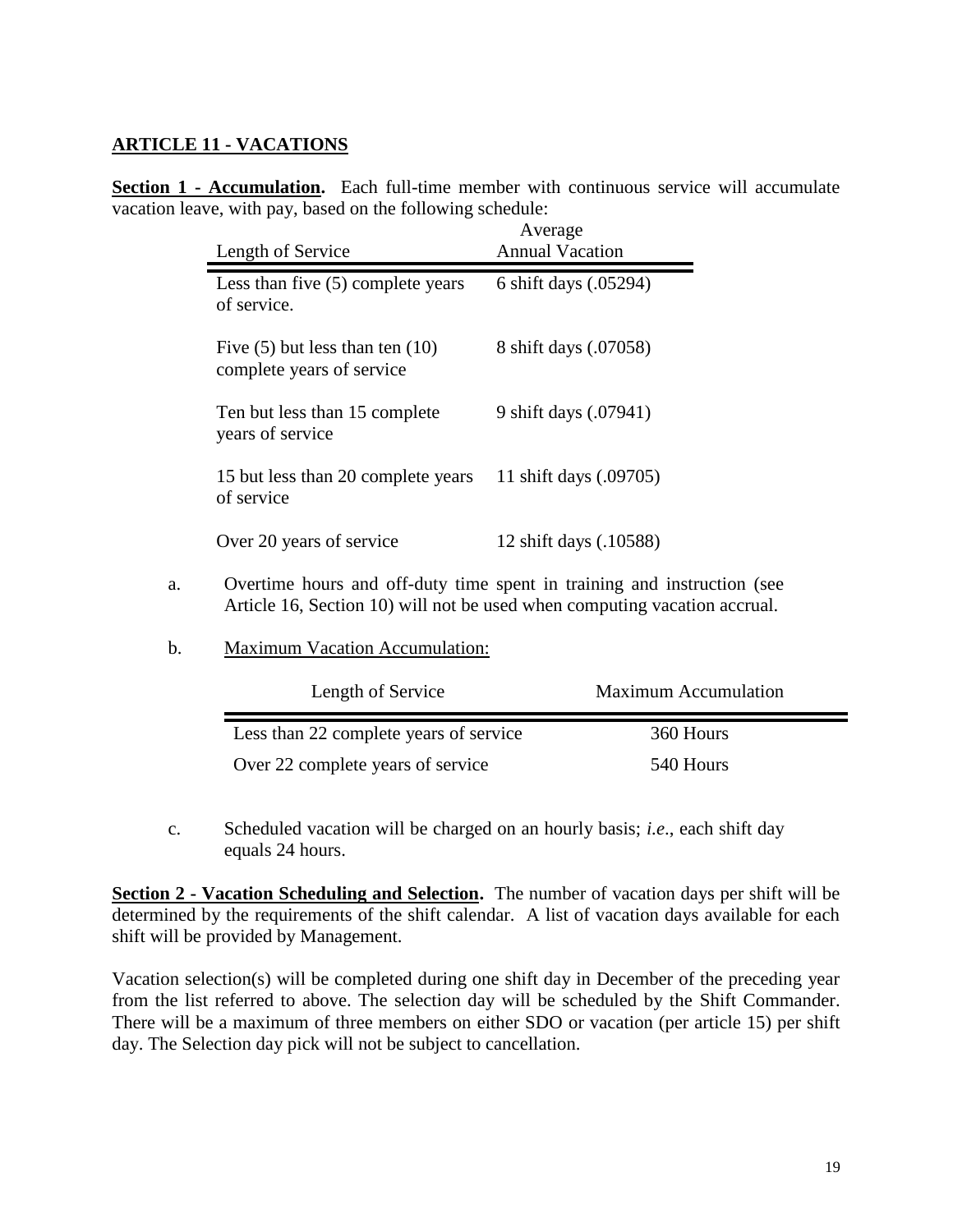#### **ARTICLE 11 - VACATIONS**

**Section 1 - Accumulation.** Each full-time member with continuous service will accumulate vacation leave, with pay, based on the following schedule:

| Length of Service                                                | Average<br><b>Annual Vacation</b> |
|------------------------------------------------------------------|-----------------------------------|
| Less than five $(5)$ complete years<br>of service.               | 6 shift days (.05294)             |
| Five $(5)$ but less than ten $(10)$<br>complete years of service | 8 shift days (.07058)             |
| Ten but less than 15 complete<br>years of service                | 9 shift days (.07941)             |
| 15 but less than 20 complete years<br>of service                 | 11 shift days (.09705)            |
| Over 20 years of service                                         | 12 shift days (.10588)            |

- a. Overtime hours and off-duty time spent in training and instruction (see Article 16, Section 10) will not be used when computing vacation accrual.
- b. Maximum Vacation Accumulation:

| Length of Service                      | <b>Maximum Accumulation</b> |
|----------------------------------------|-----------------------------|
| Less than 22 complete years of service | 360 Hours                   |
| Over 22 complete years of service      | 540 Hours                   |

c. Scheduled vacation will be charged on an hourly basis; *i.e*., each shift day equals 24 hours.

**Section 2 - Vacation Scheduling and Selection.** The number of vacation days per shift will be determined by the requirements of the shift calendar. A list of vacation days available for each shift will be provided by Management.

Vacation selection(s) will be completed during one shift day in December of the preceding year from the list referred to above. The selection day will be scheduled by the Shift Commander. There will be a maximum of three members on either SDO or vacation (per article 15) per shift day. The Selection day pick will not be subject to cancellation.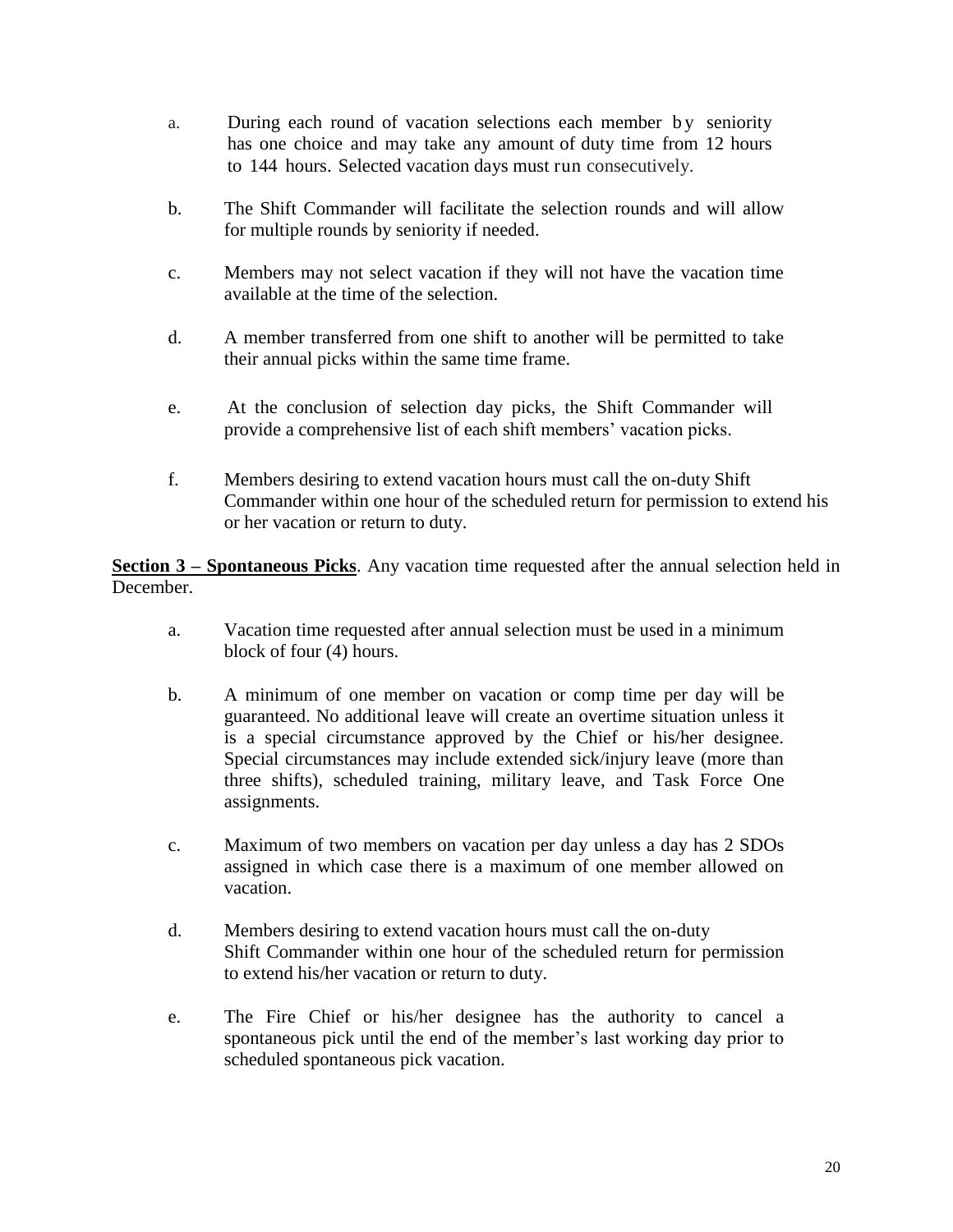- a. During each round of vacation selections each member by seniority has one choice and may take any amount of duty time from 12 hours to 144 hours. Selected vacation days must run consecutively.
- b. The Shift Commander will facilitate the selection rounds and will allow for multiple rounds by seniority if needed.
- c. Members may not select vacation if they will not have the vacation time available at the time of the selection.
- d. A member transferred from one shift to another will be permitted to take their annual picks within the same time frame.
- e. At the conclusion of selection day picks, the Shift Commander will provide a comprehensive list of each shift members' vacation picks.
- f. Members desiring to extend vacation hours must call the on-duty Shift Commander within one hour of the scheduled return for permission to extend his or her vacation or return to duty.

**Section 3 – Spontaneous Picks**. Any vacation time requested after the annual selection held in December.

- a. Vacation time requested after annual selection must be used in a minimum block of four (4) hours.
- b. A minimum of one member on vacation or comp time per day will be guaranteed. No additional leave will create an overtime situation unless it is a special circumstance approved by the Chief or his/her designee. Special circumstances may include extended sick/injury leave (more than three shifts), scheduled training, military leave, and Task Force One assignments.
- c. Maximum of two members on vacation per day unless a day has 2 SDOs assigned in which case there is a maximum of one member allowed on vacation.
- d. Members desiring to extend vacation hours must call the on-duty Shift Commander within one hour of the scheduled return for permission to extend his/her vacation or return to duty.
- e. The Fire Chief or his/her designee has the authority to cancel a spontaneous pick until the end of the member's last working day prior to scheduled spontaneous pick vacation.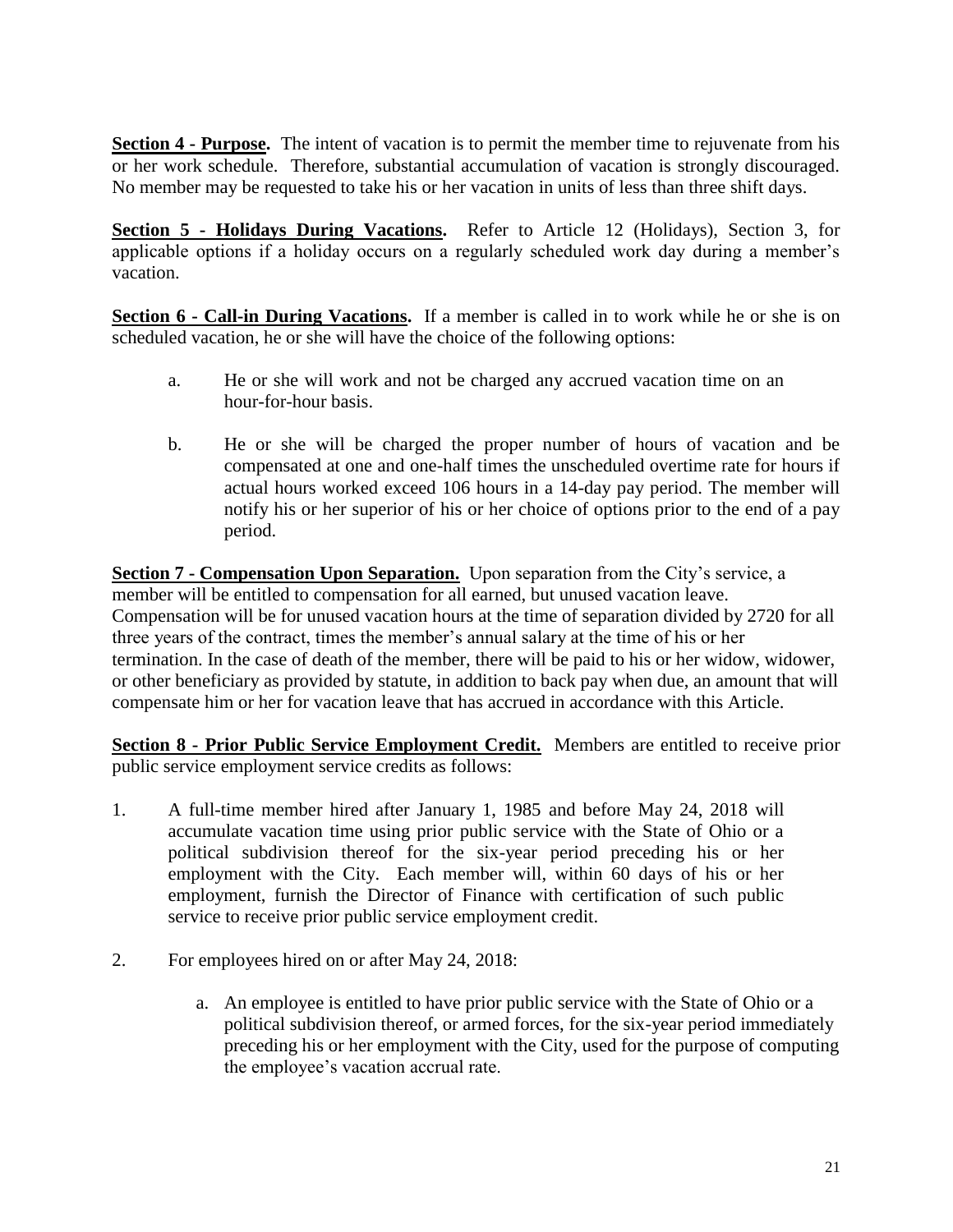**Section 4 - Purpose.** The intent of vacation is to permit the member time to rejuvenate from his or her work schedule. Therefore, substantial accumulation of vacation is strongly discouraged. No member may be requested to take his or her vacation in units of less than three shift days.

**Section 5 - Holidays During Vacations.** Refer to Article 12 (Holidays), Section 3, for applicable options if a holiday occurs on a regularly scheduled work day during a member's vacation.

**Section 6 - Call-in During Vacations.** If a member is called in to work while he or she is on scheduled vacation, he or she will have the choice of the following options:

- a. He or she will work and not be charged any accrued vacation time on an hour-for-hour basis.
- b. He or she will be charged the proper number of hours of vacation and be compensated at one and one-half times the unscheduled overtime rate for hours if actual hours worked exceed 106 hours in a 14-day pay period. The member will notify his or her superior of his or her choice of options prior to the end of a pay period.

**Section 7 - Compensation Upon Separation.** Upon separation from the City's service, a member will be entitled to compensation for all earned, but unused vacation leave. Compensation will be for unused vacation hours at the time of separation divided by 2720 for all three years of the contract, times the member's annual salary at the time of his or her termination. In the case of death of the member, there will be paid to his or her widow, widower, or other beneficiary as provided by statute, in addition to back pay when due, an amount that will compensate him or her for vacation leave that has accrued in accordance with this Article.

**Section 8 - Prior Public Service Employment Credit.** Members are entitled to receive prior public service employment service credits as follows:

- 1. A full-time member hired after January 1, 1985 and before May 24, 2018 will accumulate vacation time using prior public service with the State of Ohio or a political subdivision thereof for the six-year period preceding his or her employment with the City. Each member will, within 60 days of his or her employment, furnish the Director of Finance with certification of such public service to receive prior public service employment credit.
- 2. For employees hired on or after May 24, 2018:
	- a. An employee is entitled to have prior public service with the State of Ohio or a political subdivision thereof, or armed forces, for the six-year period immediately preceding his or her employment with the City, used for the purpose of computing the employee's vacation accrual rate.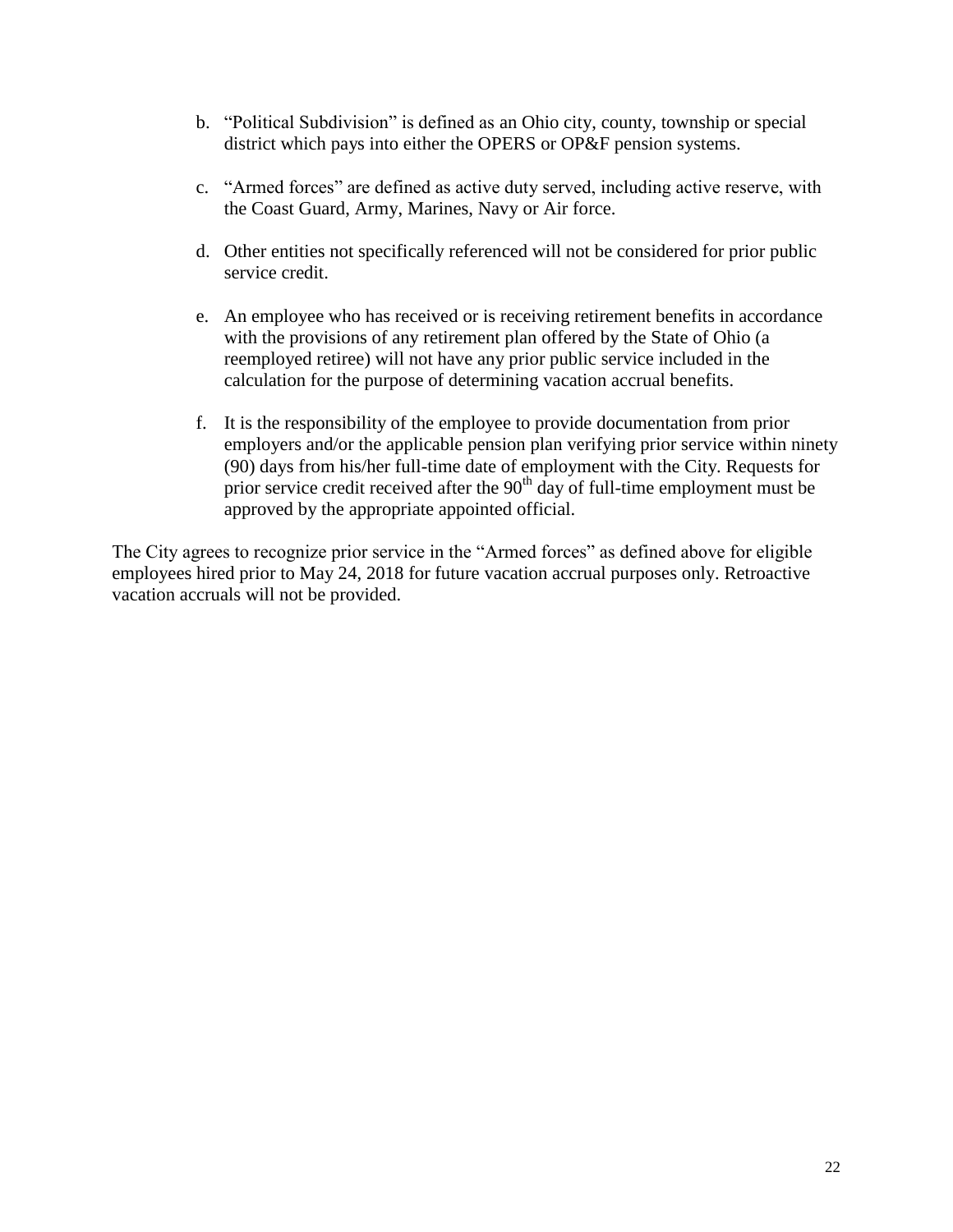- b. "Political Subdivision" is defined as an Ohio city, county, township or special district which pays into either the OPERS or OP&F pension systems.
- c. "Armed forces" are defined as active duty served, including active reserve, with the Coast Guard, Army, Marines, Navy or Air force.
- d. Other entities not specifically referenced will not be considered for prior public service credit.
- e. An employee who has received or is receiving retirement benefits in accordance with the provisions of any retirement plan offered by the State of Ohio (a reemployed retiree) will not have any prior public service included in the calculation for the purpose of determining vacation accrual benefits.
- f. It is the responsibility of the employee to provide documentation from prior employers and/or the applicable pension plan verifying prior service within ninety (90) days from his/her full-time date of employment with the City. Requests for prior service credit received after the  $90<sup>th</sup>$  day of full-time employment must be approved by the appropriate appointed official.

The City agrees to recognize prior service in the "Armed forces" as defined above for eligible employees hired prior to May 24, 2018 for future vacation accrual purposes only. Retroactive vacation accruals will not be provided.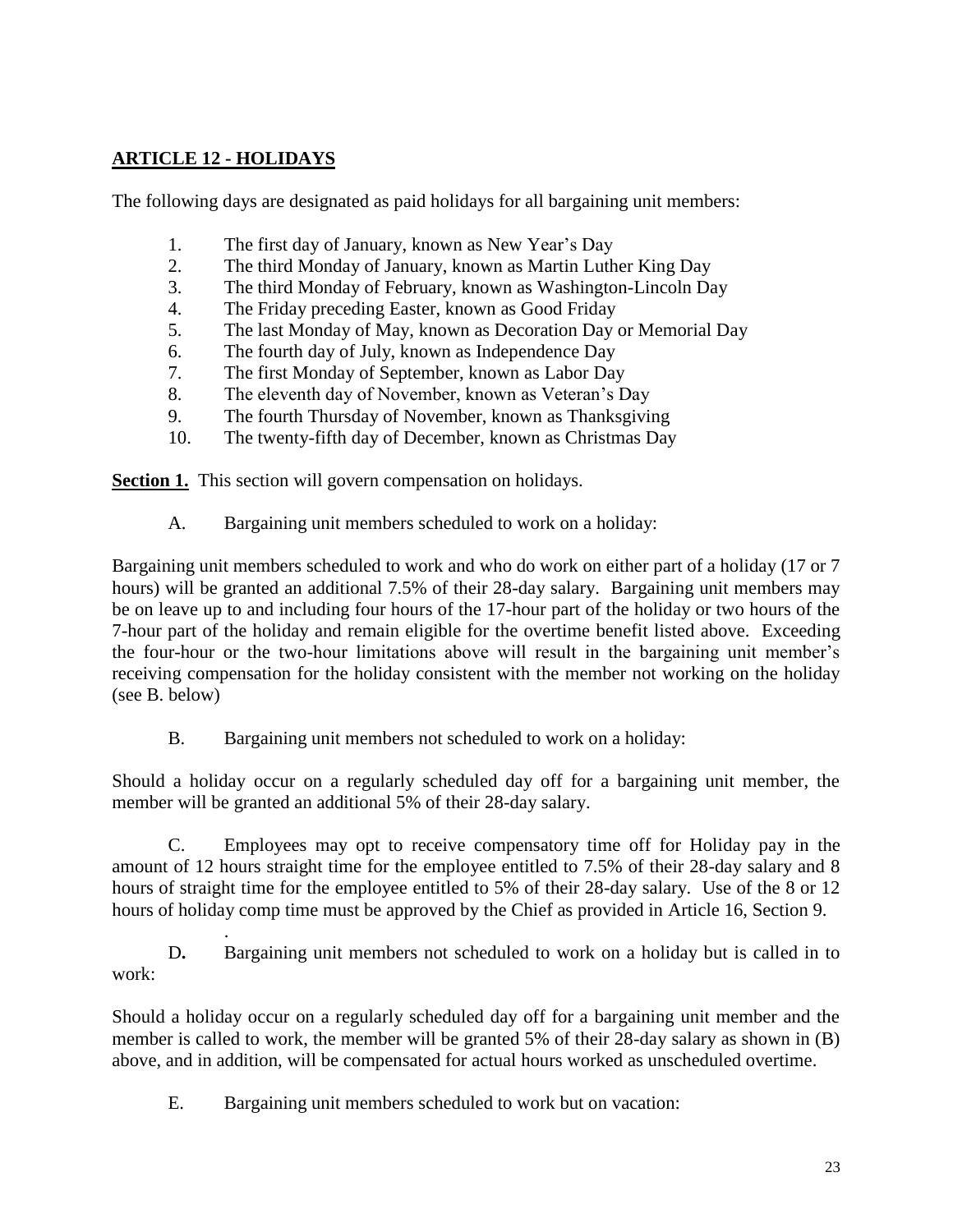#### **ARTICLE 12 - HOLIDAYS**

.

The following days are designated as paid holidays for all bargaining unit members:

- 1. The first day of January, known as New Year's Day
- 2. The third Monday of January, known as Martin Luther King Day
- 3. The third Monday of February, known as Washington-Lincoln Day
- 4. The Friday preceding Easter, known as Good Friday
- 5. The last Monday of May, known as Decoration Day or Memorial Day
- 6. The fourth day of July, known as Independence Day
- 7. The first Monday of September, known as Labor Day
- 8. The eleventh day of November, known as Veteran's Day
- 9. The fourth Thursday of November, known as Thanksgiving
- 10. The twenty-fifth day of December, known as Christmas Day

**Section 1.** This section will govern compensation on holidays.

A. Bargaining unit members scheduled to work on a holiday:

Bargaining unit members scheduled to work and who do work on either part of a holiday (17 or 7 hours) will be granted an additional 7.5% of their 28-day salary. Bargaining unit members may be on leave up to and including four hours of the 17-hour part of the holiday or two hours of the 7-hour part of the holiday and remain eligible for the overtime benefit listed above. Exceeding the four-hour or the two-hour limitations above will result in the bargaining unit member's receiving compensation for the holiday consistent with the member not working on the holiday (see B. below)

B. Bargaining unit members not scheduled to work on a holiday:

Should a holiday occur on a regularly scheduled day off for a bargaining unit member, the member will be granted an additional 5% of their 28-day salary.

C. Employees may opt to receive compensatory time off for Holiday pay in the amount of 12 hours straight time for the employee entitled to 7.5% of their 28-day salary and 8 hours of straight time for the employee entitled to 5% of their 28-day salary. Use of the 8 or 12 hours of holiday comp time must be approved by the Chief as provided in Article 16, Section 9.

D**.** Bargaining unit members not scheduled to work on a holiday but is called in to work:

Should a holiday occur on a regularly scheduled day off for a bargaining unit member and the member is called to work, the member will be granted 5% of their 28-day salary as shown in (B) above, and in addition, will be compensated for actual hours worked as unscheduled overtime.

E. Bargaining unit members scheduled to work but on vacation: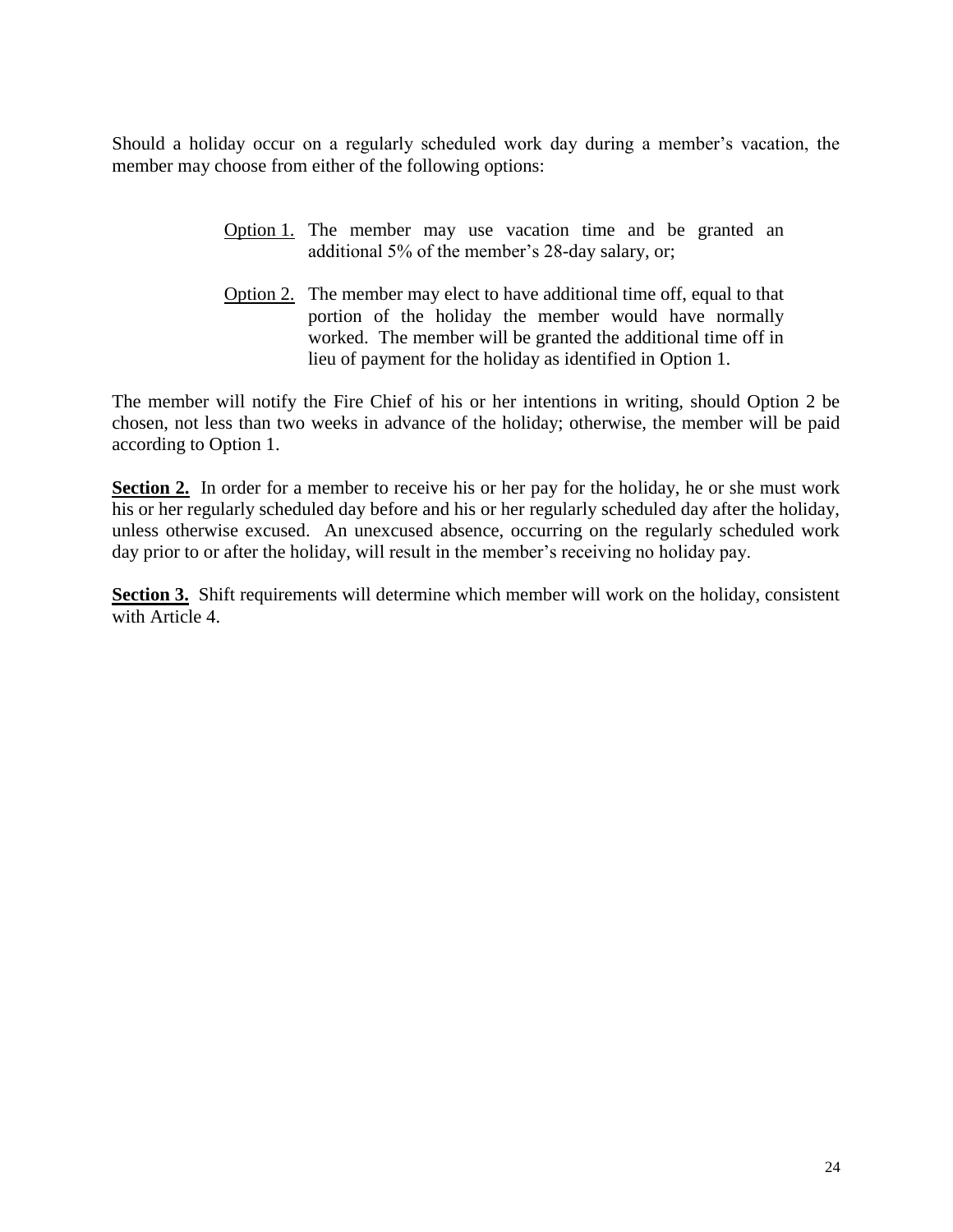Should a holiday occur on a regularly scheduled work day during a member's vacation, the member may choose from either of the following options:

- Option 1. The member may use vacation time and be granted an additional 5% of the member's 28-day salary, or;
- Option 2. The member may elect to have additional time off, equal to that portion of the holiday the member would have normally worked. The member will be granted the additional time off in lieu of payment for the holiday as identified in Option 1.

The member will notify the Fire Chief of his or her intentions in writing, should Option 2 be chosen, not less than two weeks in advance of the holiday; otherwise, the member will be paid according to Option 1.

**Section 2.** In order for a member to receive his or her pay for the holiday, he or she must work his or her regularly scheduled day before and his or her regularly scheduled day after the holiday, unless otherwise excused. An unexcused absence, occurring on the regularly scheduled work day prior to or after the holiday, will result in the member's receiving no holiday pay.

**Section 3.** Shift requirements will determine which member will work on the holiday, consistent with Article 4.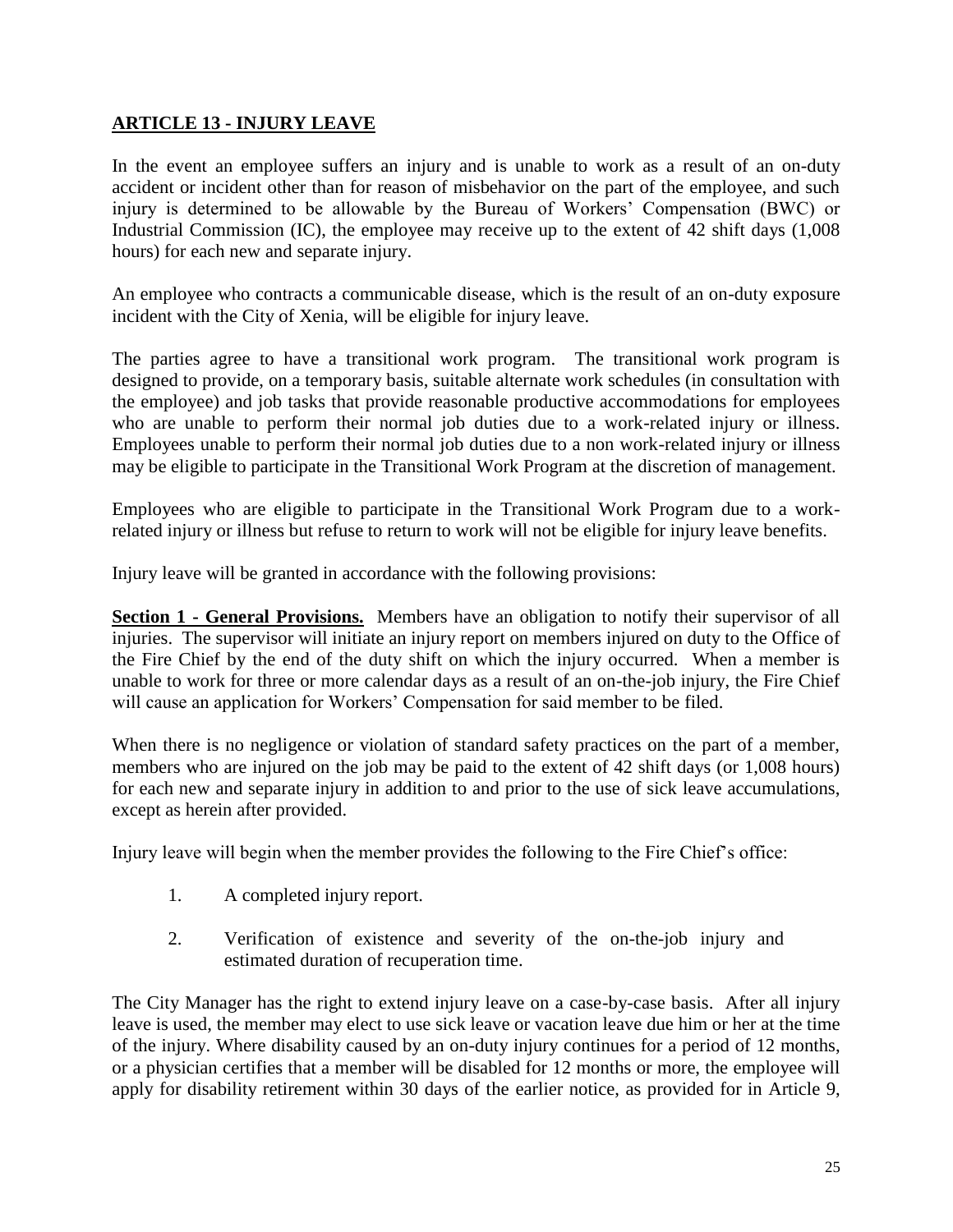#### **ARTICLE 13 - INJURY LEAVE**

In the event an employee suffers an injury and is unable to work as a result of an on-duty accident or incident other than for reason of misbehavior on the part of the employee, and such injury is determined to be allowable by the Bureau of Workers' Compensation (BWC) or Industrial Commission (IC), the employee may receive up to the extent of 42 shift days (1,008 hours) for each new and separate injury.

An employee who contracts a communicable disease, which is the result of an on-duty exposure incident with the City of Xenia, will be eligible for injury leave.

The parties agree to have a transitional work program. The transitional work program is designed to provide, on a temporary basis, suitable alternate work schedules (in consultation with the employee) and job tasks that provide reasonable productive accommodations for employees who are unable to perform their normal job duties due to a work-related injury or illness. Employees unable to perform their normal job duties due to a non work-related injury or illness may be eligible to participate in the Transitional Work Program at the discretion of management.

Employees who are eligible to participate in the Transitional Work Program due to a workrelated injury or illness but refuse to return to work will not be eligible for injury leave benefits.

Injury leave will be granted in accordance with the following provisions:

**Section 1 - General Provisions.** Members have an obligation to notify their supervisor of all injuries. The supervisor will initiate an injury report on members injured on duty to the Office of the Fire Chief by the end of the duty shift on which the injury occurred. When a member is unable to work for three or more calendar days as a result of an on-the-job injury, the Fire Chief will cause an application for Workers' Compensation for said member to be filed.

When there is no negligence or violation of standard safety practices on the part of a member, members who are injured on the job may be paid to the extent of 42 shift days (or 1,008 hours) for each new and separate injury in addition to and prior to the use of sick leave accumulations, except as herein after provided.

Injury leave will begin when the member provides the following to the Fire Chief's office:

- 1. A completed injury report.
- 2. Verification of existence and severity of the on-the-job injury and estimated duration of recuperation time.

The City Manager has the right to extend injury leave on a case-by-case basis. After all injury leave is used, the member may elect to use sick leave or vacation leave due him or her at the time of the injury. Where disability caused by an on-duty injury continues for a period of 12 months, or a physician certifies that a member will be disabled for 12 months or more, the employee will apply for disability retirement within 30 days of the earlier notice, as provided for in Article 9,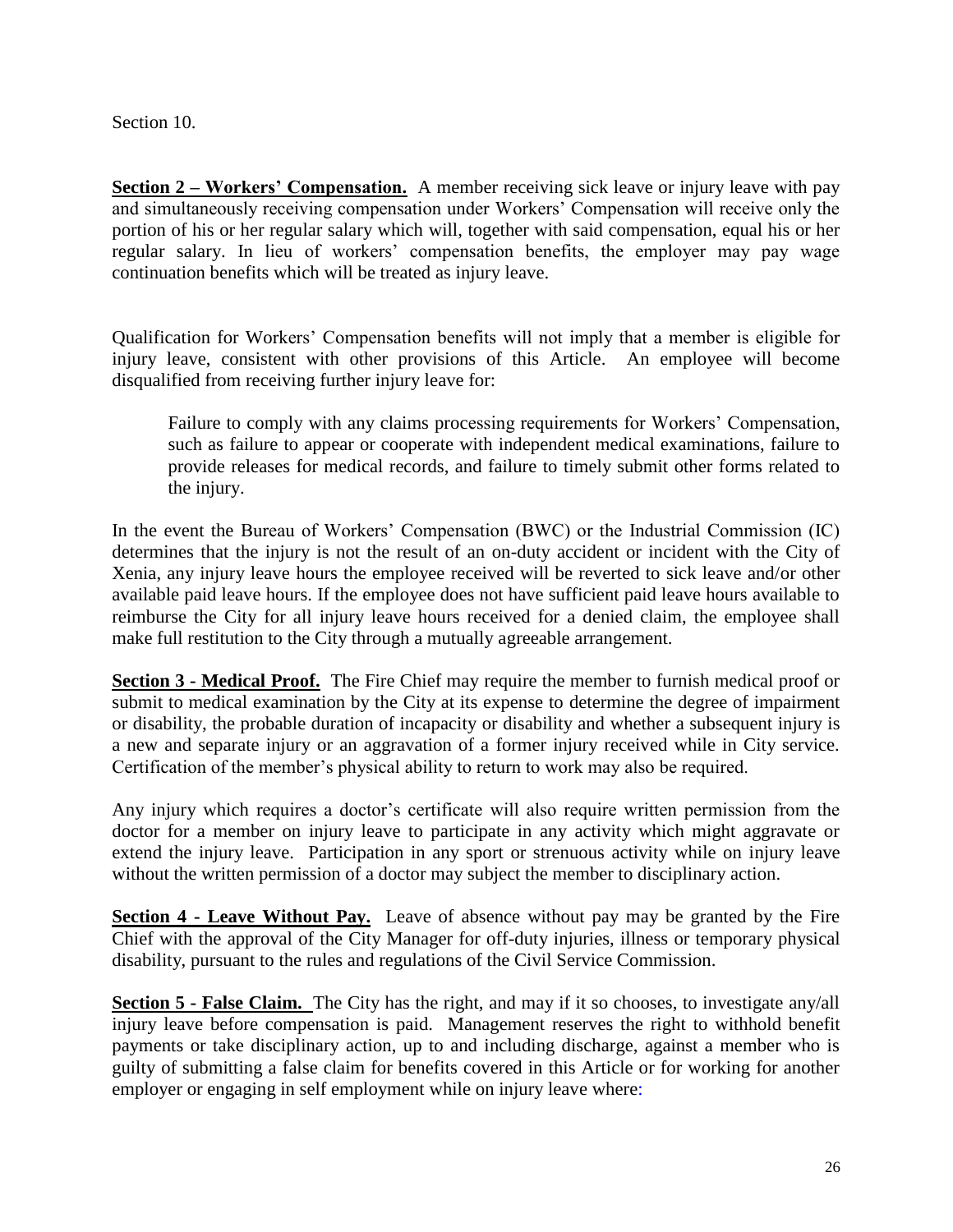Section 10.

**Section 2 – Workers' Compensation.** A member receiving sick leave or injury leave with pay and simultaneously receiving compensation under Workers' Compensation will receive only the portion of his or her regular salary which will, together with said compensation, equal his or her regular salary. In lieu of workers' compensation benefits, the employer may pay wage continuation benefits which will be treated as injury leave.

Qualification for Workers' Compensation benefits will not imply that a member is eligible for injury leave, consistent with other provisions of this Article. An employee will become disqualified from receiving further injury leave for:

Failure to comply with any claims processing requirements for Workers' Compensation, such as failure to appear or cooperate with independent medical examinations, failure to provide releases for medical records, and failure to timely submit other forms related to the injury.

In the event the Bureau of Workers' Compensation (BWC) or the Industrial Commission (IC) determines that the injury is not the result of an on-duty accident or incident with the City of Xenia, any injury leave hours the employee received will be reverted to sick leave and/or other available paid leave hours. If the employee does not have sufficient paid leave hours available to reimburse the City for all injury leave hours received for a denied claim, the employee shall make full restitution to the City through a mutually agreeable arrangement.

**Section 3 - Medical Proof.** The Fire Chief may require the member to furnish medical proof or submit to medical examination by the City at its expense to determine the degree of impairment or disability, the probable duration of incapacity or disability and whether a subsequent injury is a new and separate injury or an aggravation of a former injury received while in City service. Certification of the member's physical ability to return to work may also be required.

Any injury which requires a doctor's certificate will also require written permission from the doctor for a member on injury leave to participate in any activity which might aggravate or extend the injury leave. Participation in any sport or strenuous activity while on injury leave without the written permission of a doctor may subject the member to disciplinary action.

**Section 4 - Leave Without Pay.** Leave of absence without pay may be granted by the Fire Chief with the approval of the City Manager for off-duty injuries, illness or temporary physical disability, pursuant to the rules and regulations of the Civil Service Commission.

**Section 5 - False Claim.** The City has the right, and may if it so chooses, to investigate any/all injury leave before compensation is paid. Management reserves the right to withhold benefit payments or take disciplinary action, up to and including discharge, against a member who is guilty of submitting a false claim for benefits covered in this Article or for working for another employer or engaging in self employment while on injury leave where: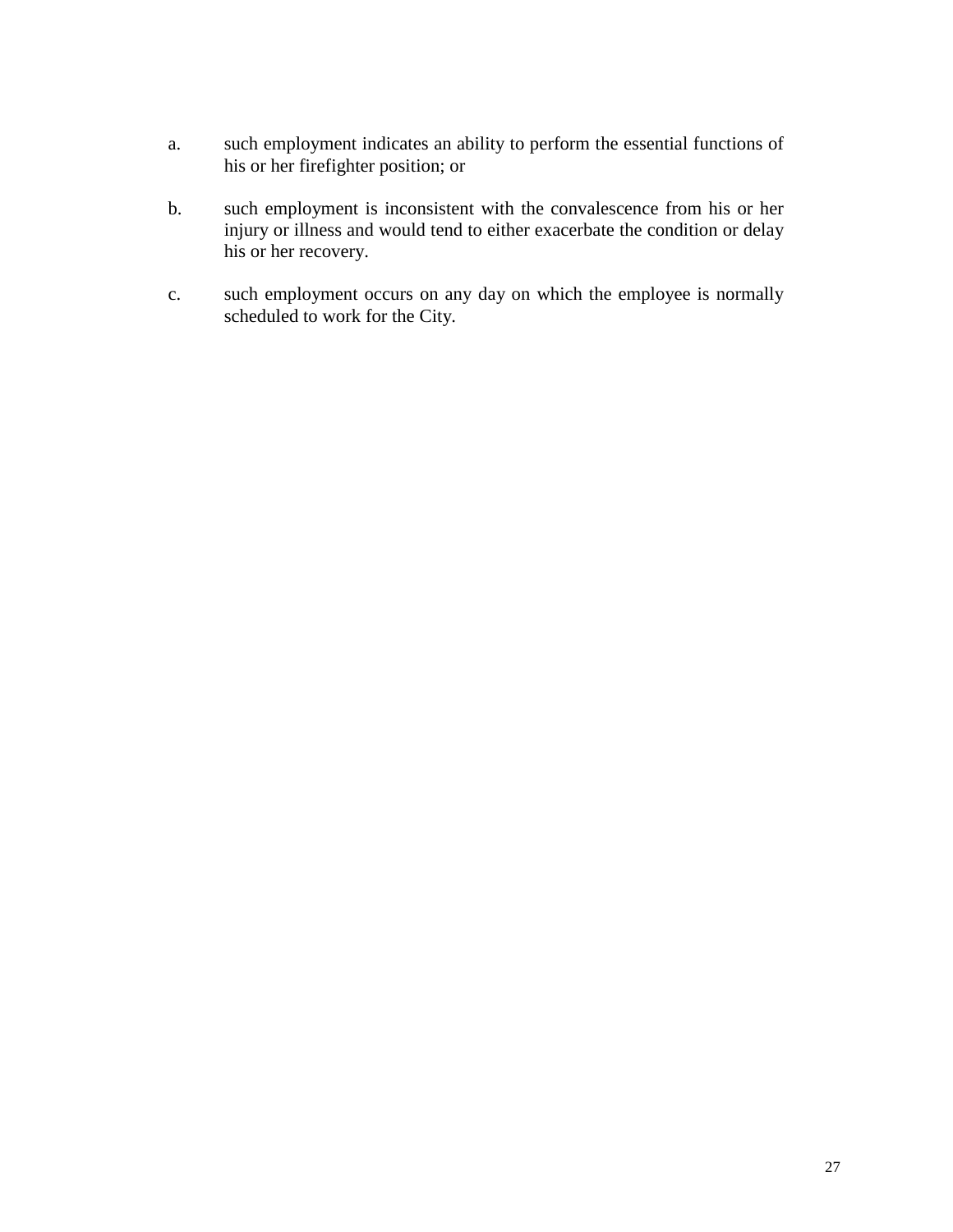- a. such employment indicates an ability to perform the essential functions of his or her firefighter position; or
- b. such employment is inconsistent with the convalescence from his or her injury or illness and would tend to either exacerbate the condition or delay his or her recovery.
- c. such employment occurs on any day on which the employee is normally scheduled to work for the City.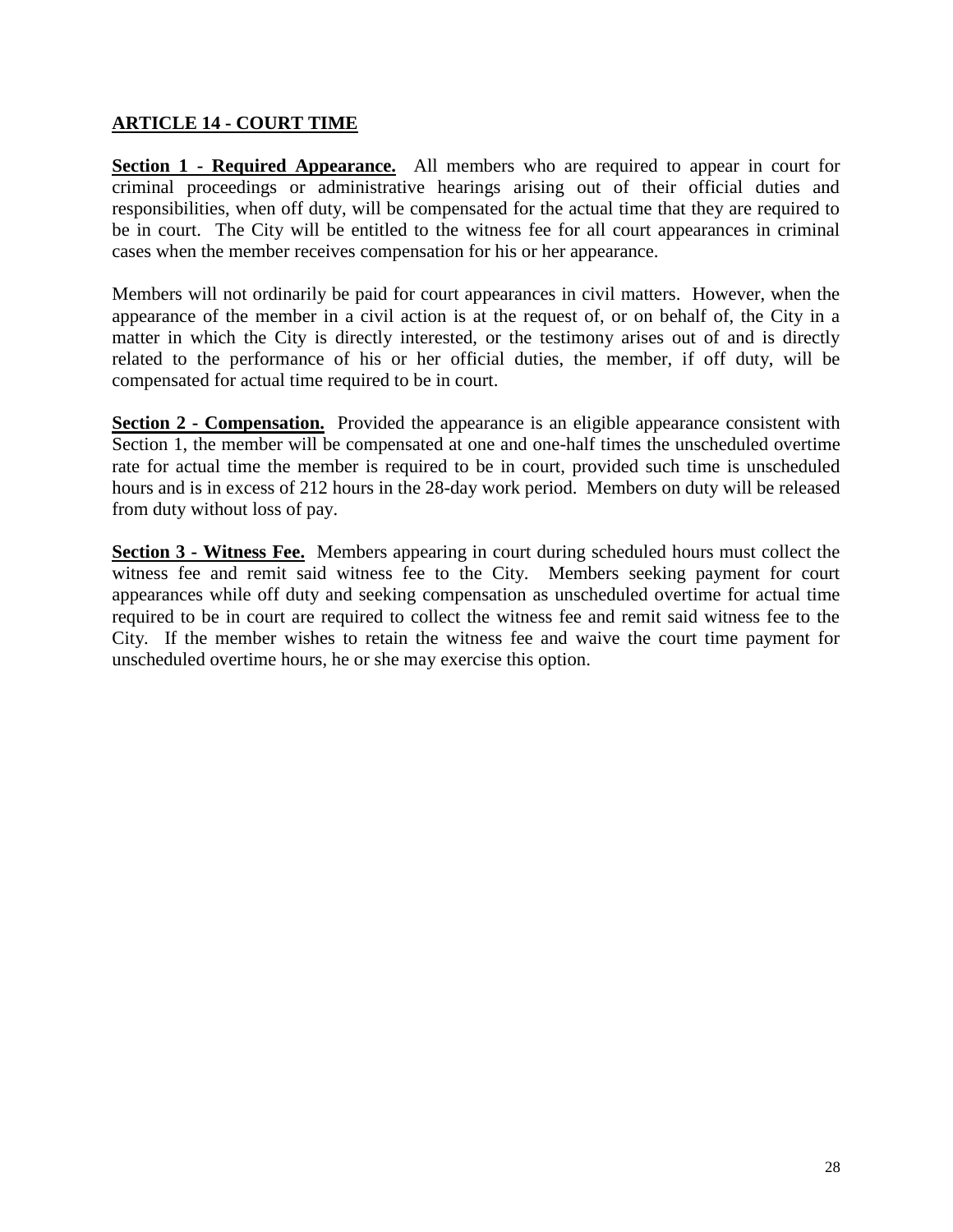#### **ARTICLE 14 - COURT TIME**

**Section 1 - Required Appearance.** All members who are required to appear in court for criminal proceedings or administrative hearings arising out of their official duties and responsibilities, when off duty, will be compensated for the actual time that they are required to be in court. The City will be entitled to the witness fee for all court appearances in criminal cases when the member receives compensation for his or her appearance.

Members will not ordinarily be paid for court appearances in civil matters. However, when the appearance of the member in a civil action is at the request of, or on behalf of, the City in a matter in which the City is directly interested, or the testimony arises out of and is directly related to the performance of his or her official duties, the member, if off duty, will be compensated for actual time required to be in court.

**Section 2 - Compensation.** Provided the appearance is an eligible appearance consistent with Section 1, the member will be compensated at one and one-half times the unscheduled overtime rate for actual time the member is required to be in court, provided such time is unscheduled hours and is in excess of 212 hours in the 28-day work period. Members on duty will be released from duty without loss of pay.

**Section 3 - Witness Fee.** Members appearing in court during scheduled hours must collect the witness fee and remit said witness fee to the City. Members seeking payment for court appearances while off duty and seeking compensation as unscheduled overtime for actual time required to be in court are required to collect the witness fee and remit said witness fee to the City. If the member wishes to retain the witness fee and waive the court time payment for unscheduled overtime hours, he or she may exercise this option.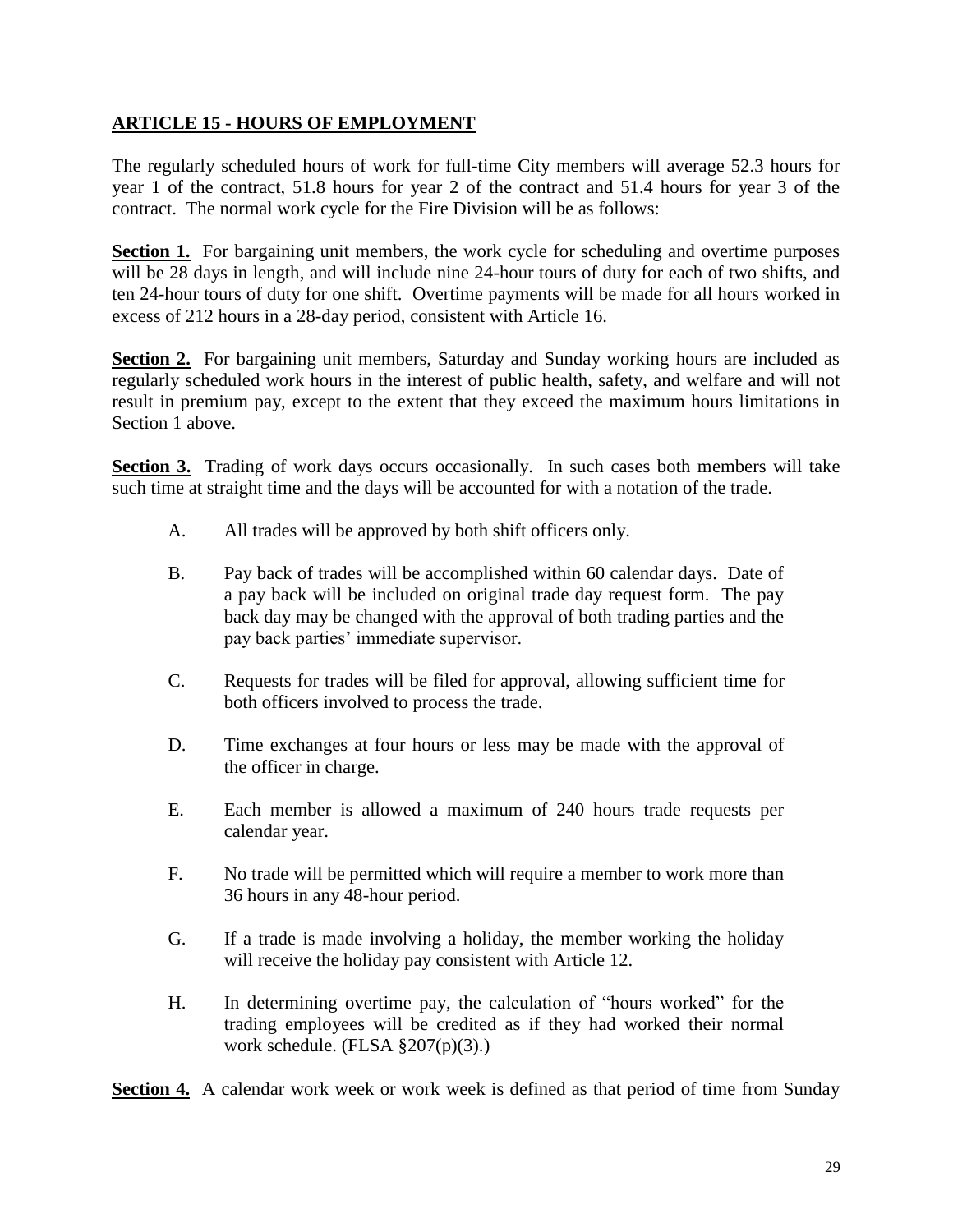#### **ARTICLE 15 - HOURS OF EMPLOYMENT**

The regularly scheduled hours of work for full-time City members will average 52.3 hours for year 1 of the contract, 51.8 hours for year 2 of the contract and 51.4 hours for year 3 of the contract. The normal work cycle for the Fire Division will be as follows:

**Section 1.** For bargaining unit members, the work cycle for scheduling and overtime purposes will be 28 days in length, and will include nine 24-hour tours of duty for each of two shifts, and ten 24-hour tours of duty for one shift. Overtime payments will be made for all hours worked in excess of 212 hours in a 28-day period, consistent with Article 16.

**Section 2.** For bargaining unit members, Saturday and Sunday working hours are included as regularly scheduled work hours in the interest of public health, safety, and welfare and will not result in premium pay, except to the extent that they exceed the maximum hours limitations in Section 1 above.

**Section 3.** Trading of work days occurs occasionally. In such cases both members will take such time at straight time and the days will be accounted for with a notation of the trade.

- A. All trades will be approved by both shift officers only.
- B. Pay back of trades will be accomplished within 60 calendar days. Date of a pay back will be included on original trade day request form. The pay back day may be changed with the approval of both trading parties and the pay back parties' immediate supervisor.
- C. Requests for trades will be filed for approval, allowing sufficient time for both officers involved to process the trade.
- D. Time exchanges at four hours or less may be made with the approval of the officer in charge.
- E. Each member is allowed a maximum of 240 hours trade requests per calendar year.
- F. No trade will be permitted which will require a member to work more than 36 hours in any 48-hour period.
- G. If a trade is made involving a holiday, the member working the holiday will receive the holiday pay consistent with Article 12.
- H. In determining overtime pay, the calculation of "hours worked" for the trading employees will be credited as if they had worked their normal work schedule. (FLSA §207(p)(3).)

**Section 4.** A calendar work week or work week is defined as that period of time from Sunday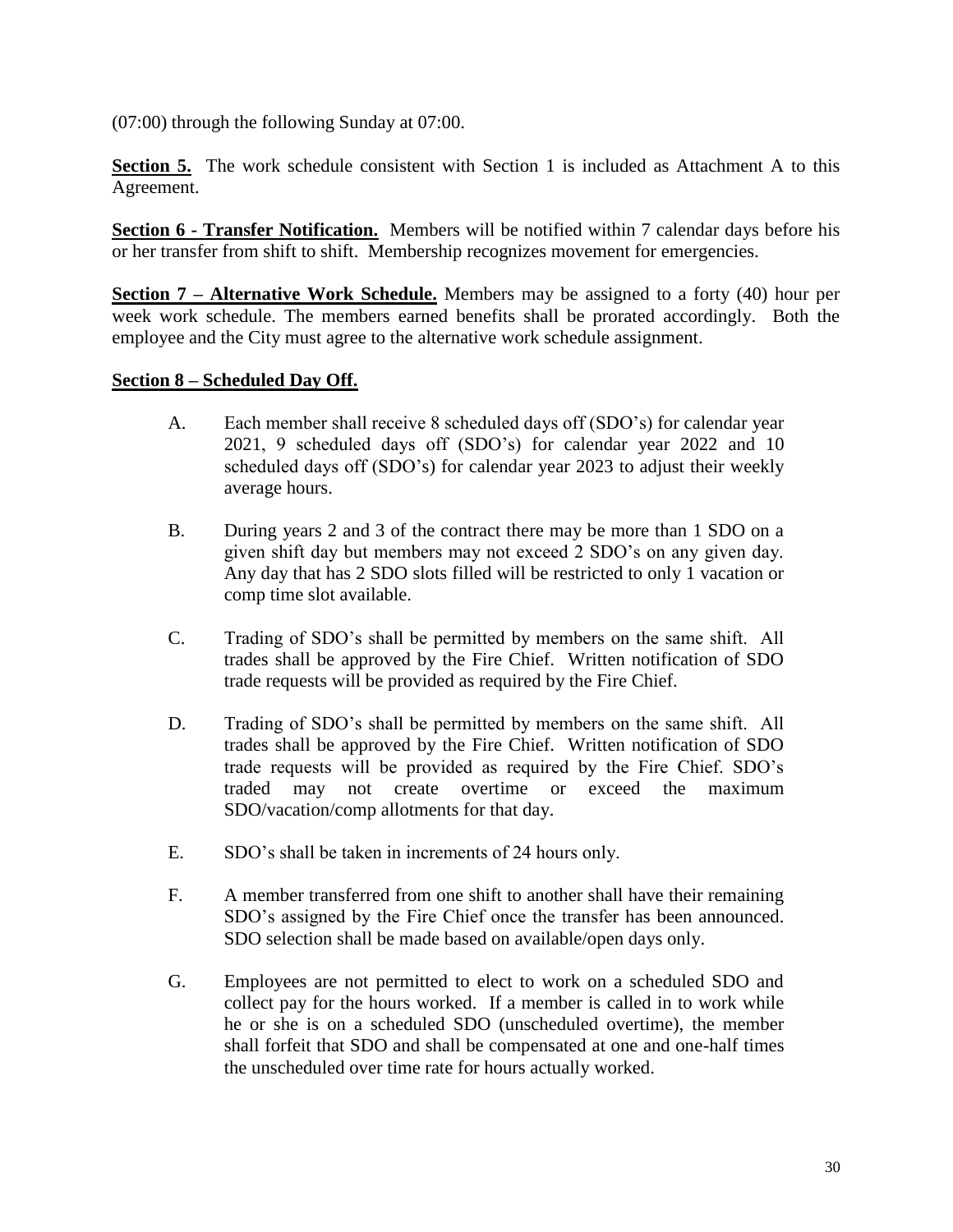(07:00) through the following Sunday at 07:00.

**Section 5.** The work schedule consistent with Section 1 is included as Attachment A to this Agreement.

**Section 6 - Transfer Notification.** Members will be notified within 7 calendar days before his or her transfer from shift to shift. Membership recognizes movement for emergencies.

**Section 7 – Alternative Work Schedule.** Members may be assigned to a forty (40) hour per week work schedule. The members earned benefits shall be prorated accordingly. Both the employee and the City must agree to the alternative work schedule assignment.

#### **Section 8 – Scheduled Day Off.**

- A. Each member shall receive 8 scheduled days off (SDO's) for calendar year 2021, 9 scheduled days off (SDO's) for calendar year 2022 and 10 scheduled days off (SDO's) for calendar year 2023 to adjust their weekly average hours.
- B. During years 2 and 3 of the contract there may be more than 1 SDO on a given shift day but members may not exceed 2 SDO's on any given day. Any day that has 2 SDO slots filled will be restricted to only 1 vacation or comp time slot available.
- C. Trading of SDO's shall be permitted by members on the same shift. All trades shall be approved by the Fire Chief. Written notification of SDO trade requests will be provided as required by the Fire Chief.
- D. Trading of SDO's shall be permitted by members on the same shift. All trades shall be approved by the Fire Chief. Written notification of SDO trade requests will be provided as required by the Fire Chief. SDO's traded may not create overtime or exceed the maximum SDO/vacation/comp allotments for that day.
- E. SDO's shall be taken in increments of 24 hours only.
- F. A member transferred from one shift to another shall have their remaining SDO's assigned by the Fire Chief once the transfer has been announced. SDO selection shall be made based on available/open days only.
- G. Employees are not permitted to elect to work on a scheduled SDO and collect pay for the hours worked. If a member is called in to work while he or she is on a scheduled SDO (unscheduled overtime), the member shall forfeit that SDO and shall be compensated at one and one-half times the unscheduled over time rate for hours actually worked.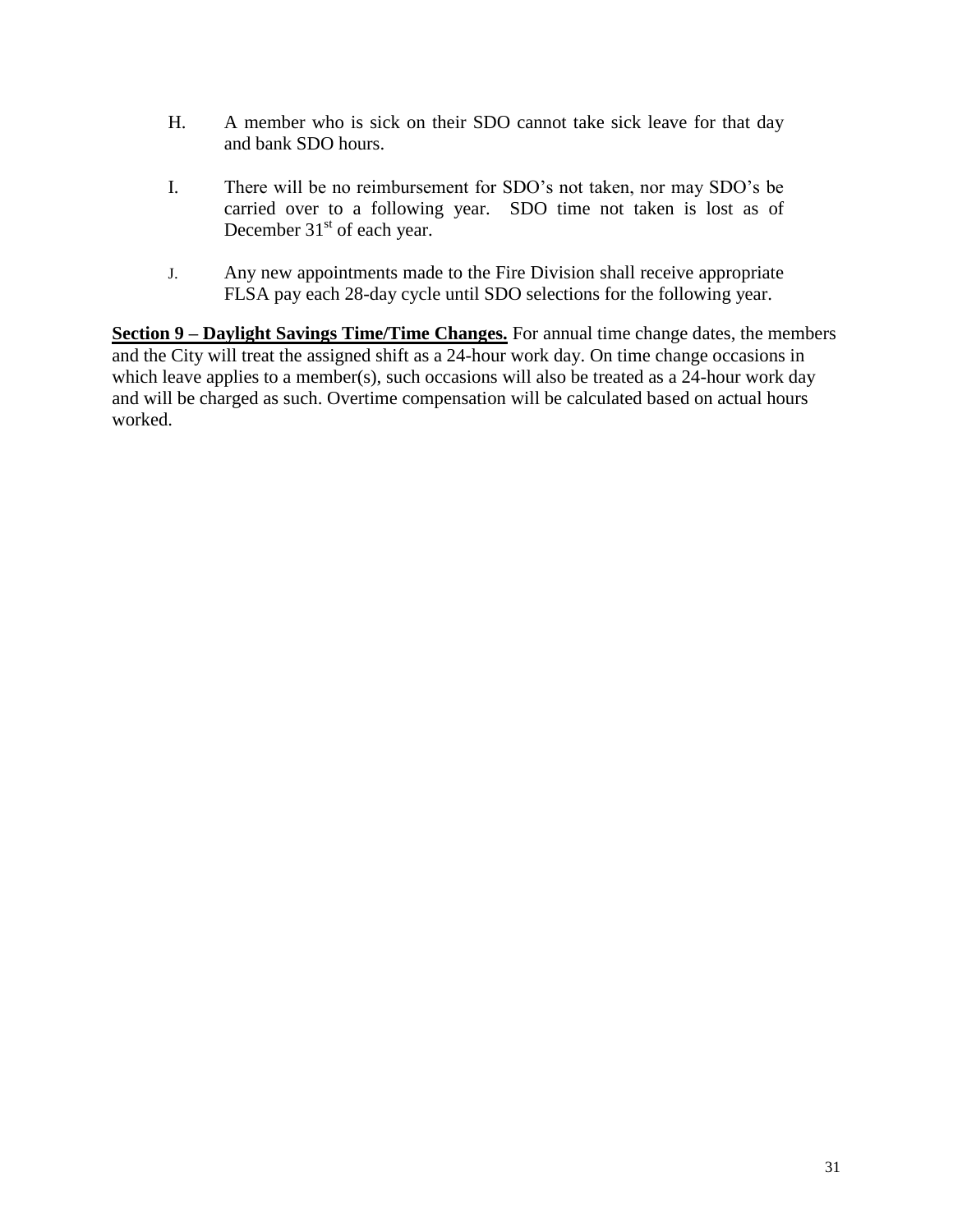- H. A member who is sick on their SDO cannot take sick leave for that day and bank SDO hours.
- I. There will be no reimbursement for SDO's not taken, nor may SDO's be carried over to a following year. SDO time not taken is lost as of December  $31<sup>st</sup>$  of each year.
- J. Any new appointments made to the Fire Division shall receive appropriate FLSA pay each 28-day cycle until SDO selections for the following year.

**Section 9 – Daylight Savings Time/Time Changes.** For annual time change dates, the members and the City will treat the assigned shift as a 24-hour work day. On time change occasions in which leave applies to a member(s), such occasions will also be treated as a 24-hour work day and will be charged as such. Overtime compensation will be calculated based on actual hours worked.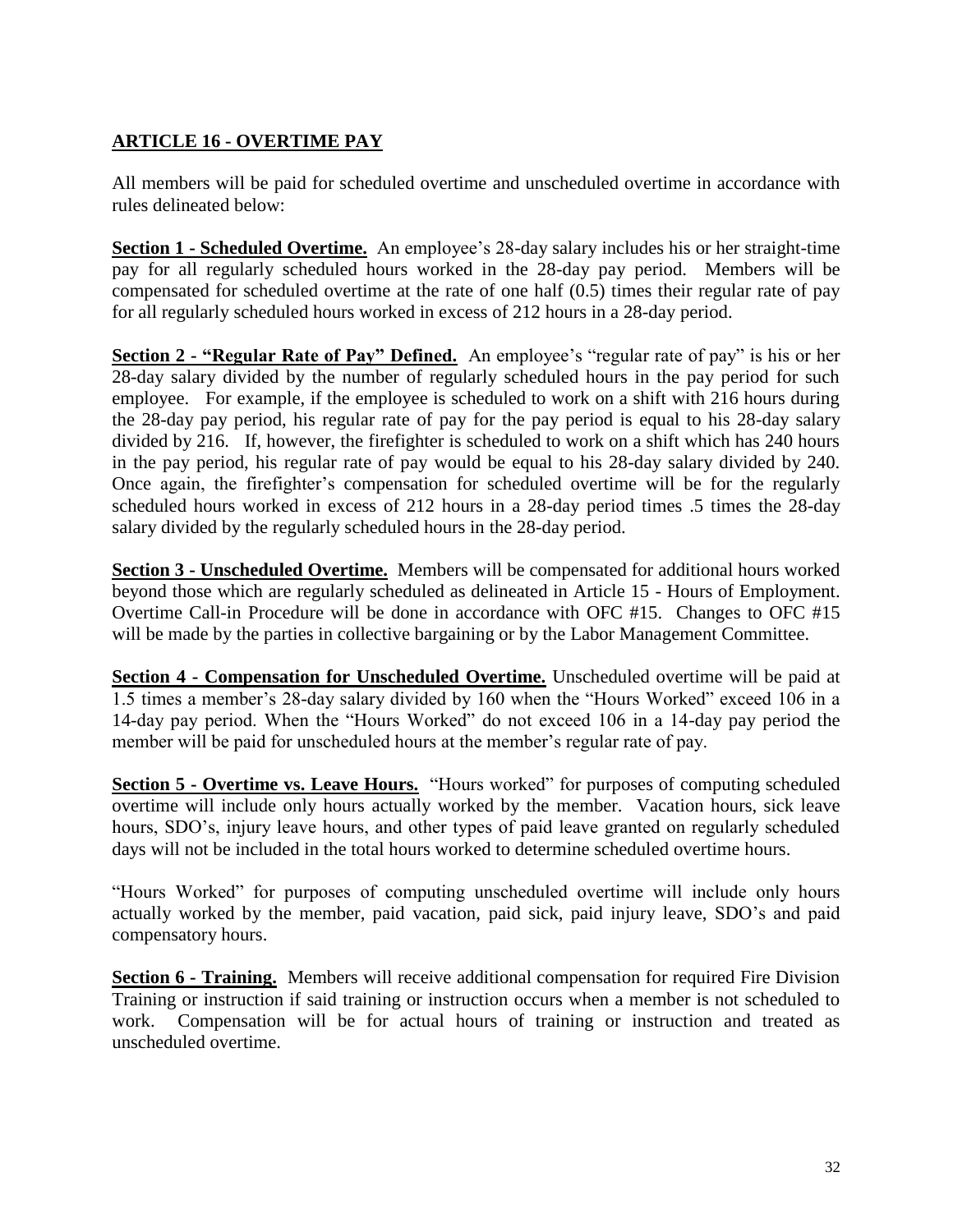#### **ARTICLE 16 - OVERTIME PAY**

All members will be paid for scheduled overtime and unscheduled overtime in accordance with rules delineated below:

**Section 1 - Scheduled Overtime.** An employee's 28-day salary includes his or her straight-time pay for all regularly scheduled hours worked in the 28-day pay period.Members will be compensated for scheduled overtime at the rate of one half (0.5) times their regular rate of pay for all regularly scheduled hours worked in excess of 212 hours in a 28-day period.

**Section 2 - "Regular Rate of Pay" Defined.** An employee's "regular rate of pay" is his or her 28-day salary divided by the number of regularly scheduled hours in the pay period for such employee. For example, if the employee is scheduled to work on a shift with 216 hours during the 28-day pay period, his regular rate of pay for the pay period is equal to his 28-day salary divided by 216. If, however, the firefighter is scheduled to work on a shift which has 240 hours in the pay period, his regular rate of pay would be equal to his 28-day salary divided by 240. Once again, the firefighter's compensation for scheduled overtime will be for the regularly scheduled hours worked in excess of 212 hours in a 28-day period times .5 times the 28-day salary divided by the regularly scheduled hours in the 28-day period.

**Section 3 - Unscheduled Overtime.** Members will be compensated for additional hours worked beyond those which are regularly scheduled as delineated in Article 15 - Hours of Employment. Overtime Call-in Procedure will be done in accordance with OFC #15. Changes to OFC #15 will be made by the parties in collective bargaining or by the Labor Management Committee.

**Section 4 - Compensation for Unscheduled Overtime.** Unscheduled overtime will be paid at 1.5 times a member's 28-day salary divided by 160 when the "Hours Worked" exceed 106 in a 14-day pay period. When the "Hours Worked" do not exceed 106 in a 14-day pay period the member will be paid for unscheduled hours at the member's regular rate of pay.

**Section 5 - Overtime vs. Leave Hours.** "Hours worked" for purposes of computing scheduled overtime will include only hours actually worked by the member. Vacation hours, sick leave hours, SDO's, injury leave hours, and other types of paid leave granted on regularly scheduled days will not be included in the total hours worked to determine scheduled overtime hours.

"Hours Worked" for purposes of computing unscheduled overtime will include only hours actually worked by the member, paid vacation, paid sick, paid injury leave, SDO's and paid compensatory hours.

**Section 6 - Training.** Members will receive additional compensation for required Fire Division Training or instruction if said training or instruction occurs when a member is not scheduled to work. Compensation will be for actual hours of training or instruction and treated as unscheduled overtime.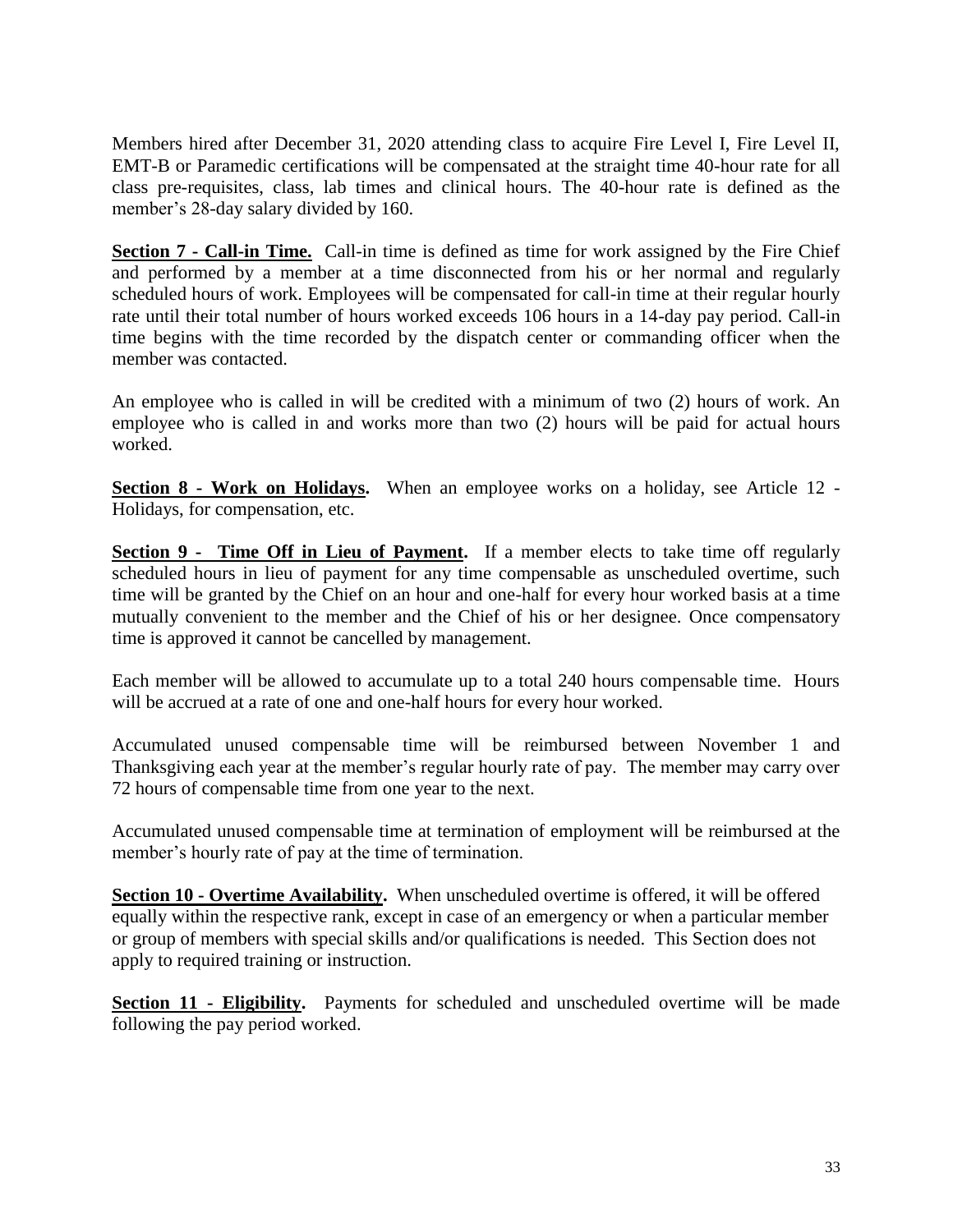Members hired after December 31, 2020 attending class to acquire Fire Level I, Fire Level II, EMT-B or Paramedic certifications will be compensated at the straight time 40-hour rate for all class pre-requisites, class, lab times and clinical hours. The 40-hour rate is defined as the member's 28-day salary divided by 160.

**Section 7 - Call-in Time.** Call-in time is defined as time for work assigned by the Fire Chief and performed by a member at a time disconnected from his or her normal and regularly scheduled hours of work. Employees will be compensated for call-in time at their regular hourly rate until their total number of hours worked exceeds 106 hours in a 14-day pay period. Call-in time begins with the time recorded by the dispatch center or commanding officer when the member was contacted.

An employee who is called in will be credited with a minimum of two (2) hours of work. An employee who is called in and works more than two (2) hours will be paid for actual hours worked.

**Section 8 - Work on Holidays.** When an employee works on a holiday, see Article 12 - Holidays, for compensation, etc.

**Section 9 - Time Off in Lieu of Payment.** If a member elects to take time off regularly scheduled hours in lieu of payment for any time compensable as unscheduled overtime, such time will be granted by the Chief on an hour and one-half for every hour worked basis at a time mutually convenient to the member and the Chief of his or her designee. Once compensatory time is approved it cannot be cancelled by management.

Each member will be allowed to accumulate up to a total 240 hours compensable time. Hours will be accrued at a rate of one and one-half hours for every hour worked.

Accumulated unused compensable time will be reimbursed between November 1 and Thanksgiving each year at the member's regular hourly rate of pay. The member may carry over 72 hours of compensable time from one year to the next.

Accumulated unused compensable time at termination of employment will be reimbursed at the member's hourly rate of pay at the time of termination.

**Section 10 - Overtime Availability.** When unscheduled overtime is offered, it will be offered equally within the respective rank, except in case of an emergency or when a particular member or group of members with special skills and/or qualifications is needed. This Section does not apply to required training or instruction.

**Section 11 - Eligibility.** Payments for scheduled and unscheduled overtime will be made following the pay period worked.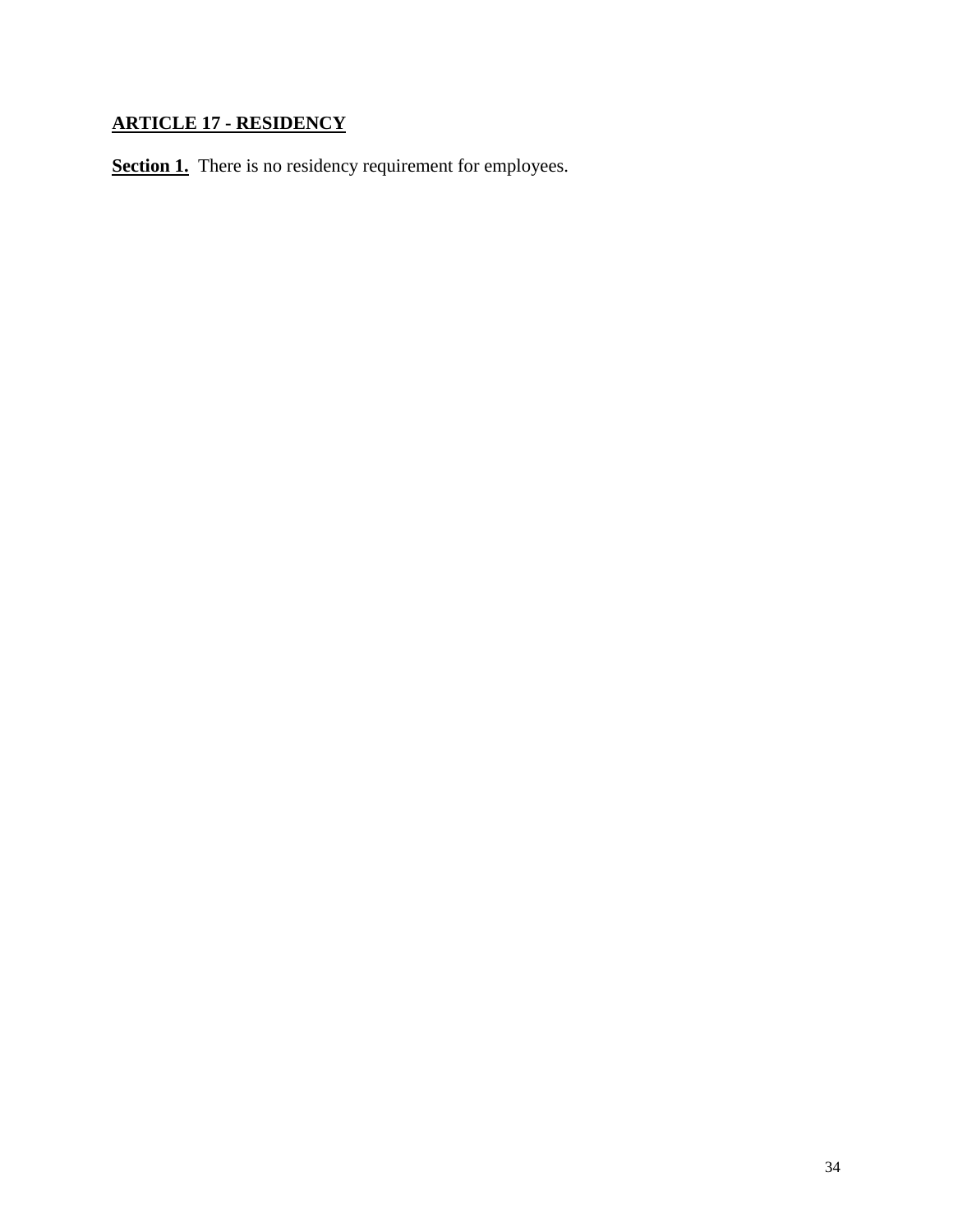# **ARTICLE 17 - RESIDENCY**

**Section 1.** There is no residency requirement for employees.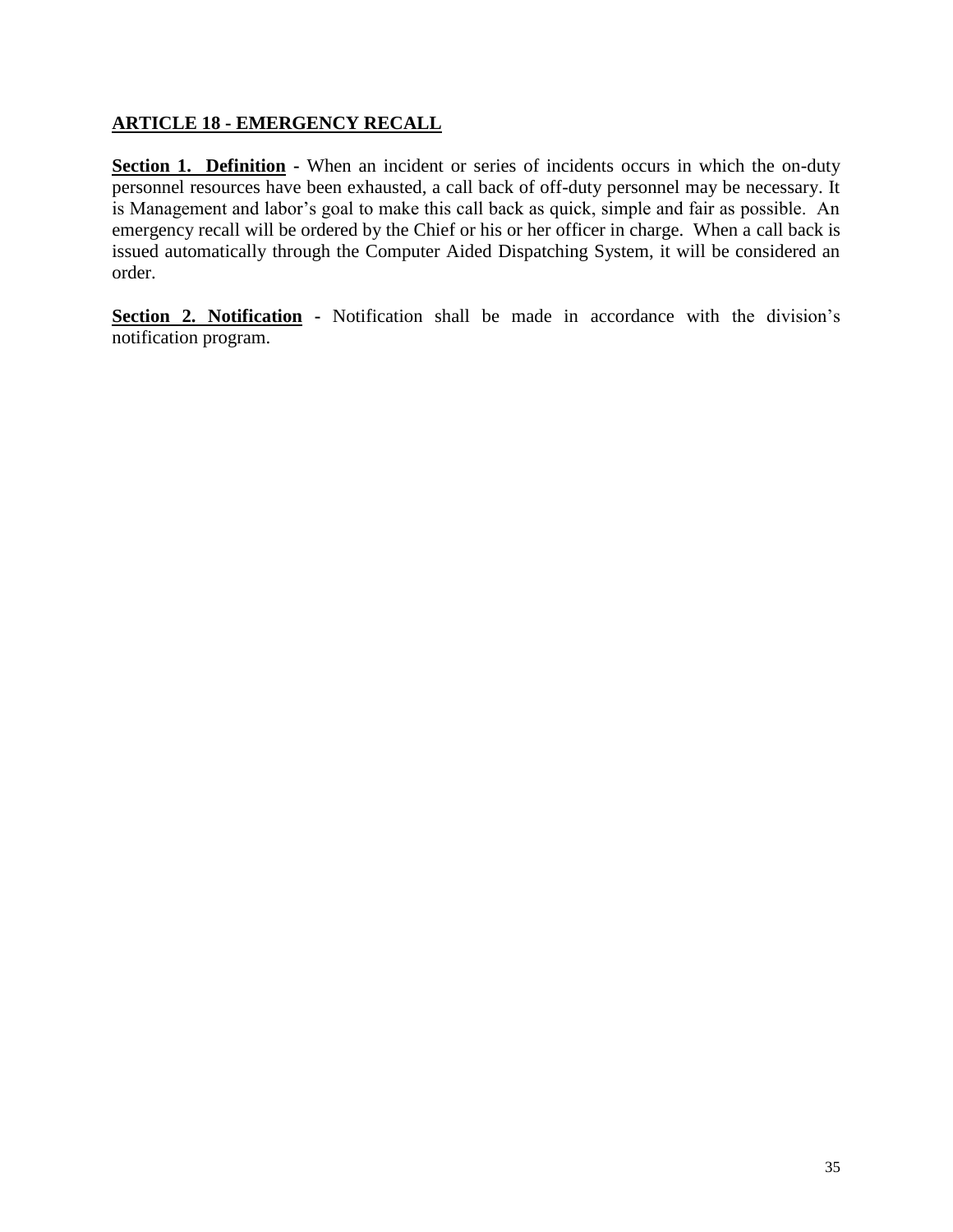#### **ARTICLE 18 - EMERGENCY RECALL**

**Section 1. Definition -** When an incident or series of incidents occurs in which the on-duty personnel resources have been exhausted, a call back of off-duty personnel may be necessary. It is Management and labor's goal to make this call back as quick, simple and fair as possible. An emergency recall will be ordered by the Chief or his or her officer in charge. When a call back is issued automatically through the Computer Aided Dispatching System, it will be considered an order.

**Section 2. Notification -** Notification shall be made in accordance with the division's notification program.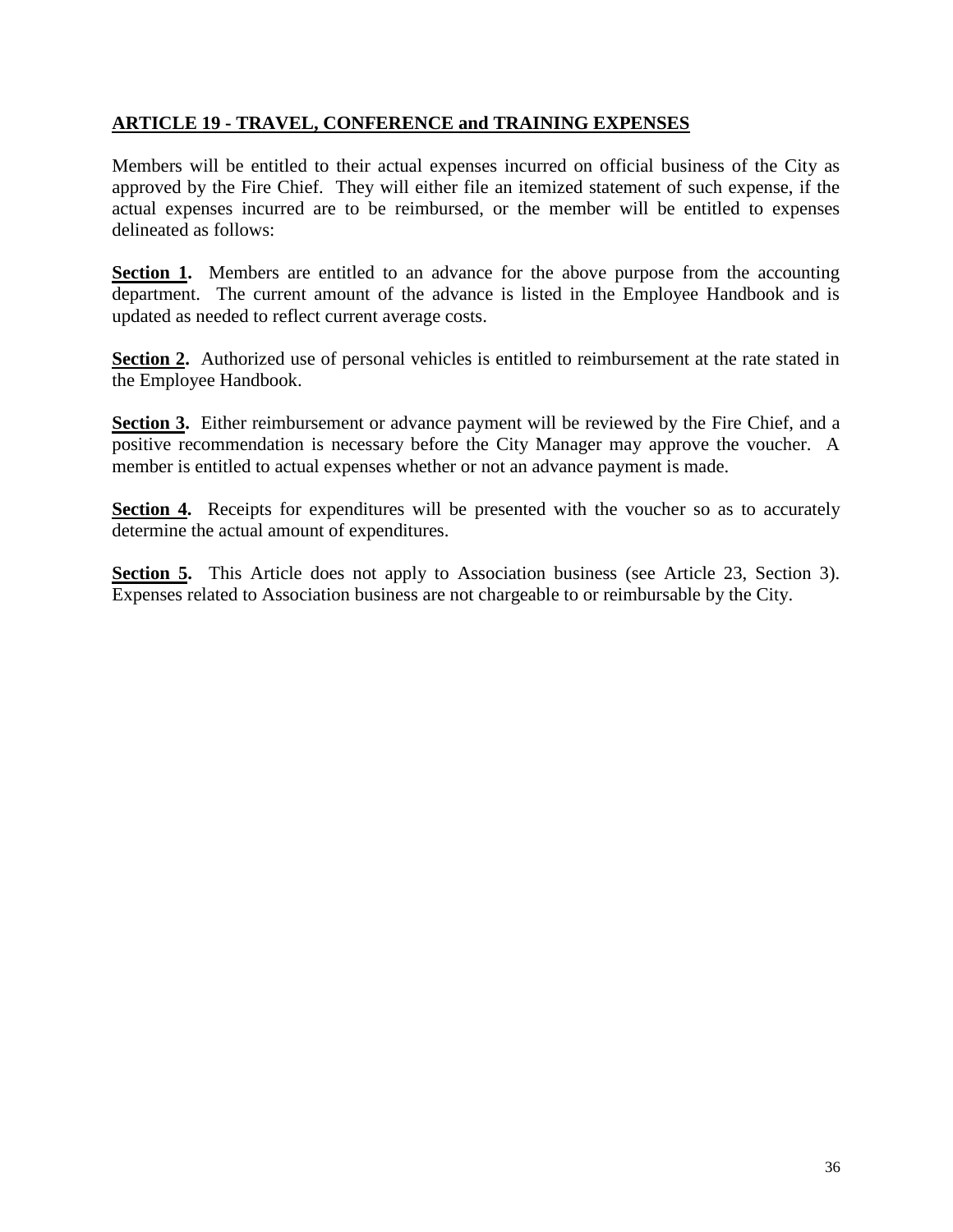#### **ARTICLE 19 - TRAVEL, CONFERENCE and TRAINING EXPENSES**

Members will be entitled to their actual expenses incurred on official business of the City as approved by the Fire Chief. They will either file an itemized statement of such expense, if the actual expenses incurred are to be reimbursed, or the member will be entitled to expenses delineated as follows:

**Section 1.** Members are entitled to an advance for the above purpose from the accounting department. The current amount of the advance is listed in the Employee Handbook and is updated as needed to reflect current average costs.

**Section 2.** Authorized use of personal vehicles is entitled to reimbursement at the rate stated in the Employee Handbook.

**Section 3.** Either reimbursement or advance payment will be reviewed by the Fire Chief, and a positive recommendation is necessary before the City Manager may approve the voucher. A member is entitled to actual expenses whether or not an advance payment is made.

**Section 4.** Receipts for expenditures will be presented with the voucher so as to accurately determine the actual amount of expenditures.

**Section 5.** This Article does not apply to Association business (see Article 23, Section 3). Expenses related to Association business are not chargeable to or reimbursable by the City.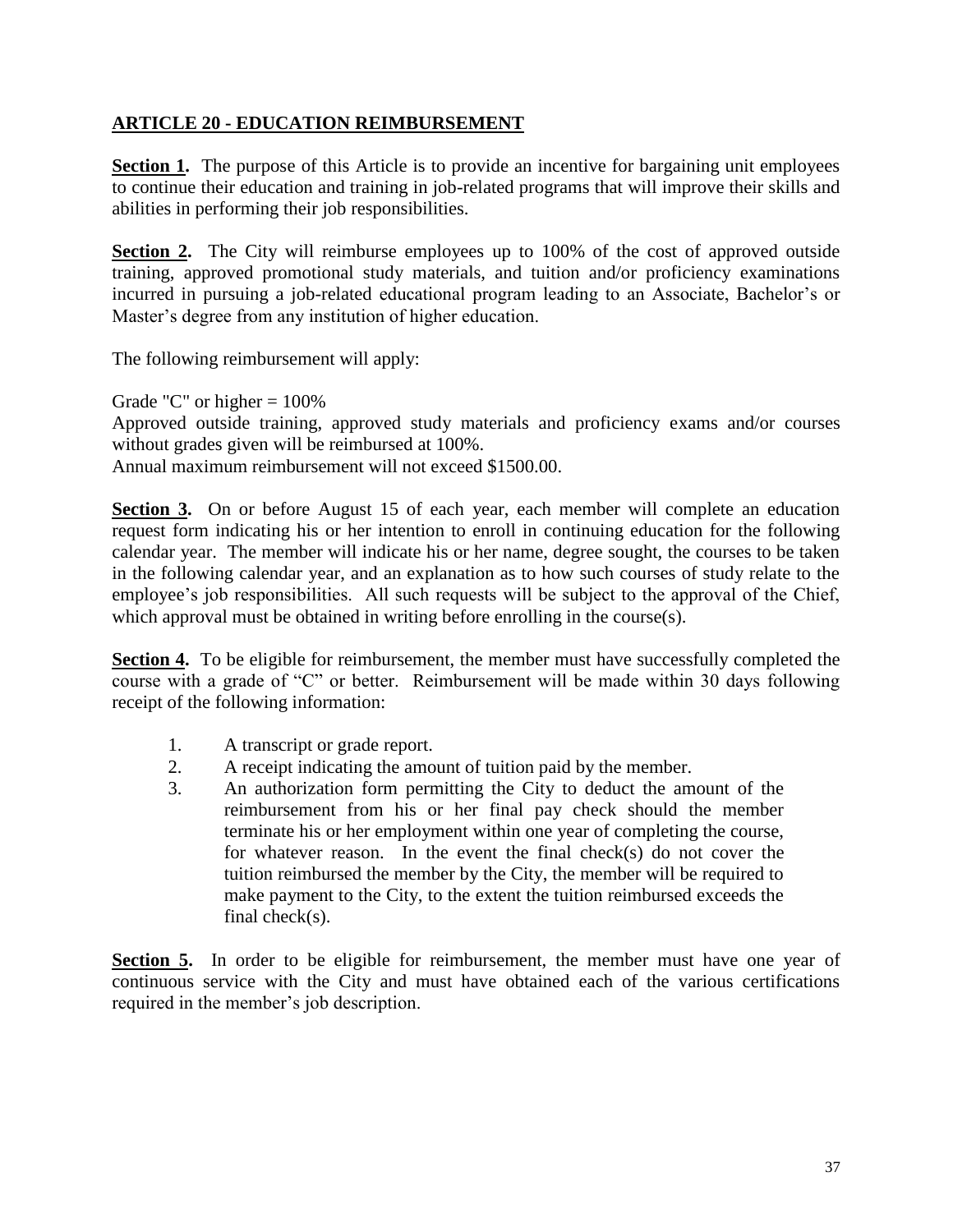#### **ARTICLE 20 - EDUCATION REIMBURSEMENT**

**Section 1.** The purpose of this Article is to provide an incentive for bargaining unit employees to continue their education and training in job-related programs that will improve their skills and abilities in performing their job responsibilities.

**Section 2.** The City will reimburse employees up to 100% of the cost of approved outside training, approved promotional study materials, and tuition and/or proficiency examinations incurred in pursuing a job-related educational program leading to an Associate, Bachelor's or Master's degree from any institution of higher education.

The following reimbursement will apply:

Grade "C" or higher  $= 100\%$ 

Approved outside training, approved study materials and proficiency exams and/or courses without grades given will be reimbursed at 100%.

Annual maximum reimbursement will not exceed \$1500.00.

**Section 3.** On or before August 15 of each year, each member will complete an education request form indicating his or her intention to enroll in continuing education for the following calendar year. The member will indicate his or her name, degree sought, the courses to be taken in the following calendar year, and an explanation as to how such courses of study relate to the employee's job responsibilities. All such requests will be subject to the approval of the Chief, which approval must be obtained in writing before enrolling in the course(s).

**Section 4.** To be eligible for reimbursement, the member must have successfully completed the course with a grade of "C" or better. Reimbursement will be made within 30 days following receipt of the following information:

- 1. A transcript or grade report.
- 2. A receipt indicating the amount of tuition paid by the member.
- 3. An authorization form permitting the City to deduct the amount of the reimbursement from his or her final pay check should the member terminate his or her employment within one year of completing the course, for whatever reason. In the event the final check(s) do not cover the tuition reimbursed the member by the City, the member will be required to make payment to the City, to the extent the tuition reimbursed exceeds the final check(s).

Section 5. In order to be eligible for reimbursement, the member must have one year of continuous service with the City and must have obtained each of the various certifications required in the member's job description.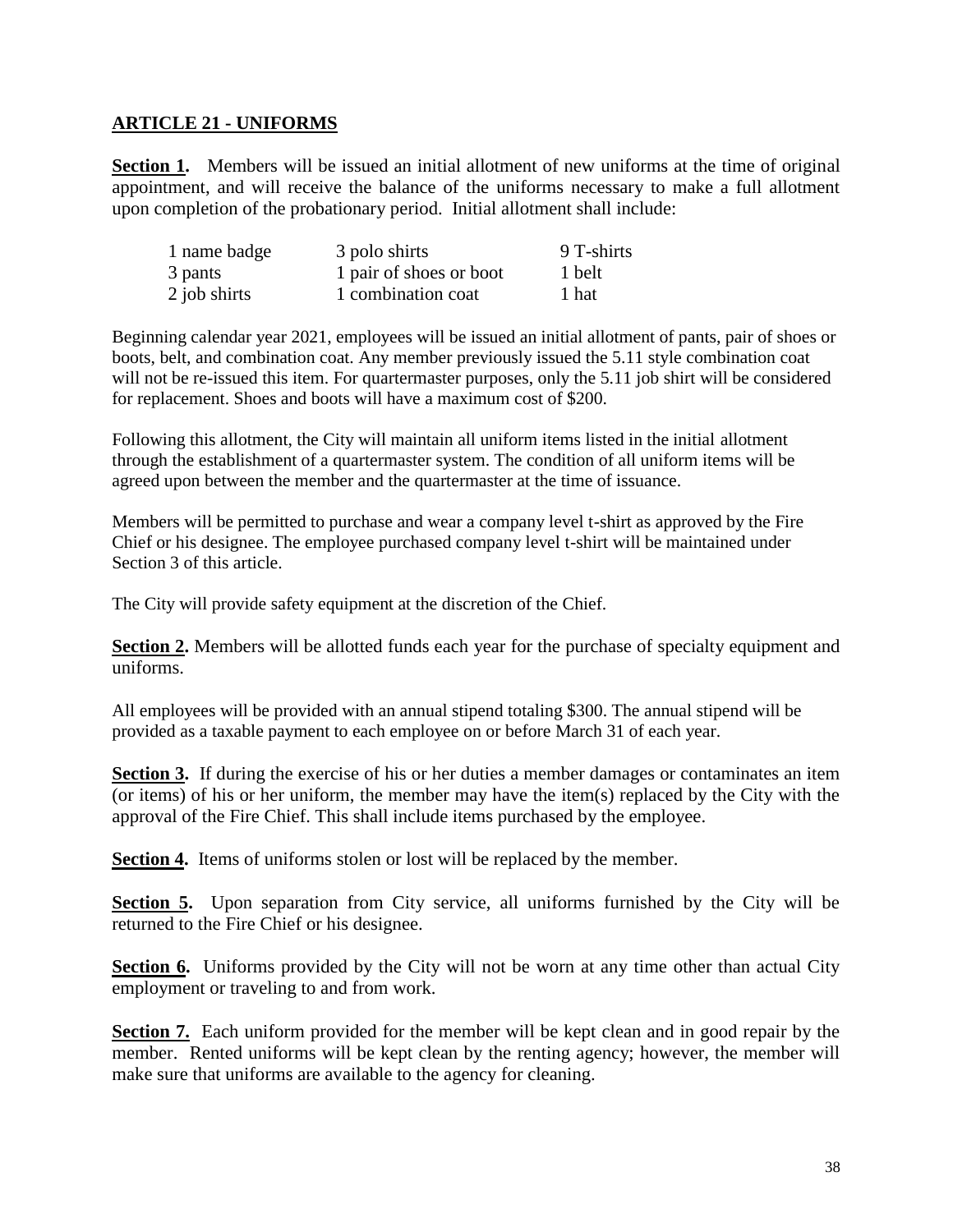#### **ARTICLE 21 - UNIFORMS**

**Section 1.** Members will be issued an initial allotment of new uniforms at the time of original appointment, and will receive the balance of the uniforms necessary to make a full allotment upon completion of the probationary period. Initial allotment shall include:

| 1 name badge | 3 polo shirts           | 9 T-shirts |
|--------------|-------------------------|------------|
| 3 pants      | 1 pair of shoes or boot | 1 belt     |
| 2 job shirts | 1 combination coat      | 1 hat      |

Beginning calendar year 2021, employees will be issued an initial allotment of pants, pair of shoes or boots, belt, and combination coat. Any member previously issued the 5.11 style combination coat will not be re-issued this item. For quartermaster purposes, only the 5.11 job shirt will be considered for replacement. Shoes and boots will have a maximum cost of \$200.

Following this allotment, the City will maintain all uniform items listed in the initial allotment through the establishment of a quartermaster system. The condition of all uniform items will be agreed upon between the member and the quartermaster at the time of issuance.

Members will be permitted to purchase and wear a company level t-shirt as approved by the Fire Chief or his designee. The employee purchased company level t-shirt will be maintained under Section 3 of this article.

The City will provide safety equipment at the discretion of the Chief.

**Section 2.** Members will be allotted funds each year for the purchase of specialty equipment and uniforms.

All employees will be provided with an annual stipend totaling \$300. The annual stipend will be provided as a taxable payment to each employee on or before March 31 of each year.

**Section 3.** If during the exercise of his or her duties a member damages or contaminates an item (or items) of his or her uniform, the member may have the item(s) replaced by the City with the approval of the Fire Chief. This shall include items purchased by the employee.

**Section 4.** Items of uniforms stolen or lost will be replaced by the member.

**Section 5.** Upon separation from City service, all uniforms furnished by the City will be returned to the Fire Chief or his designee.

**Section 6.** Uniforms provided by the City will not be worn at any time other than actual City employment or traveling to and from work.

**Section 7.** Each uniform provided for the member will be kept clean and in good repair by the member. Rented uniforms will be kept clean by the renting agency; however, the member will make sure that uniforms are available to the agency for cleaning.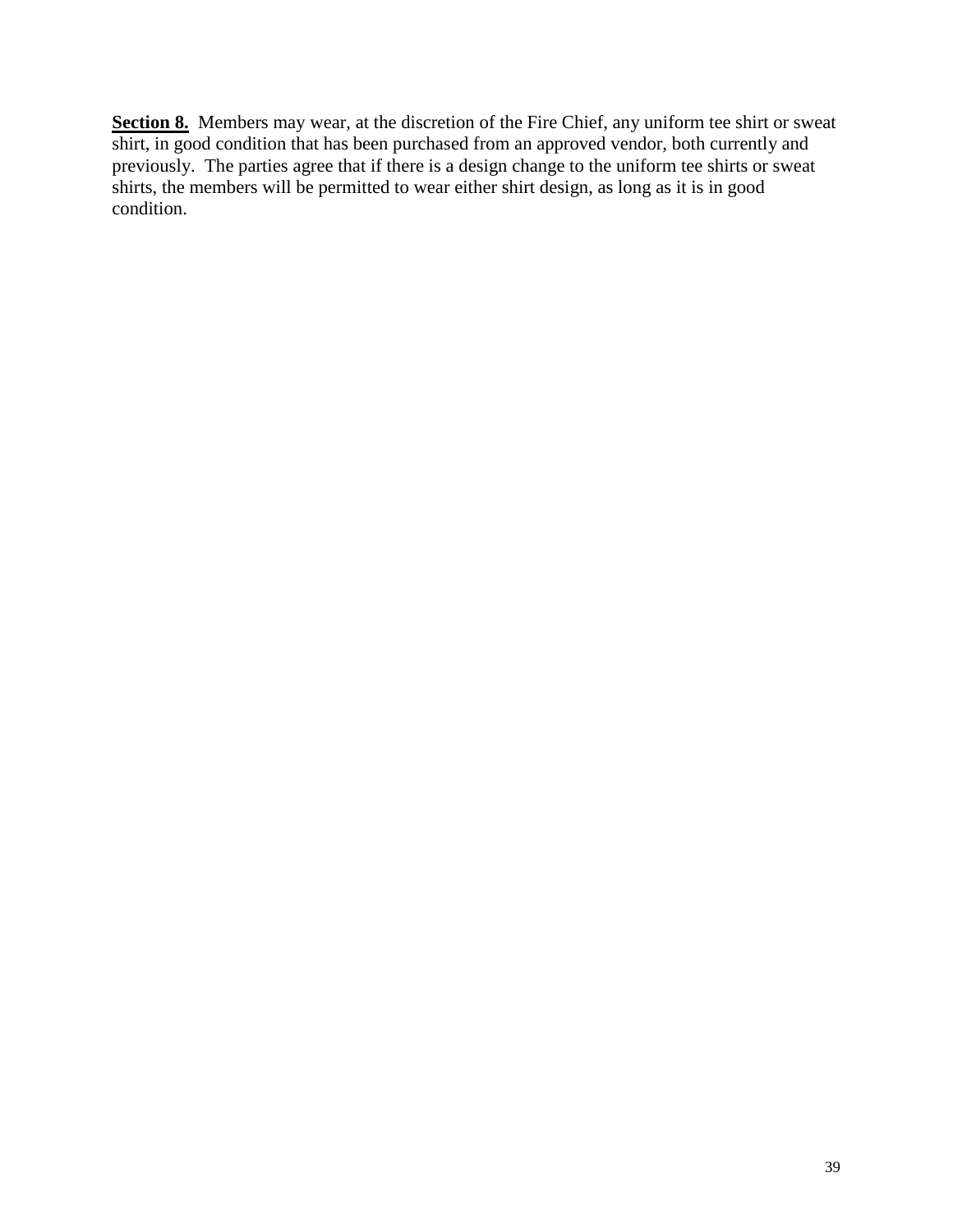Section 8. Members may wear, at the discretion of the Fire Chief, any uniform tee shirt or sweat shirt, in good condition that has been purchased from an approved vendor, both currently and previously. The parties agree that if there is a design change to the uniform tee shirts or sweat shirts, the members will be permitted to wear either shirt design, as long as it is in good condition.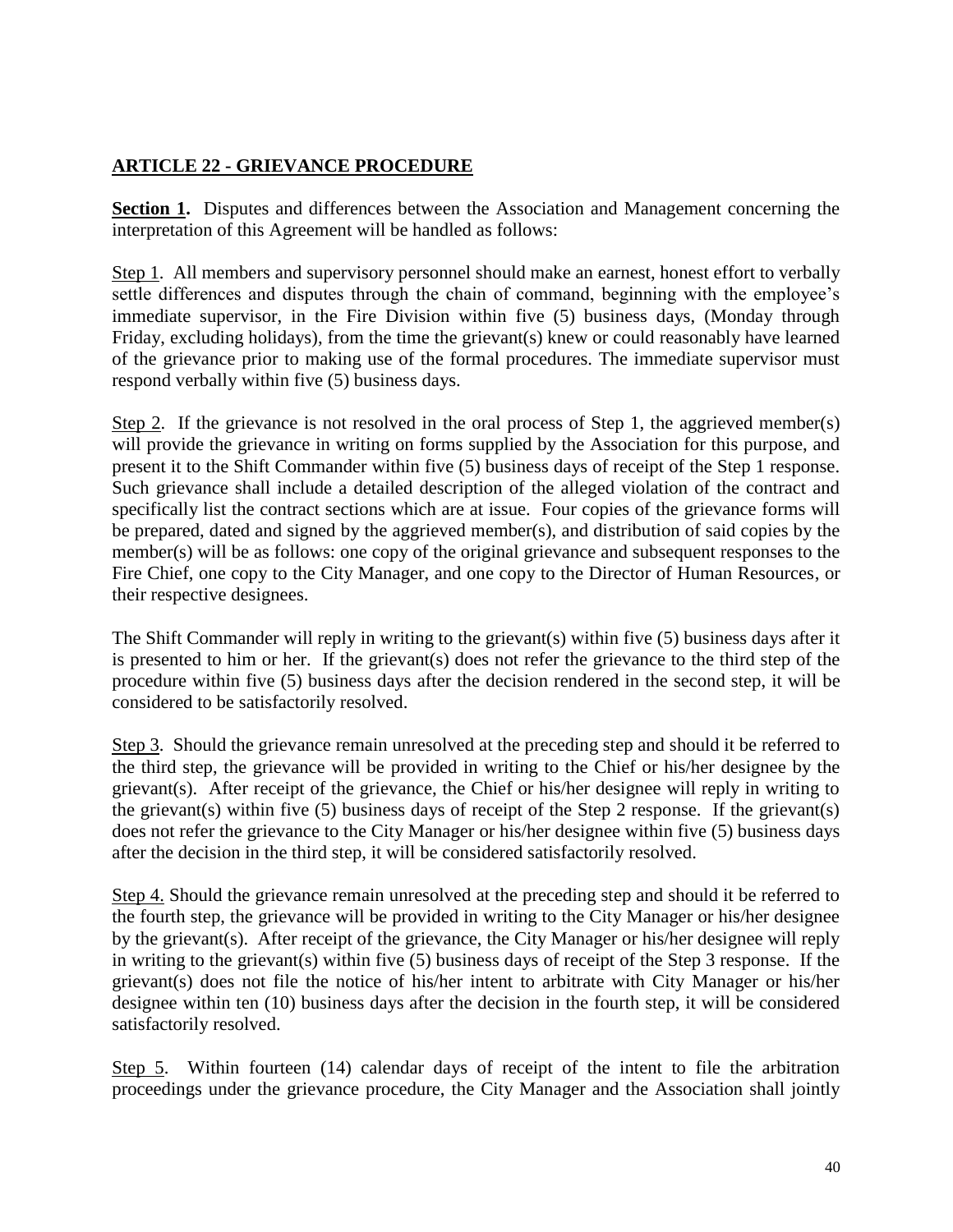#### **ARTICLE 22 - GRIEVANCE PROCEDURE**

**Section 1.** Disputes and differences between the Association and Management concerning the interpretation of this Agreement will be handled as follows:

Step 1. All members and supervisory personnel should make an earnest, honest effort to verbally settle differences and disputes through the chain of command, beginning with the employee's immediate supervisor, in the Fire Division within five (5) business days, (Monday through Friday, excluding holidays), from the time the grievant(s) knew or could reasonably have learned of the grievance prior to making use of the formal procedures. The immediate supervisor must respond verbally within five (5) business days.

Step 2. If the grievance is not resolved in the oral process of Step 1, the aggrieved member(s) will provide the grievance in writing on forms supplied by the Association for this purpose, and present it to the Shift Commander within five (5) business days of receipt of the Step 1 response. Such grievance shall include a detailed description of the alleged violation of the contract and specifically list the contract sections which are at issue. Four copies of the grievance forms will be prepared, dated and signed by the aggrieved member(s), and distribution of said copies by the member(s) will be as follows: one copy of the original grievance and subsequent responses to the Fire Chief, one copy to the City Manager, and one copy to the Director of Human Resources, or their respective designees.

The Shift Commander will reply in writing to the grievant(s) within five (5) business days after it is presented to him or her. If the grievant(s) does not refer the grievance to the third step of the procedure within five (5) business days after the decision rendered in the second step, it will be considered to be satisfactorily resolved.

Step 3. Should the grievance remain unresolved at the preceding step and should it be referred to the third step, the grievance will be provided in writing to the Chief or his/her designee by the grievant(s). After receipt of the grievance, the Chief or his/her designee will reply in writing to the grievant(s) within five (5) business days of receipt of the Step 2 response. If the grievant(s) does not refer the grievance to the City Manager or his/her designee within five (5) business days after the decision in the third step, it will be considered satisfactorily resolved.

Step 4. Should the grievance remain unresolved at the preceding step and should it be referred to the fourth step, the grievance will be provided in writing to the City Manager or his/her designee by the grievant(s). After receipt of the grievance, the City Manager or his/her designee will reply in writing to the grievant(s) within five (5) business days of receipt of the Step 3 response. If the grievant(s) does not file the notice of his/her intent to arbitrate with City Manager or his/her designee within ten (10) business days after the decision in the fourth step, it will be considered satisfactorily resolved.

Step 5. Within fourteen (14) calendar days of receipt of the intent to file the arbitration proceedings under the grievance procedure, the City Manager and the Association shall jointly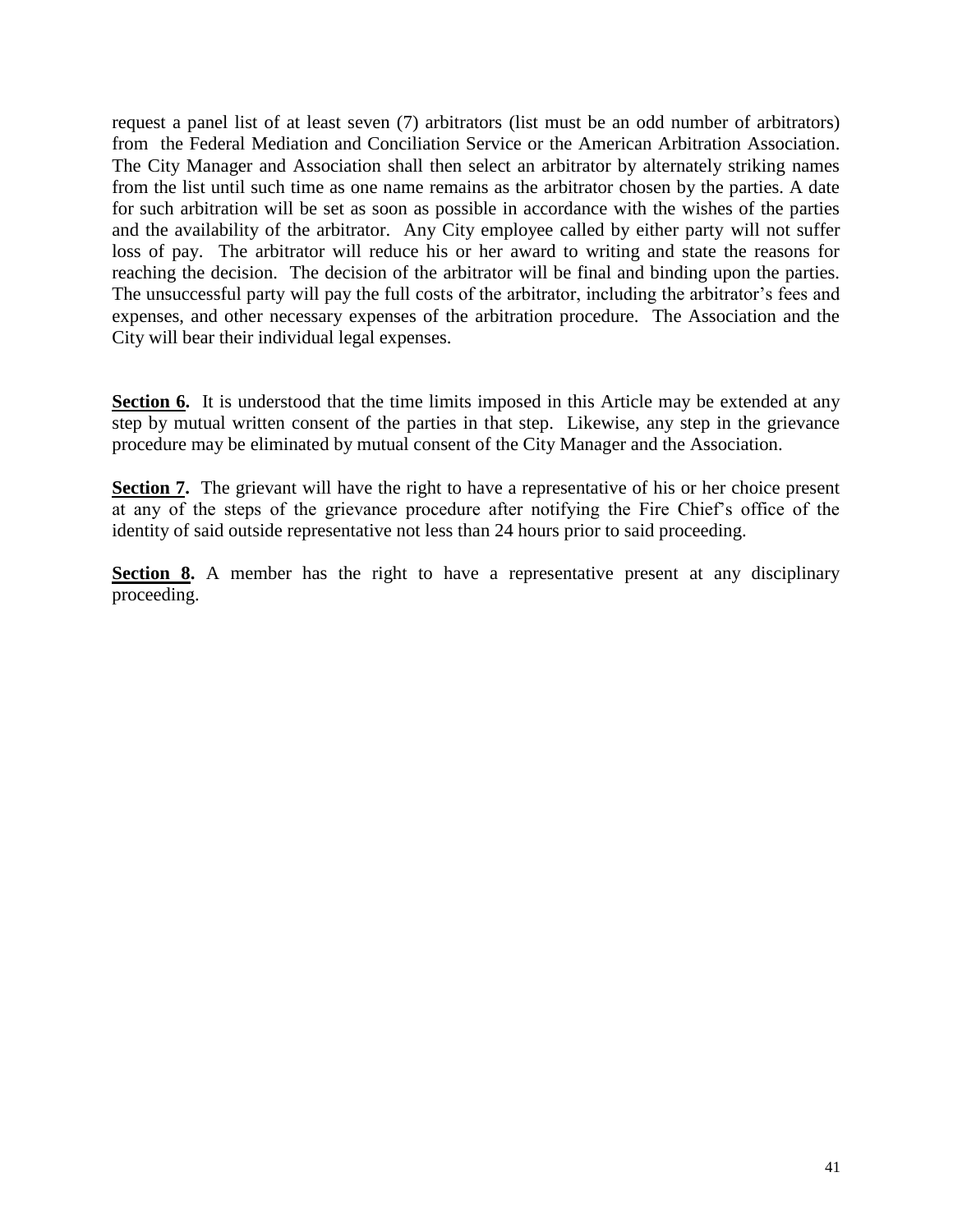request a panel list of at least seven (7) arbitrators (list must be an odd number of arbitrators) from the Federal Mediation and Conciliation Service or the American Arbitration Association. The City Manager and Association shall then select an arbitrator by alternately striking names from the list until such time as one name remains as the arbitrator chosen by the parties. A date for such arbitration will be set as soon as possible in accordance with the wishes of the parties and the availability of the arbitrator. Any City employee called by either party will not suffer loss of pay. The arbitrator will reduce his or her award to writing and state the reasons for reaching the decision. The decision of the arbitrator will be final and binding upon the parties. The unsuccessful party will pay the full costs of the arbitrator, including the arbitrator's fees and expenses, and other necessary expenses of the arbitration procedure. The Association and the City will bear their individual legal expenses.

**Section 6.** It is understood that the time limits imposed in this Article may be extended at any step by mutual written consent of the parties in that step. Likewise, any step in the grievance procedure may be eliminated by mutual consent of the City Manager and the Association.

**Section 7.** The grievant will have the right to have a representative of his or her choice present at any of the steps of the grievance procedure after notifying the Fire Chief's office of the identity of said outside representative not less than 24 hours prior to said proceeding.

**Section 8.** A member has the right to have a representative present at any disciplinary proceeding.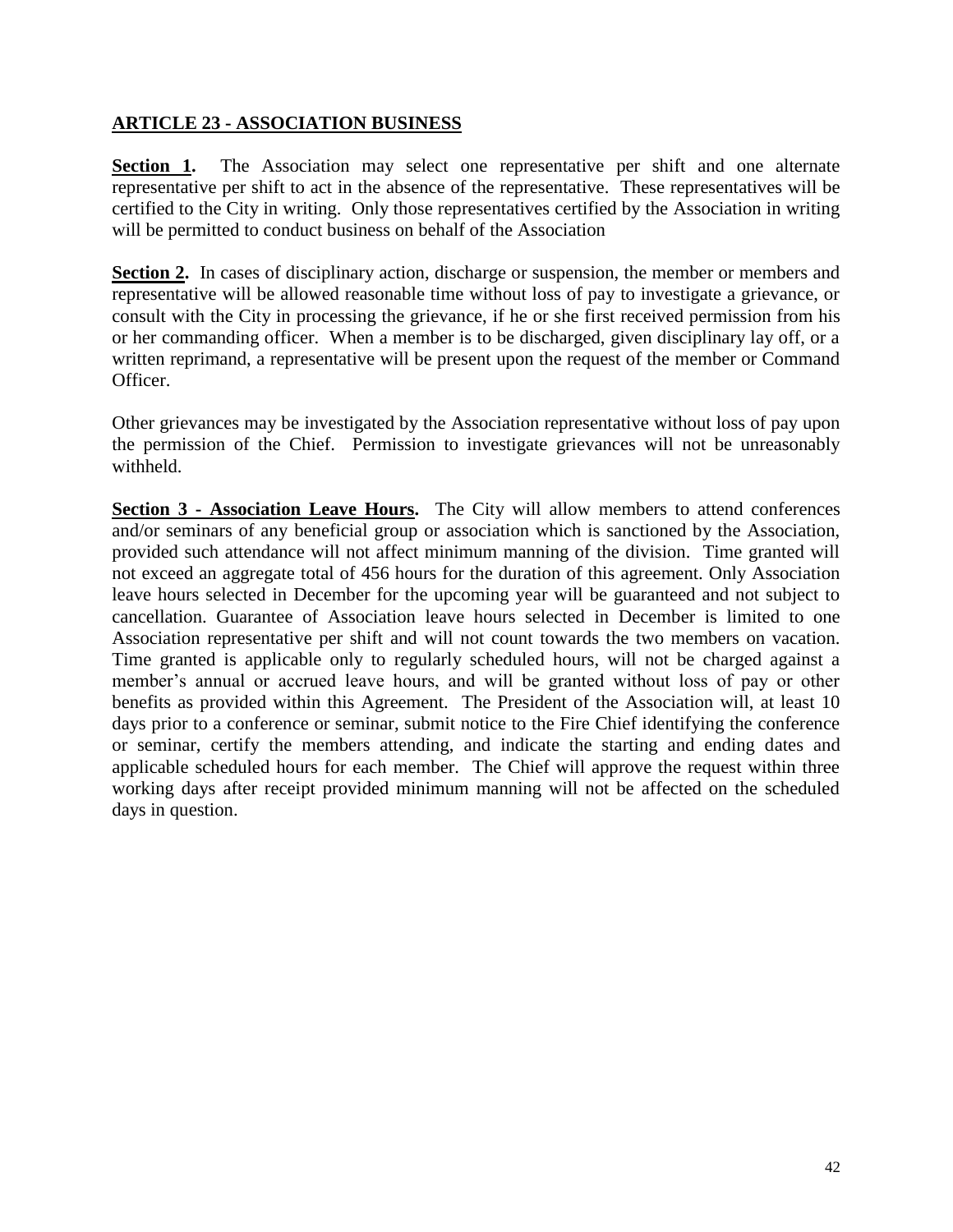#### **ARTICLE 23 - ASSOCIATION BUSINESS**

**Section 1.** The Association may select one representative per shift and one alternate representative per shift to act in the absence of the representative. These representatives will be certified to the City in writing. Only those representatives certified by the Association in writing will be permitted to conduct business on behalf of the Association

**Section 2.** In cases of disciplinary action, discharge or suspension, the member or members and representative will be allowed reasonable time without loss of pay to investigate a grievance, or consult with the City in processing the grievance, if he or she first received permission from his or her commanding officer. When a member is to be discharged, given disciplinary lay off, or a written reprimand, a representative will be present upon the request of the member or Command Officer.

Other grievances may be investigated by the Association representative without loss of pay upon the permission of the Chief. Permission to investigate grievances will not be unreasonably withheld.

**Section 3 - Association Leave Hours.** The City will allow members to attend conferences and/or seminars of any beneficial group or association which is sanctioned by the Association, provided such attendance will not affect minimum manning of the division. Time granted will not exceed an aggregate total of 456 hours for the duration of this agreement. Only Association leave hours selected in December for the upcoming year will be guaranteed and not subject to cancellation. Guarantee of Association leave hours selected in December is limited to one Association representative per shift and will not count towards the two members on vacation. Time granted is applicable only to regularly scheduled hours, will not be charged against a member's annual or accrued leave hours, and will be granted without loss of pay or other benefits as provided within this Agreement. The President of the Association will, at least 10 days prior to a conference or seminar, submit notice to the Fire Chief identifying the conference or seminar, certify the members attending, and indicate the starting and ending dates and applicable scheduled hours for each member. The Chief will approve the request within three working days after receipt provided minimum manning will not be affected on the scheduled days in question.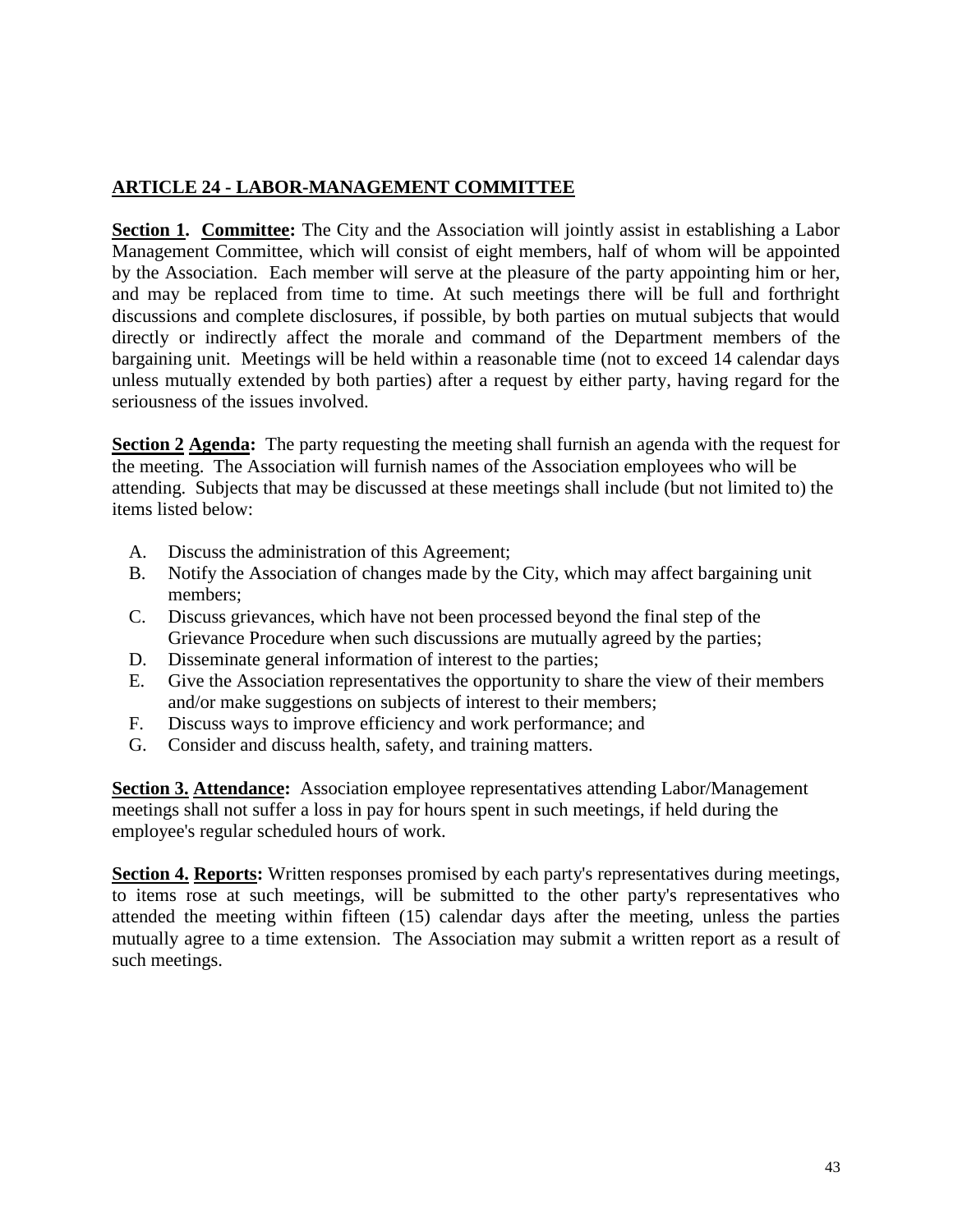#### **ARTICLE 24 - LABOR-MANAGEMENT COMMITTEE**

**Section 1. Committee:** The City and the Association will jointly assist in establishing a Labor Management Committee, which will consist of eight members, half of whom will be appointed by the Association. Each member will serve at the pleasure of the party appointing him or her, and may be replaced from time to time. At such meetings there will be full and forthright discussions and complete disclosures, if possible, by both parties on mutual subjects that would directly or indirectly affect the morale and command of the Department members of the bargaining unit. Meetings will be held within a reasonable time (not to exceed 14 calendar days unless mutually extended by both parties) after a request by either party, having regard for the seriousness of the issues involved.

**Section 2 Agenda:**The party requesting the meeting shall furnish an agenda with the request for the meeting. The Association will furnish names of the Association employees who will be attending. Subjects that may be discussed at these meetings shall include (but not limited to) the items listed below:

- A. Discuss the administration of this Agreement;
- B. Notify the Association of changes made by the City, which may affect bargaining unit members;
- C. Discuss grievances, which have not been processed beyond the final step of the Grievance Procedure when such discussions are mutually agreed by the parties;
- D. Disseminate general information of interest to the parties;
- E. Give the Association representatives the opportunity to share the view of their members and/or make suggestions on subjects of interest to their members;
- F. Discuss ways to improve efficiency and work performance; and
- G. Consider and discuss health, safety, and training matters.

**Section 3. Attendance:** Association employee representatives attending Labor/Management meetings shall not suffer a loss in pay for hours spent in such meetings, if held during the employee's regular scheduled hours of work.

**Section 4. Reports:** Written responses promised by each party's representatives during meetings, to items rose at such meetings, will be submitted to the other party's representatives who attended the meeting within fifteen (15) calendar days after the meeting, unless the parties mutually agree to a time extension. The Association may submit a written report as a result of such meetings.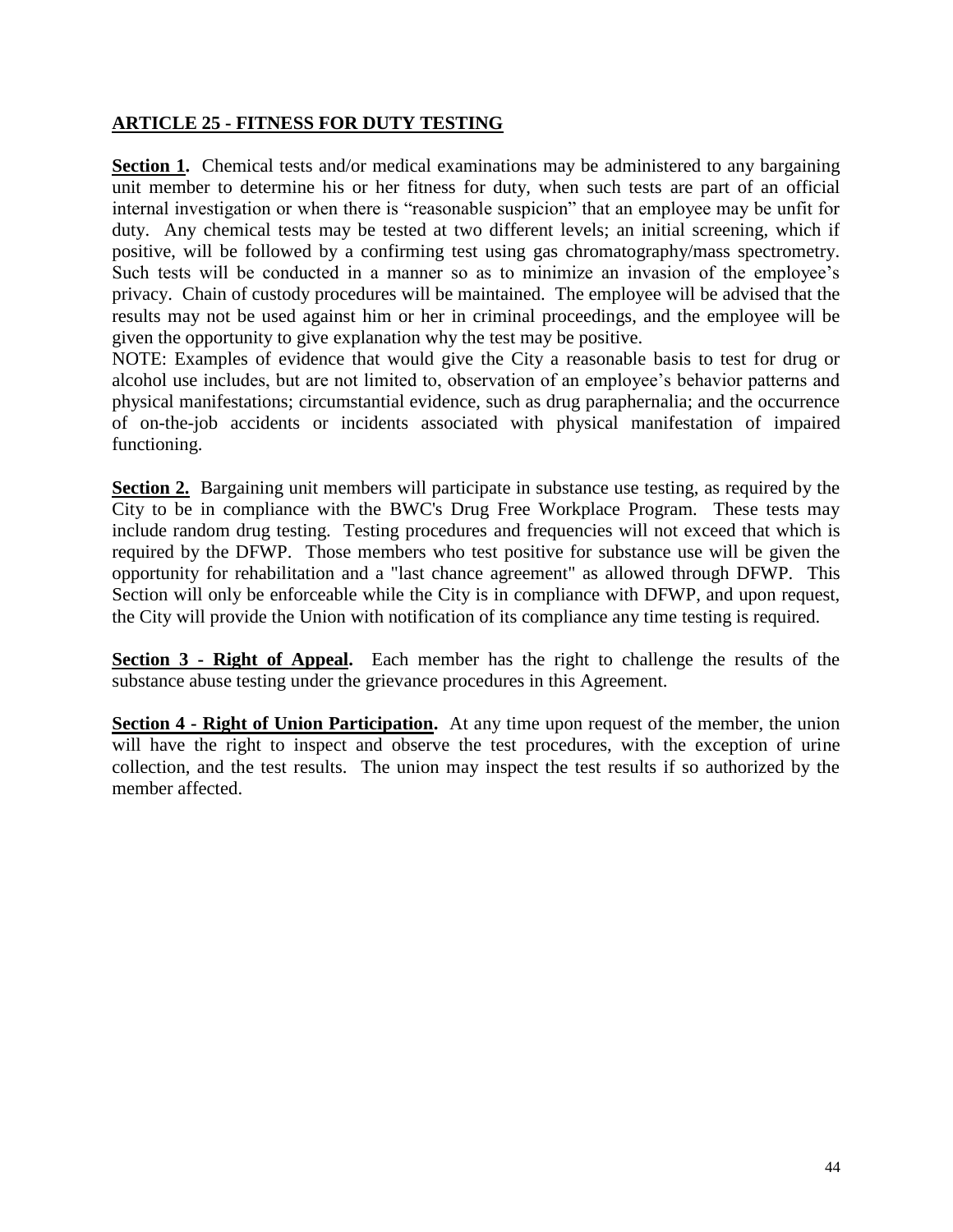#### **ARTICLE 25 - FITNESS FOR DUTY TESTING**

**Section 1.** Chemical tests and/or medical examinations may be administered to any bargaining unit member to determine his or her fitness for duty, when such tests are part of an official internal investigation or when there is "reasonable suspicion" that an employee may be unfit for duty. Any chemical tests may be tested at two different levels; an initial screening, which if positive, will be followed by a confirming test using gas chromatography/mass spectrometry. Such tests will be conducted in a manner so as to minimize an invasion of the employee's privacy. Chain of custody procedures will be maintained. The employee will be advised that the results may not be used against him or her in criminal proceedings, and the employee will be given the opportunity to give explanation why the test may be positive.

NOTE: Examples of evidence that would give the City a reasonable basis to test for drug or alcohol use includes, but are not limited to, observation of an employee's behavior patterns and physical manifestations; circumstantial evidence, such as drug paraphernalia; and the occurrence of on-the-job accidents or incidents associated with physical manifestation of impaired functioning.

**Section 2.** Bargaining unit members will participate in substance use testing, as required by the City to be in compliance with the BWC's Drug Free Workplace Program. These tests may include random drug testing. Testing procedures and frequencies will not exceed that which is required by the DFWP. Those members who test positive for substance use will be given the opportunity for rehabilitation and a "last chance agreement" as allowed through DFWP. This Section will only be enforceable while the City is in compliance with DFWP, and upon request, the City will provide the Union with notification of its compliance any time testing is required.

**Section 3 - Right of Appeal.** Each member has the right to challenge the results of the substance abuse testing under the grievance procedures in this Agreement.

**Section 4 - Right of Union Participation.** At any time upon request of the member, the union will have the right to inspect and observe the test procedures, with the exception of urine collection, and the test results. The union may inspect the test results if so authorized by the member affected.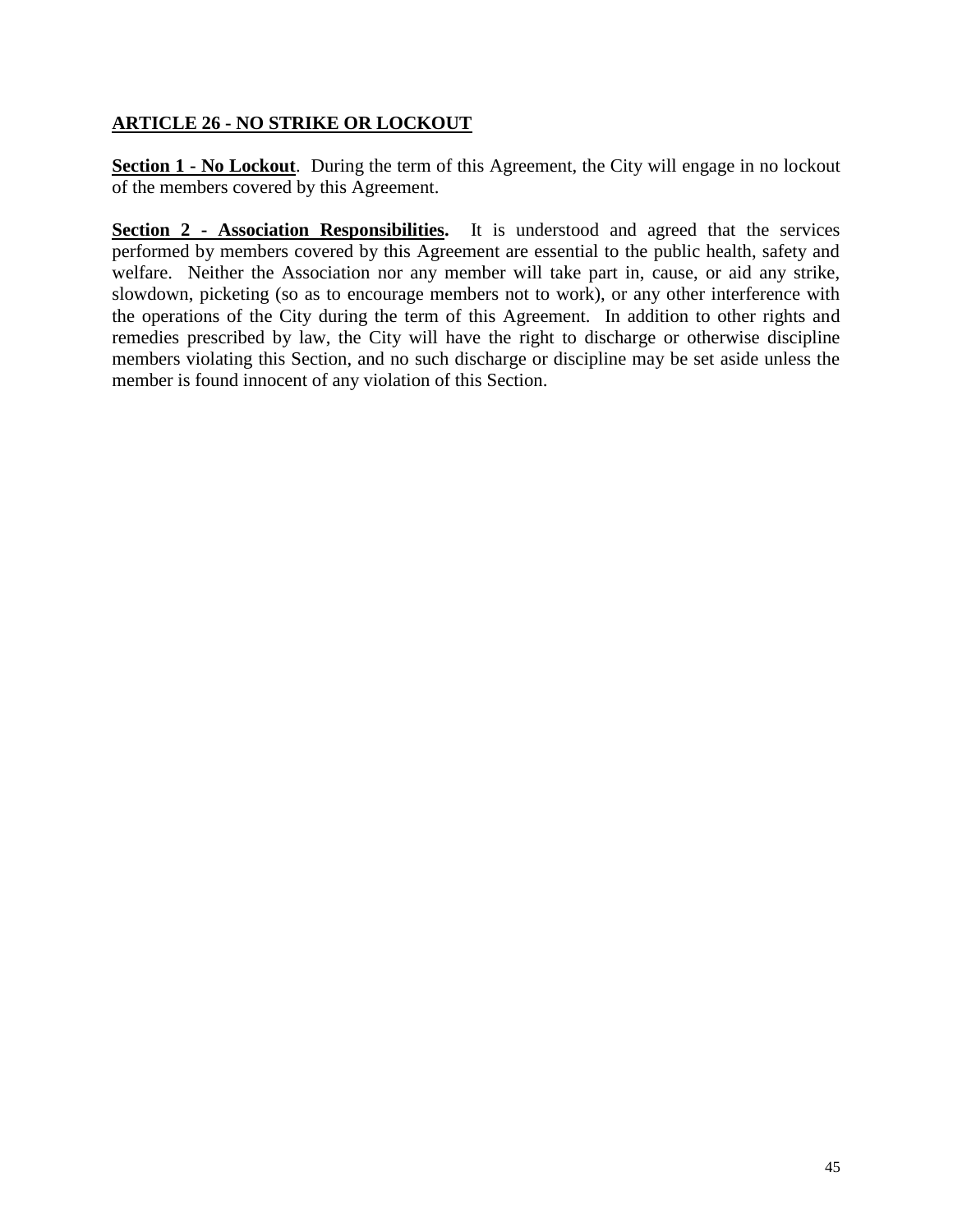#### **ARTICLE 26 - NO STRIKE OR LOCKOUT**

**Section 1 - No Lockout**. During the term of this Agreement, the City will engage in no lockout of the members covered by this Agreement.

**Section 2 - Association Responsibilities.** It is understood and agreed that the services performed by members covered by this Agreement are essential to the public health, safety and welfare. Neither the Association nor any member will take part in, cause, or aid any strike, slowdown, picketing (so as to encourage members not to work), or any other interference with the operations of the City during the term of this Agreement. In addition to other rights and remedies prescribed by law, the City will have the right to discharge or otherwise discipline members violating this Section, and no such discharge or discipline may be set aside unless the member is found innocent of any violation of this Section.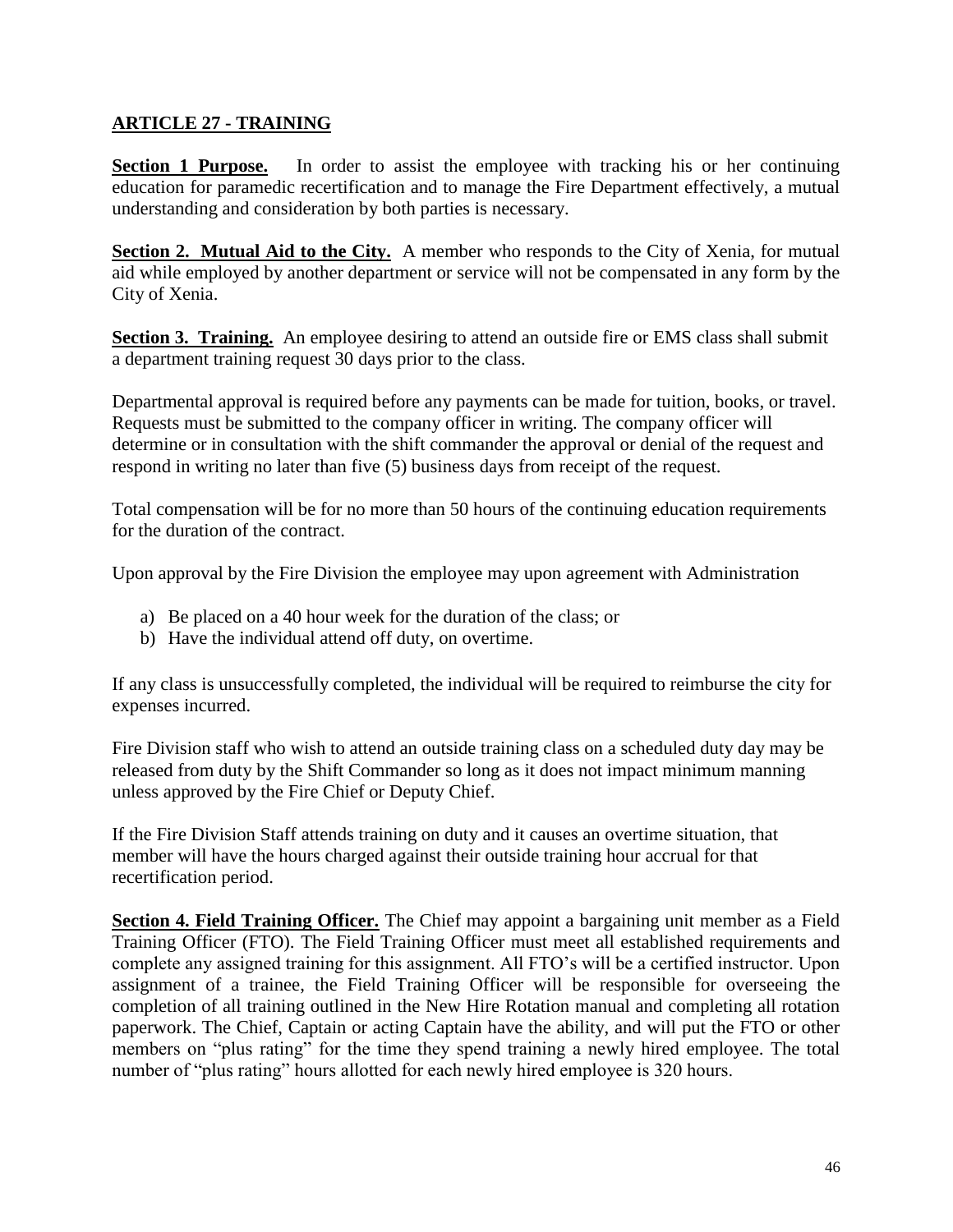#### **ARTICLE 27 - TRAINING**

**Section 1 Purpose.** In order to assist the employee with tracking his or her continuing education for paramedic recertification and to manage the Fire Department effectively, a mutual understanding and consideration by both parties is necessary.

**Section 2. Mutual Aid to the City.** A member who responds to the City of Xenia, for mutual aid while employed by another department or service will not be compensated in any form by the City of Xenia.

**Section 3. Training.** An employee desiring to attend an outside fire or EMS class shall submit a department training request 30 days prior to the class.

Departmental approval is required before any payments can be made for tuition, books, or travel. Requests must be submitted to the company officer in writing. The company officer will determine or in consultation with the shift commander the approval or denial of the request and respond in writing no later than five (5) business days from receipt of the request.

Total compensation will be for no more than 50 hours of the continuing education requirements for the duration of the contract.

Upon approval by the Fire Division the employee may upon agreement with Administration

- a) Be placed on a 40 hour week for the duration of the class; or
- b) Have the individual attend off duty, on overtime.

If any class is unsuccessfully completed, the individual will be required to reimburse the city for expenses incurred.

Fire Division staff who wish to attend an outside training class on a scheduled duty day may be released from duty by the Shift Commander so long as it does not impact minimum manning unless approved by the Fire Chief or Deputy Chief.

If the Fire Division Staff attends training on duty and it causes an overtime situation, that member will have the hours charged against their outside training hour accrual for that recertification period.

**Section 4. Field Training Officer.** The Chief may appoint a bargaining unit member as a Field Training Officer (FTO). The Field Training Officer must meet all established requirements and complete any assigned training for this assignment. All FTO's will be a certified instructor. Upon assignment of a trainee, the Field Training Officer will be responsible for overseeing the completion of all training outlined in the New Hire Rotation manual and completing all rotation paperwork. The Chief, Captain or acting Captain have the ability, and will put the FTO or other members on "plus rating" for the time they spend training a newly hired employee. The total number of "plus rating" hours allotted for each newly hired employee is 320 hours.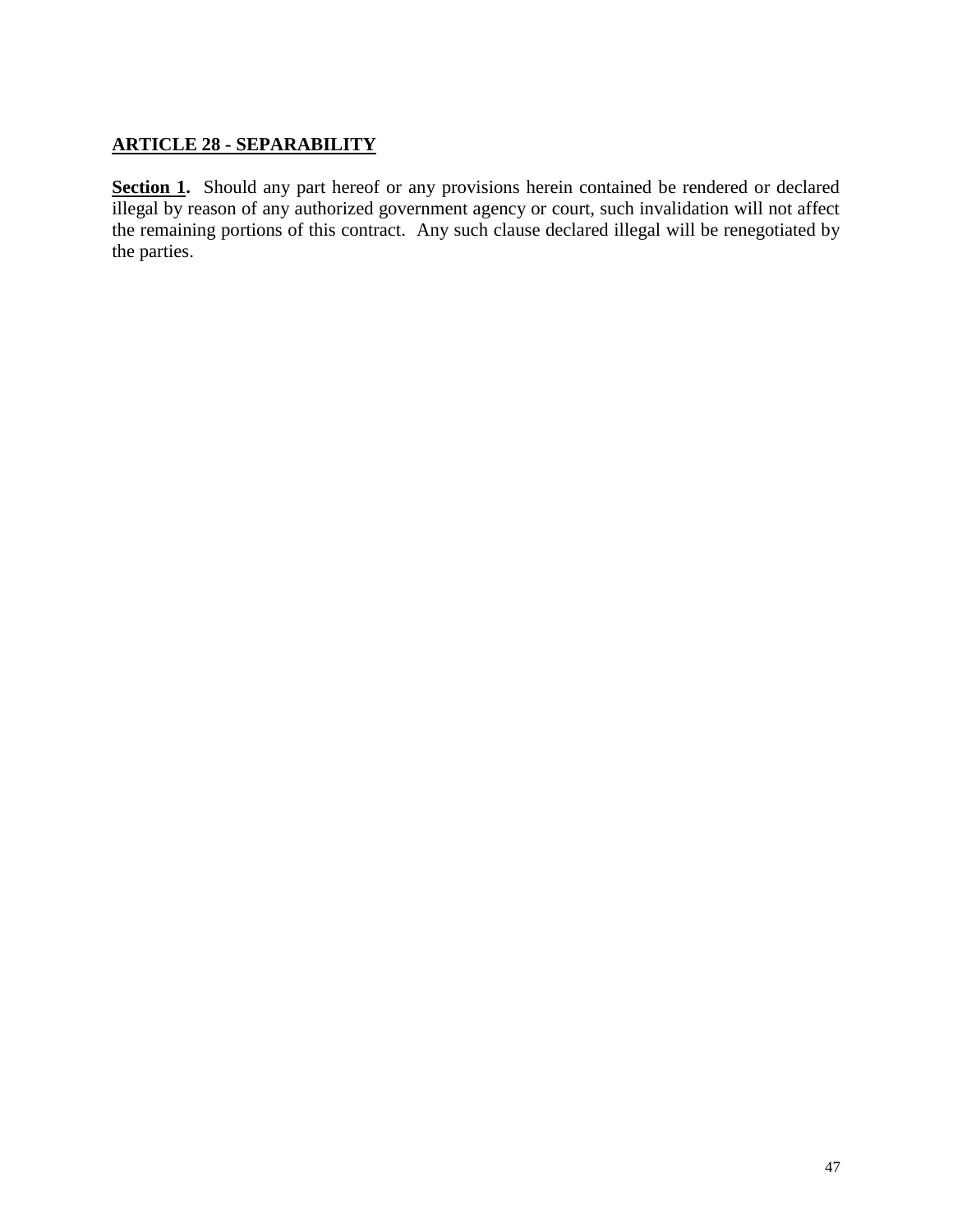#### **ARTICLE 28 - SEPARABILITY**

Section 1. Should any part hereof or any provisions herein contained be rendered or declared illegal by reason of any authorized government agency or court, such invalidation will not affect the remaining portions of this contract. Any such clause declared illegal will be renegotiated by the parties.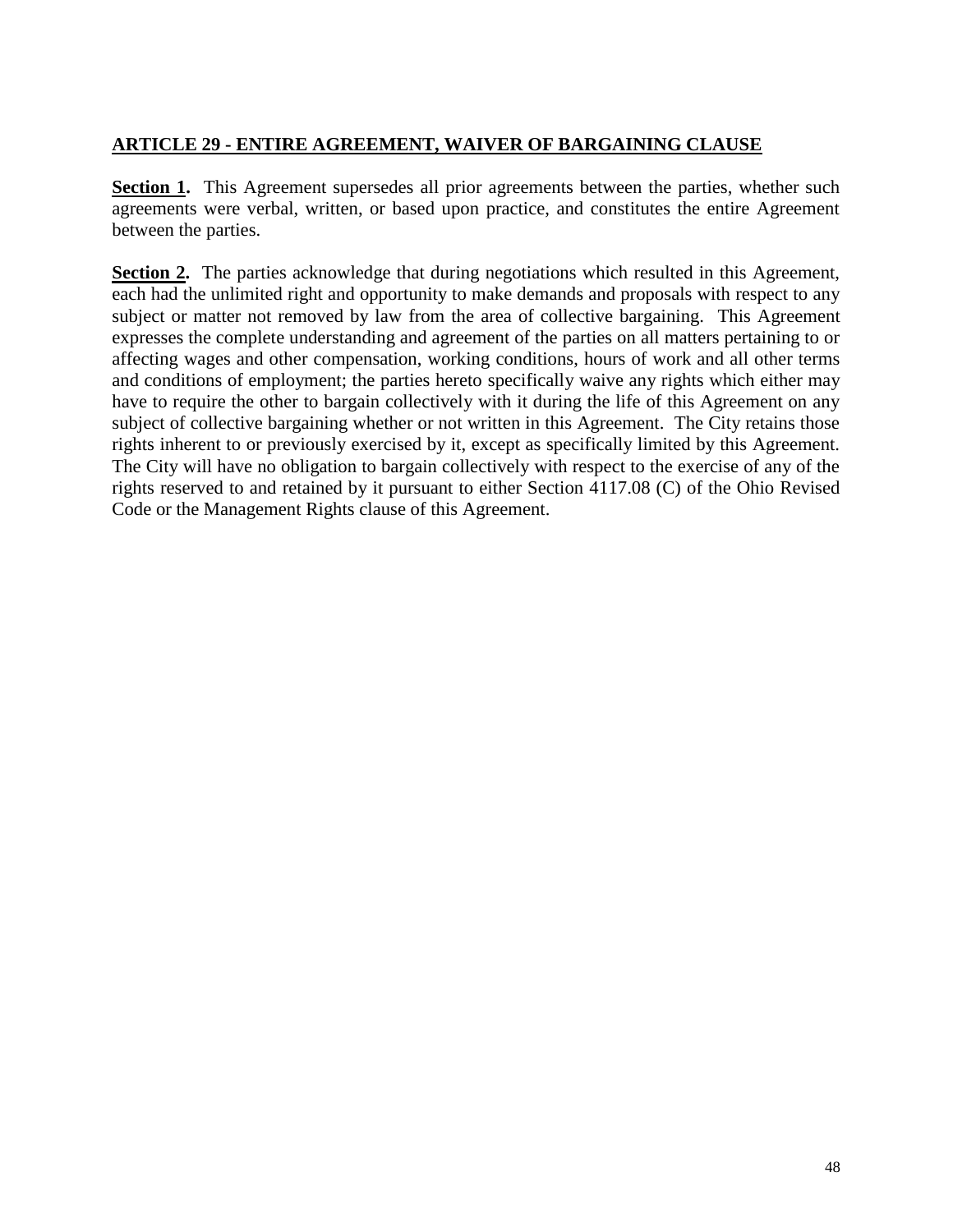#### **ARTICLE 29 - ENTIRE AGREEMENT, WAIVER OF BARGAINING CLAUSE**

**Section 1.** This Agreement supersedes all prior agreements between the parties, whether such agreements were verbal, written, or based upon practice, and constitutes the entire Agreement between the parties.

**Section 2.** The parties acknowledge that during negotiations which resulted in this Agreement, each had the unlimited right and opportunity to make demands and proposals with respect to any subject or matter not removed by law from the area of collective bargaining. This Agreement expresses the complete understanding and agreement of the parties on all matters pertaining to or affecting wages and other compensation, working conditions, hours of work and all other terms and conditions of employment; the parties hereto specifically waive any rights which either may have to require the other to bargain collectively with it during the life of this Agreement on any subject of collective bargaining whether or not written in this Agreement. The City retains those rights inherent to or previously exercised by it, except as specifically limited by this Agreement. The City will have no obligation to bargain collectively with respect to the exercise of any of the rights reserved to and retained by it pursuant to either Section 4117.08 (C) of the Ohio Revised Code or the Management Rights clause of this Agreement.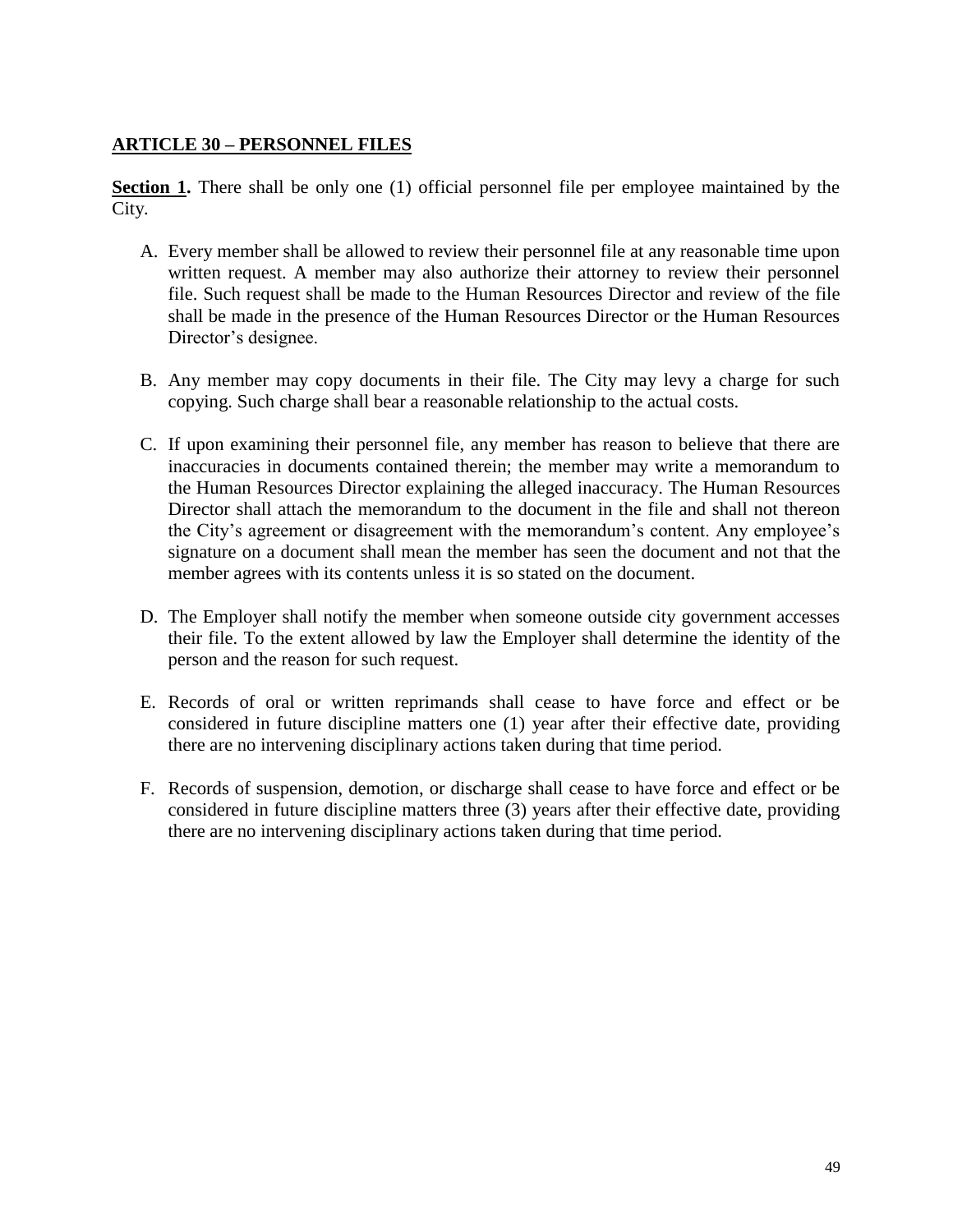#### **ARTICLE 30 – PERSONNEL FILES**

**Section 1.** There shall be only one (1) official personnel file per employee maintained by the City.

- A. Every member shall be allowed to review their personnel file at any reasonable time upon written request. A member may also authorize their attorney to review their personnel file. Such request shall be made to the Human Resources Director and review of the file shall be made in the presence of the Human Resources Director or the Human Resources Director's designee.
- B. Any member may copy documents in their file. The City may levy a charge for such copying. Such charge shall bear a reasonable relationship to the actual costs.
- C. If upon examining their personnel file, any member has reason to believe that there are inaccuracies in documents contained therein; the member may write a memorandum to the Human Resources Director explaining the alleged inaccuracy. The Human Resources Director shall attach the memorandum to the document in the file and shall not thereon the City's agreement or disagreement with the memorandum's content. Any employee's signature on a document shall mean the member has seen the document and not that the member agrees with its contents unless it is so stated on the document.
- D. The Employer shall notify the member when someone outside city government accesses their file. To the extent allowed by law the Employer shall determine the identity of the person and the reason for such request.
- E. Records of oral or written reprimands shall cease to have force and effect or be considered in future discipline matters one (1) year after their effective date, providing there are no intervening disciplinary actions taken during that time period.
- F. Records of suspension, demotion, or discharge shall cease to have force and effect or be considered in future discipline matters three (3) years after their effective date, providing there are no intervening disciplinary actions taken during that time period.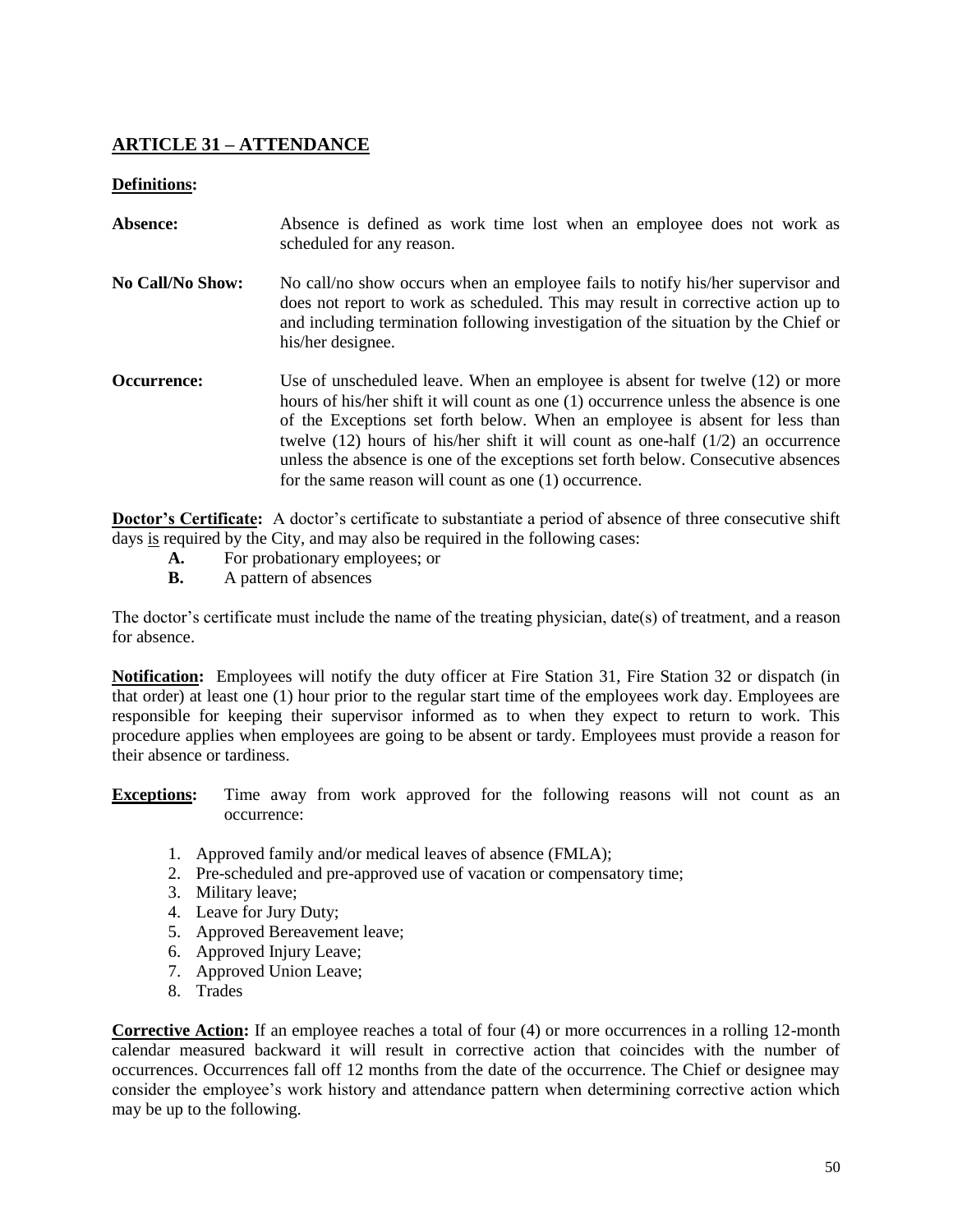#### **ARTICLE 31 – ATTENDANCE**

#### **Definitions:**

- Absence: Absence is defined as work time lost when an employee does not work as scheduled for any reason. **No Call/No Show:** No call/no show occurs when an employee fails to notify his/her supervisor and does not report to work as scheduled. This may result in corrective action up to
- and including termination following investigation of the situation by the Chief or his/her designee.
- **Occurrence:** Use of unscheduled leave. When an employee is absent for twelve (12) or more hours of his/her shift it will count as one (1) occurrence unless the absence is one of the Exceptions set forth below. When an employee is absent for less than twelve (12) hours of his/her shift it will count as one-half (1/2) an occurrence unless the absence is one of the exceptions set forth below. Consecutive absences for the same reason will count as one (1) occurrence.

**Doctor's Certificate:** A doctor's certificate to substantiate a period of absence of three consecutive shift days is required by the City, and may also be required in the following cases:

- **A.** For probationary employees; or
- **B.** A pattern of absences

The doctor's certificate must include the name of the treating physician, date(s) of treatment, and a reason for absence.

**Notification:** Employees will notify the duty officer at Fire Station 31, Fire Station 32 or dispatch (in that order) at least one (1) hour prior to the regular start time of the employees work day. Employees are responsible for keeping their supervisor informed as to when they expect to return to work. This procedure applies when employees are going to be absent or tardy. Employees must provide a reason for their absence or tardiness.

**Exceptions:** Time away from work approved for the following reasons will not count as an occurrence:

- 1. Approved family and/or medical leaves of absence (FMLA);
- 2. Pre-scheduled and pre-approved use of vacation or compensatory time;
- 3. Military leave;
- 4. Leave for Jury Duty;
- 5. Approved Bereavement leave;
- 6. Approved Injury Leave;
- 7. Approved Union Leave;
- 8. Trades

**Corrective Action:** If an employee reaches a total of four (4) or more occurrences in a rolling 12-month calendar measured backward it will result in corrective action that coincides with the number of occurrences. Occurrences fall off 12 months from the date of the occurrence. The Chief or designee may consider the employee's work history and attendance pattern when determining corrective action which may be up to the following.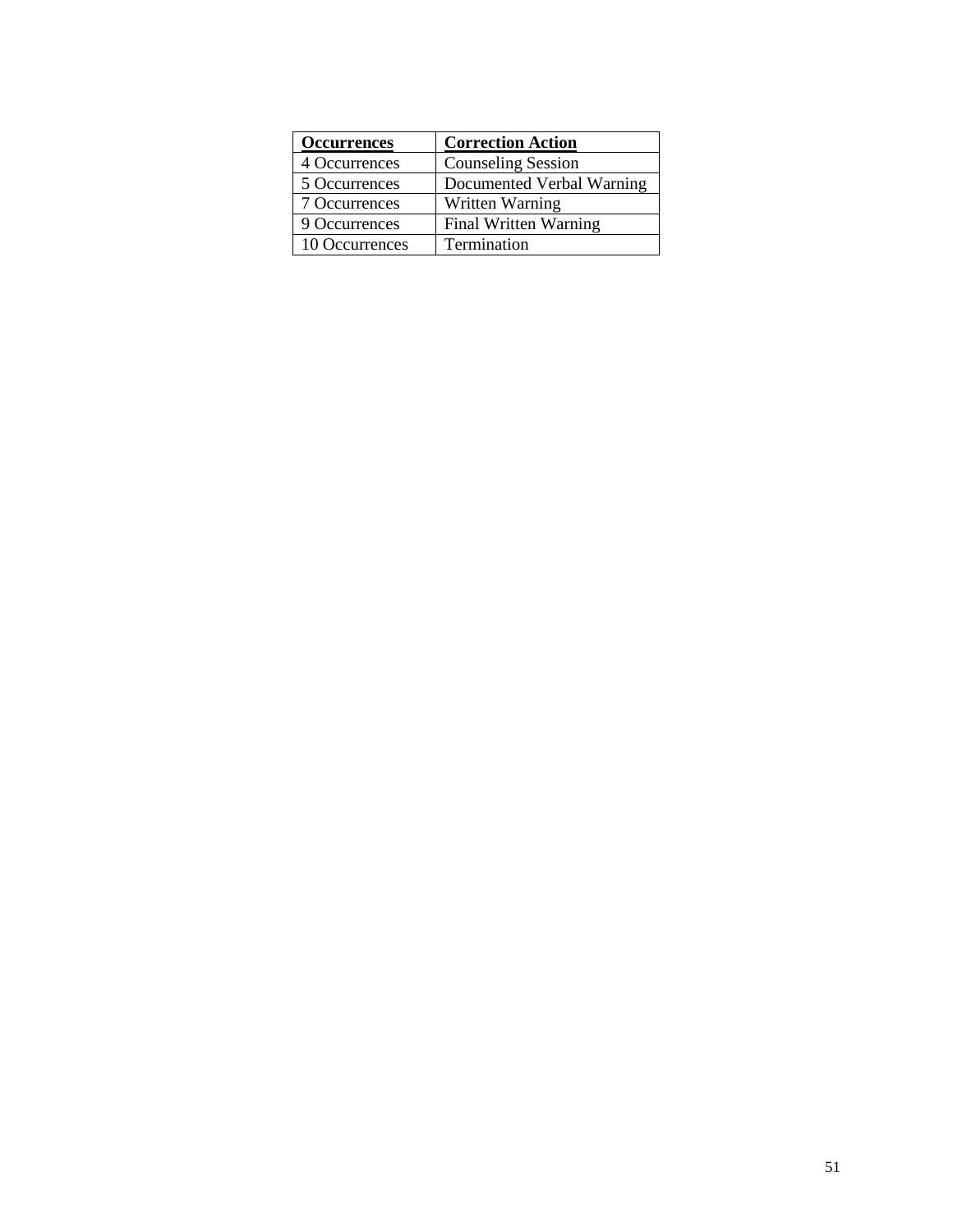| <b>Occurrences</b> | <b>Correction Action</b>     |
|--------------------|------------------------------|
| 4 Occurrences      | <b>Counseling Session</b>    |
| 5 Occurrences      | Documented Verbal Warning    |
| 7 Occurrences      | Written Warning              |
| 9 Occurrences      | <b>Final Written Warning</b> |
| 10 Occurrences     | Termination                  |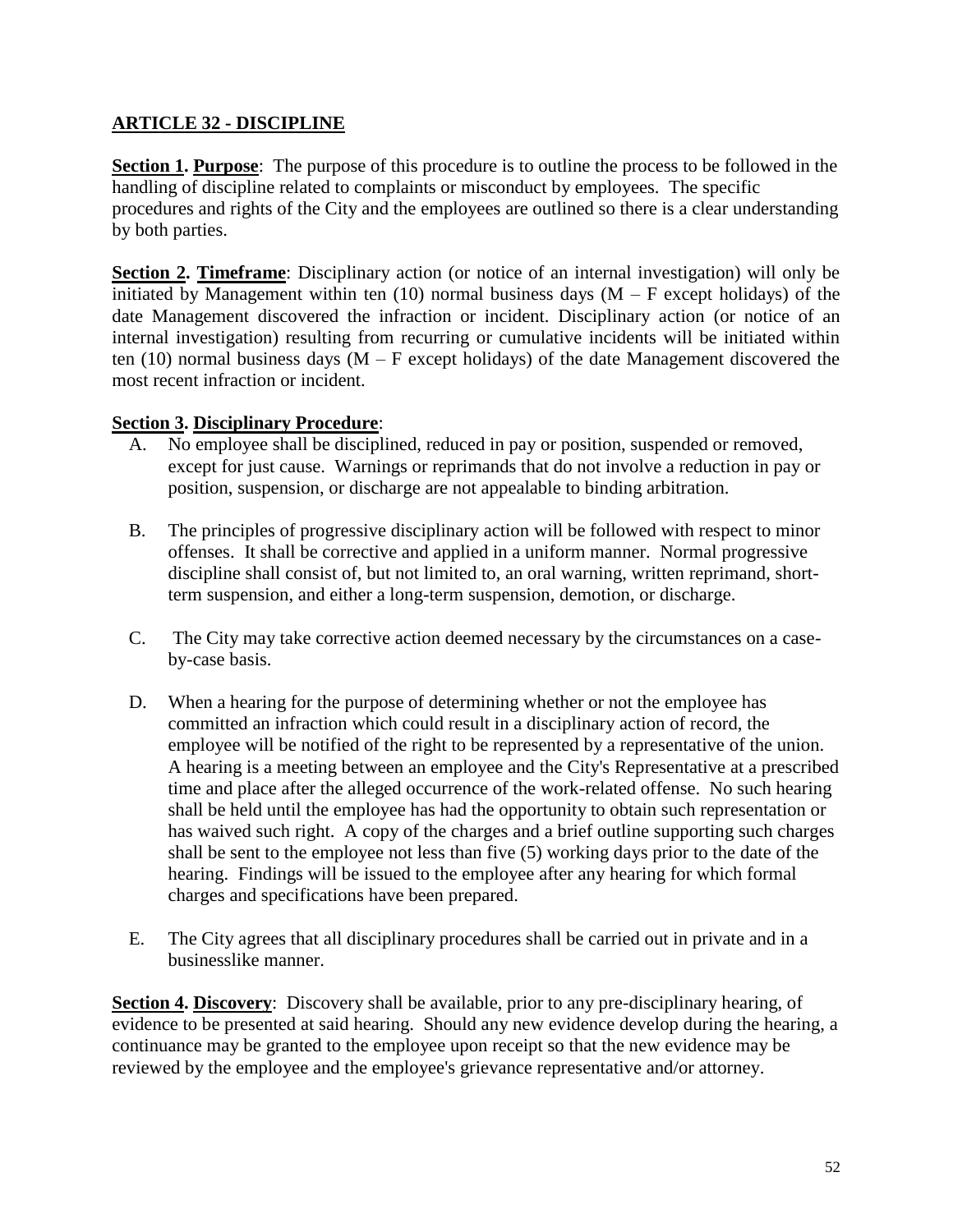#### **ARTICLE 32 - DISCIPLINE**

**Section 1. Purpose**: The purpose of this procedure is to outline the process to be followed in the handling of discipline related to complaints or misconduct by employees. The specific procedures and rights of the City and the employees are outlined so there is a clear understanding by both parties.

**Section 2. Timeframe**: Disciplinary action (or notice of an internal investigation) will only be initiated by Management within ten  $(10)$  normal business days  $(M - F$  except holidays) of the date Management discovered the infraction or incident. Disciplinary action (or notice of an internal investigation) resulting from recurring or cumulative incidents will be initiated within ten (10) normal business days  $(M - F$  except holidays) of the date Management discovered the most recent infraction or incident.

#### **Section 3. Disciplinary Procedure**:

- A. No employee shall be disciplined, reduced in pay or position, suspended or removed, except for just cause. Warnings or reprimands that do not involve a reduction in pay or position, suspension, or discharge are not appealable to binding arbitration.
- B. The principles of progressive disciplinary action will be followed with respect to minor offenses. It shall be corrective and applied in a uniform manner. Normal progressive discipline shall consist of, but not limited to, an oral warning, written reprimand, shortterm suspension, and either a long-term suspension, demotion, or discharge.
- C. The City may take corrective action deemed necessary by the circumstances on a caseby-case basis.
- D. When a hearing for the purpose of determining whether or not the employee has committed an infraction which could result in a disciplinary action of record, the employee will be notified of the right to be represented by a representative of the union. A hearing is a meeting between an employee and the City's Representative at a prescribed time and place after the alleged occurrence of the work-related offense. No such hearing shall be held until the employee has had the opportunity to obtain such representation or has waived such right. A copy of the charges and a brief outline supporting such charges shall be sent to the employee not less than five (5) working days prior to the date of the hearing. Findings will be issued to the employee after any hearing for which formal charges and specifications have been prepared.
- E. The City agrees that all disciplinary procedures shall be carried out in private and in a businesslike manner.

**Section 4. Discovery**: Discovery shall be available, prior to any pre-disciplinary hearing, of evidence to be presented at said hearing. Should any new evidence develop during the hearing, a continuance may be granted to the employee upon receipt so that the new evidence may be reviewed by the employee and the employee's grievance representative and/or attorney.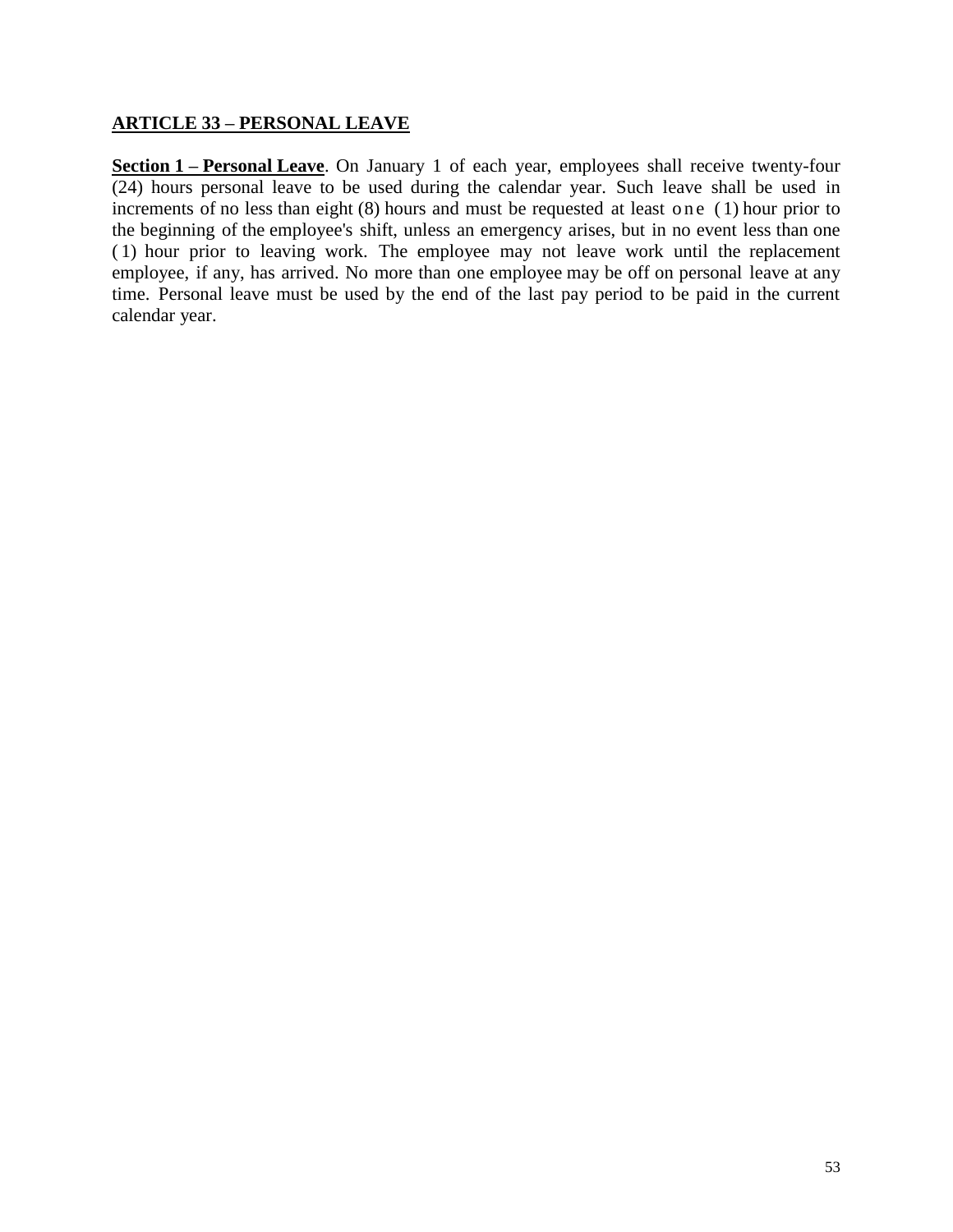#### **ARTICLE 33 – PERSONAL LEAVE**

**Section 1 – Personal Leave**. On January 1 of each year, employees shall receive twenty-four (24) hours personal leave to be used during the calendar year. Such leave shall be used in increments of no less than eight  $(8)$  hours and must be requested at least one  $(1)$  hour prior to the beginning of the employee's shift, unless an emergency arises, but in no event less than one ( 1) hour prior to leaving work. The employee may not leave work until the replacement employee, if any, has arrived. No more than one employee may be off on personal leave at any time. Personal leave must be used by the end of the last pay period to be paid in the current calendar year.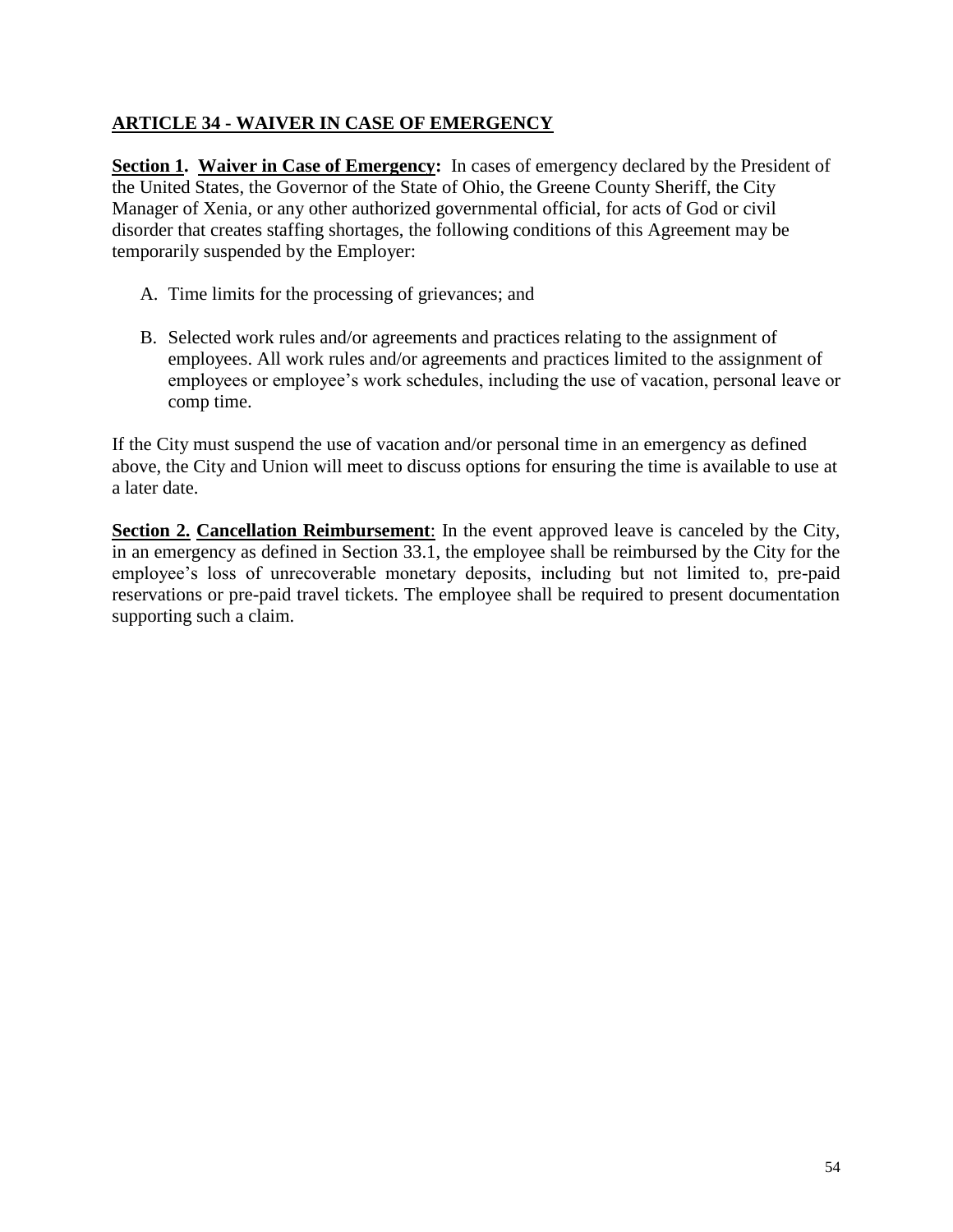#### **ARTICLE 34 - WAIVER IN CASE OF EMERGENCY**

**Section 1. Waiver in Case of Emergency:** In cases of emergency declared by the President of the United States, the Governor of the State of Ohio, the Greene County Sheriff, the City Manager of Xenia, or any other authorized governmental official, for acts of God or civil disorder that creates staffing shortages, the following conditions of this Agreement may be temporarily suspended by the Employer:

- A. Time limits for the processing of grievances; and
- B. Selected work rules and/or agreements and practices relating to the assignment of employees. All work rules and/or agreements and practices limited to the assignment of employees or employee's work schedules, including the use of vacation, personal leave or comp time.

If the City must suspend the use of vacation and/or personal time in an emergency as defined above, the City and Union will meet to discuss options for ensuring the time is available to use at a later date.

**Section 2. Cancellation Reimbursement**: In the event approved leave is canceled by the City, in an emergency as defined in Section 33.1, the employee shall be reimbursed by the City for the employee's loss of unrecoverable monetary deposits, including but not limited to, pre-paid reservations or pre-paid travel tickets. The employee shall be required to present documentation supporting such a claim.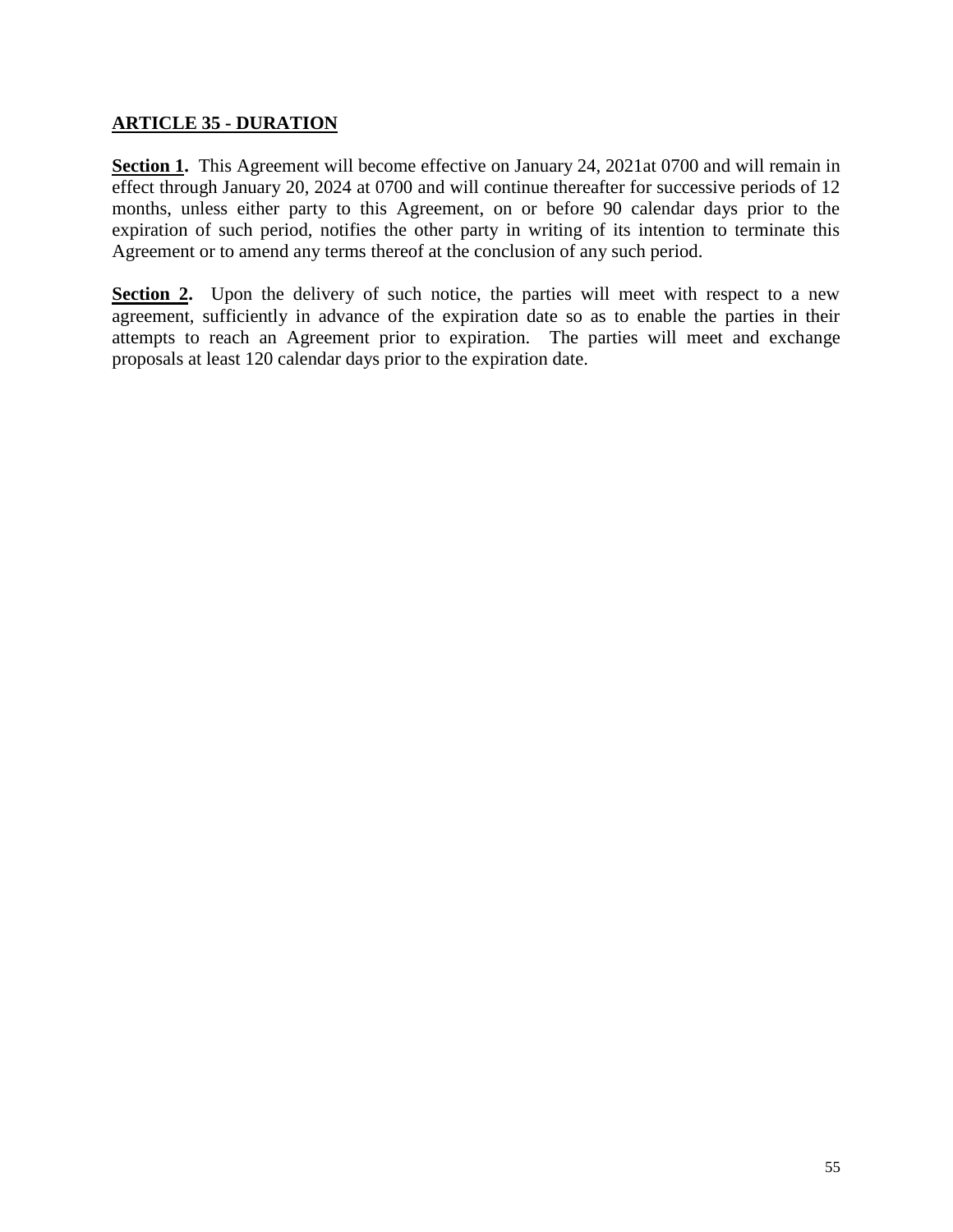#### **ARTICLE 35 - DURATION**

**Section 1.** This Agreement will become effective on January 24, 2021at 0700 and will remain in effect through January 20, 2024 at 0700 and will continue thereafter for successive periods of 12 months, unless either party to this Agreement, on or before 90 calendar days prior to the expiration of such period, notifies the other party in writing of its intention to terminate this Agreement or to amend any terms thereof at the conclusion of any such period.

**Section 2.** Upon the delivery of such notice, the parties will meet with respect to a new agreement, sufficiently in advance of the expiration date so as to enable the parties in their attempts to reach an Agreement prior to expiration. The parties will meet and exchange proposals at least 120 calendar days prior to the expiration date.